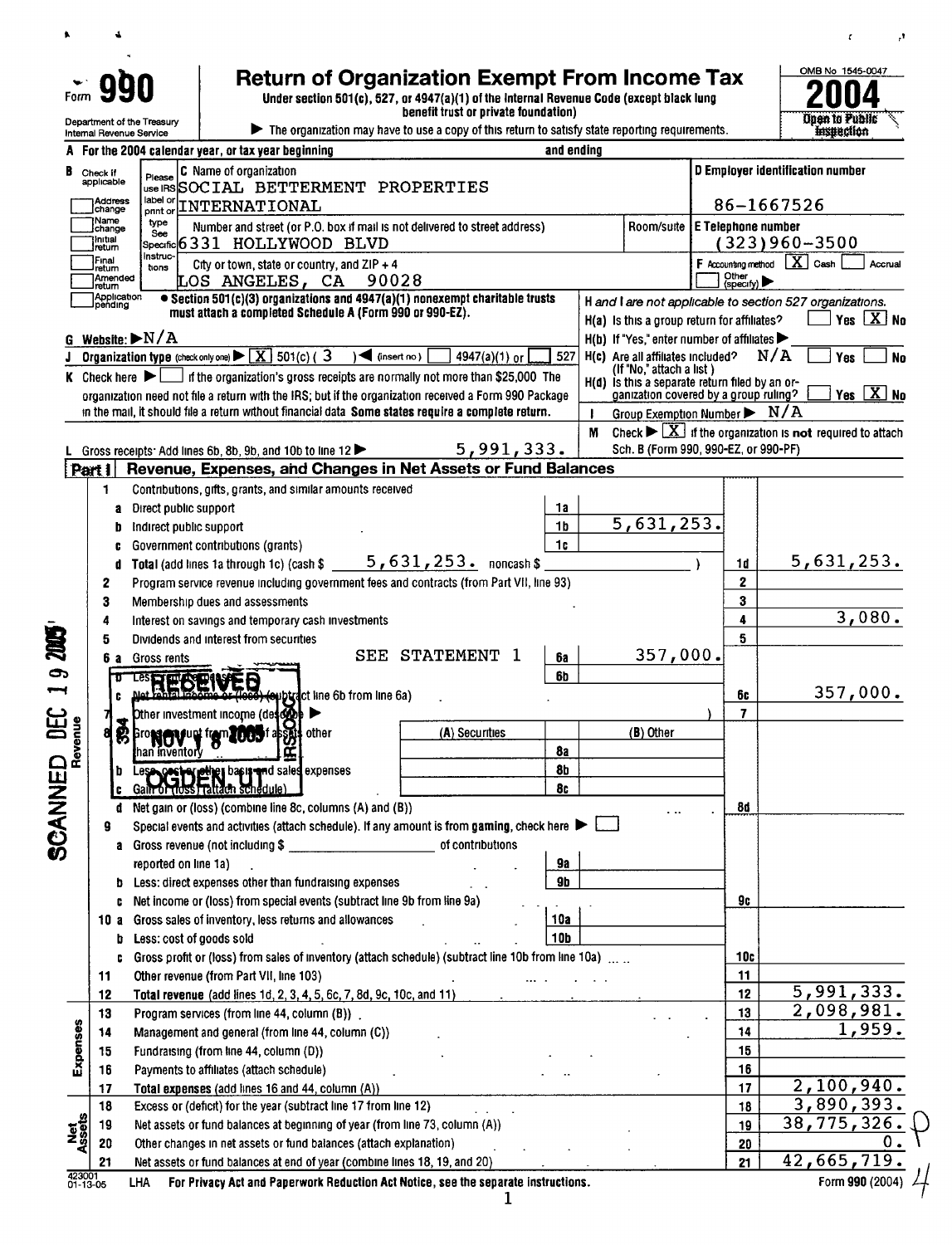Department of the Treasury

 $\ddot{\phantom{0}}$ 

 $\bullet$ 

Return of Organization Exempt From Income Tax<br>Under section 501(c), 527, or 4947(a)(1) of the Internal Revenue Code (except black lung<br>benefit trust or private foundation) Under section 501(c), 527, or 4947(a)(1) of the Internal Revenue Code (except black lung

benefit trust or private foundation)





 $\pmb{\epsilon}$ 

,f

|                       |                   |                         | Internal Revenue Service                  |                                                                                 |                                                                   | $\blacktriangleright$ The organization may have to use a copy of this return to satisfy state reporting requirements. |            |                                                                                         |                           |                     | Hispection                                                                     |
|-----------------------|-------------------|-------------------------|-------------------------------------------|---------------------------------------------------------------------------------|-------------------------------------------------------------------|-----------------------------------------------------------------------------------------------------------------------|------------|-----------------------------------------------------------------------------------------|---------------------------|---------------------|--------------------------------------------------------------------------------|
|                       |                   |                         |                                           | For the 2004 calendar year, or tax year beginning                               |                                                                   |                                                                                                                       | and ending |                                                                                         |                           |                     |                                                                                |
|                       | Check if          |                         |                                           | C Name of organization                                                          |                                                                   |                                                                                                                       |            |                                                                                         |                           |                     | D Employer identification number                                               |
|                       | applicable        |                         | Please                                    |                                                                                 |                                                                   | use IRS SOCIAL BETTERMENT PROPERTIES                                                                                  |            |                                                                                         |                           |                     |                                                                                |
|                       | change            | Address                 | label or<br>pnnt or                       | INTERNATIONAL                                                                   |                                                                   |                                                                                                                       |            |                                                                                         |                           |                     | 86-1667526                                                                     |
|                       | Name<br>change    |                         | type                                      |                                                                                 |                                                                   | Number and street (or P.O. box if mail is not delivered to street address)                                            |            | Room/suite                                                                              | <b>E Telephone number</b> |                     |                                                                                |
|                       | Initial<br>return |                         | See                                       | Specific 6331 HOLLYWOOD BLVD                                                    |                                                                   |                                                                                                                       |            |                                                                                         |                           |                     | (323)960-3500                                                                  |
|                       | Final             |                         | Instruc-                                  | City or town, state or country, and $ZIP + 4$                                   |                                                                   |                                                                                                                       |            |                                                                                         |                           | F Accounting method | $\mathbf{X}$ Cash<br>Accrual                                                   |
|                       | retum             | Amended                 | tions                                     | LOS ANGELES, CA                                                                 |                                                                   | 90028                                                                                                                 |            |                                                                                         |                           | Other<br>(specify)  |                                                                                |
|                       | return            | Application<br> pending |                                           |                                                                                 |                                                                   | • Section 501(c)(3) organizations and 4947(a)(1) nonexempt charitable trusts                                          |            |                                                                                         |                           |                     | H and I are not applicable to section 527 organizations.                       |
|                       |                   |                         |                                           | must attach a completed Schedule A (Form 990 or 990-EZ).                        |                                                                   |                                                                                                                       |            | H(a) Is this a group return for affiliates?                                             |                           |                     | Yes $X$ No                                                                     |
|                       |                   |                         | Website: $\blacktriangleright N/A$        |                                                                                 |                                                                   |                                                                                                                       |            | $H(b)$ If "Yes," enter number of affiliates $\blacktriangleright$                       |                           |                     |                                                                                |
|                       |                   |                         |                                           | <b>Organization type</b> (check only one) $\triangleright \boxed{X}$ 501(c) (3) | $\sqrt{$ (insert no)                                              | 4947(a)(1) or                                                                                                         | 527        | H(c) Are all affiliates included?                                                       |                           |                     | N/A<br>Yes<br><b>No</b>                                                        |
|                       |                   |                         | <b>K</b> Check here $\blacktriangleright$ |                                                                                 |                                                                   | f the organization's gross receipts are normally not more than \$25,000 The                                           |            | (If "No," attach a list)                                                                |                           |                     |                                                                                |
|                       |                   |                         |                                           |                                                                                 |                                                                   | organization need not file a return with the IRS; but if the organization received a Form 990 Package                 |            | H(d) is this a separate return filed by an or-<br>ganization covered by a group ruling? |                           |                     | Yes $X$ No                                                                     |
|                       |                   |                         |                                           |                                                                                 |                                                                   | in the mail, it should file a return without financial data Some states require a complete return.                    |            | Group Exemption Number $\triangleright$ N/A<br>$\mathbf{I}$                             |                           |                     |                                                                                |
|                       |                   |                         |                                           |                                                                                 |                                                                   |                                                                                                                       |            | м                                                                                       |                           |                     | Check $\triangleright \boxed{X}$ if the organization is not required to attach |
|                       |                   |                         |                                           | Gross receipts: Add lines 6b, 8b, 9b, and 10b to line 12                        |                                                                   | 5,991,333.                                                                                                            |            | Sch. B (Form 990, 990-EZ, or 990-PF)                                                    |                           |                     |                                                                                |
| Part 1                |                   |                         |                                           |                                                                                 |                                                                   | Revenue, Expenses, and Changes in Net Assets or Fund Balances                                                         |            |                                                                                         |                           |                     |                                                                                |
|                       |                   |                         |                                           | Contributions, gifts, grants, and similar amounts received                      |                                                                   |                                                                                                                       |            |                                                                                         |                           |                     |                                                                                |
|                       | 1.                |                         |                                           |                                                                                 |                                                                   |                                                                                                                       | 1а         |                                                                                         |                           |                     |                                                                                |
|                       |                   | а                       | Direct public support                     |                                                                                 |                                                                   |                                                                                                                       | 1b         | 5,631,253.                                                                              |                           |                     |                                                                                |
|                       |                   |                         | Indirect public support                   |                                                                                 |                                                                   |                                                                                                                       | 1c         |                                                                                         |                           |                     |                                                                                |
|                       |                   |                         |                                           | Government contributions (grants)                                               |                                                                   | Total (add lines 1a through 1c) (cash $$5,631,253$ . noncash \$                                                       |            |                                                                                         |                           |                     | 5,631,253.                                                                     |
|                       |                   |                         |                                           |                                                                                 |                                                                   |                                                                                                                       |            |                                                                                         |                           | 1 <sub>d</sub>      |                                                                                |
|                       | 2                 |                         |                                           |                                                                                 |                                                                   | Program service revenue including government fees and contracts (from Part VII, line 93)                              |            |                                                                                         |                           | $\mathbf{z}$        |                                                                                |
|                       | 3                 |                         |                                           | Membership dues and assessments                                                 |                                                                   |                                                                                                                       |            |                                                                                         |                           | 3                   | 3,080.                                                                         |
|                       | 4                 |                         |                                           | Interest on savings and temporary cash investments                              |                                                                   |                                                                                                                       |            |                                                                                         |                           | 4                   |                                                                                |
|                       |                   |                         |                                           | Dividends and interest from securities                                          |                                                                   | SEE STATEMENT 1                                                                                                       |            | 357,000.                                                                                |                           | 5                   |                                                                                |
|                       | 6а                |                         | Gross rents                               |                                                                                 |                                                                   |                                                                                                                       | <b>6a</b>  |                                                                                         |                           |                     |                                                                                |
| 9                     |                   |                         | Les RECEIVED                              |                                                                                 |                                                                   |                                                                                                                       | 6b         |                                                                                         |                           |                     | 357,000.                                                                       |
|                       |                   |                         |                                           |                                                                                 | <b>euptract line 6b from line 6a)</b>                             |                                                                                                                       |            |                                                                                         |                           | 60                  |                                                                                |
| ANNED DEC<br>Prevenue |                   |                         |                                           | Dther investment income (deso@e) ▶                                              |                                                                   |                                                                                                                       |            |                                                                                         |                           | 7                   |                                                                                |
|                       |                   | 8                       |                                           | Bro <b>NOV up from 2005 f about</b> other                                       |                                                                   | (A) Securities                                                                                                        |            | (B) Other                                                                               |                           |                     |                                                                                |
|                       |                   |                         | han inventorv                             | Œ                                                                               |                                                                   |                                                                                                                       | 8a         |                                                                                         |                           |                     |                                                                                |
|                       |                   | D                       |                                           | Les Cost of ether basis and sales expenses                                      |                                                                   |                                                                                                                       | <b>8b</b>  |                                                                                         |                           |                     |                                                                                |
|                       |                   |                         |                                           |                                                                                 |                                                                   |                                                                                                                       | 8c         |                                                                                         |                           |                     |                                                                                |
|                       | ٥                 | đ                       |                                           | Net gain or (loss) (combine line 8c, columns (A) and (B))                       |                                                                   |                                                                                                                       |            |                                                                                         |                           | 8d                  |                                                                                |
|                       |                   |                         |                                           |                                                                                 |                                                                   | Special events and activities (attach schedule). If any amount is from gaming, check here $\blacktriangleright$       |            |                                                                                         |                           |                     |                                                                                |
|                       |                   |                         |                                           |                                                                                 |                                                                   | of contributions                                                                                                      |            |                                                                                         |                           |                     |                                                                                |
|                       |                   |                         | reported on line 1a)                      |                                                                                 |                                                                   |                                                                                                                       | 9а         |                                                                                         |                           |                     |                                                                                |
|                       |                   | D                       |                                           | Less: direct expenses other than fundraising expenses                           |                                                                   |                                                                                                                       | <b>9b</b>  |                                                                                         |                           |                     |                                                                                |
|                       |                   | C                       |                                           | Net income or (loss) from special events (subtract line 9b from line 9a)        |                                                                   |                                                                                                                       |            |                                                                                         |                           | 9c                  |                                                                                |
|                       | 10 a              |                         |                                           | Gross sales of inventory, less returns and allowances                           |                                                                   |                                                                                                                       | 10а        |                                                                                         |                           |                     |                                                                                |
|                       |                   | b                       | Less: cost of goods sold                  |                                                                                 |                                                                   |                                                                                                                       | 10b        |                                                                                         |                           |                     |                                                                                |
|                       |                   | c                       |                                           |                                                                                 |                                                                   | Gross profit or (loss) from sales of inventory (attach schedule) (subtract line 10b from line 10a)                    |            |                                                                                         |                           | 10c                 |                                                                                |
|                       | 11                |                         |                                           | Other revenue (from Part VII, line 103)                                         |                                                                   |                                                                                                                       |            |                                                                                         |                           | 11                  |                                                                                |
|                       | 12                |                         |                                           | Total revenue (add lines 1d, 2, 3, 4, 5, 6c, 7, 8d, 9c, 10c, and 11)            |                                                                   |                                                                                                                       |            |                                                                                         |                           | 12                  | $\overline{5,991,333}$ .                                                       |
|                       | 13                |                         |                                           | Program services (from line 44, column (B)).                                    |                                                                   |                                                                                                                       |            |                                                                                         |                           | 13                  | 2,098,981.                                                                     |
| Expenses              | 14                |                         |                                           | Management and general (from line 44, column (C))                               |                                                                   |                                                                                                                       |            |                                                                                         |                           | 14                  | 1,959.                                                                         |
|                       | 15                |                         |                                           | Fundraising (from line 44, column (D))                                          |                                                                   |                                                                                                                       |            |                                                                                         |                           | 15                  |                                                                                |
|                       | 16                |                         |                                           | Payments to affiliates (attach schedule)                                        |                                                                   |                                                                                                                       |            |                                                                                         |                           | 16                  |                                                                                |
|                       | 17                |                         |                                           | Total expenses (add lines 16 and 44, column (A))                                |                                                                   |                                                                                                                       |            |                                                                                         |                           | 17                  | 2,100,940.                                                                     |
|                       | 18                |                         |                                           | Excess or (deficit) for the year (subtract line 17 from line 12)                |                                                                   |                                                                                                                       |            |                                                                                         |                           | 18                  | 3,890,393.                                                                     |
|                       | 19                |                         |                                           |                                                                                 |                                                                   | Net assets or fund balances at beginning of year (from line 73, column (A))                                           |            |                                                                                         |                           | 19                  | 38,775,326.                                                                    |
|                       | 20                |                         |                                           |                                                                                 | Other changes in net assets or fund balances (attach explanation) |                                                                                                                       |            |                                                                                         |                           | 20                  | 42,665,719.                                                                    |
| Net<br>Ssets          |                   |                         |                                           |                                                                                 |                                                                   | Net assets or fund balances at end of year (combine lines 18, 19, and 20)                                             |            |                                                                                         |                           | 21                  |                                                                                |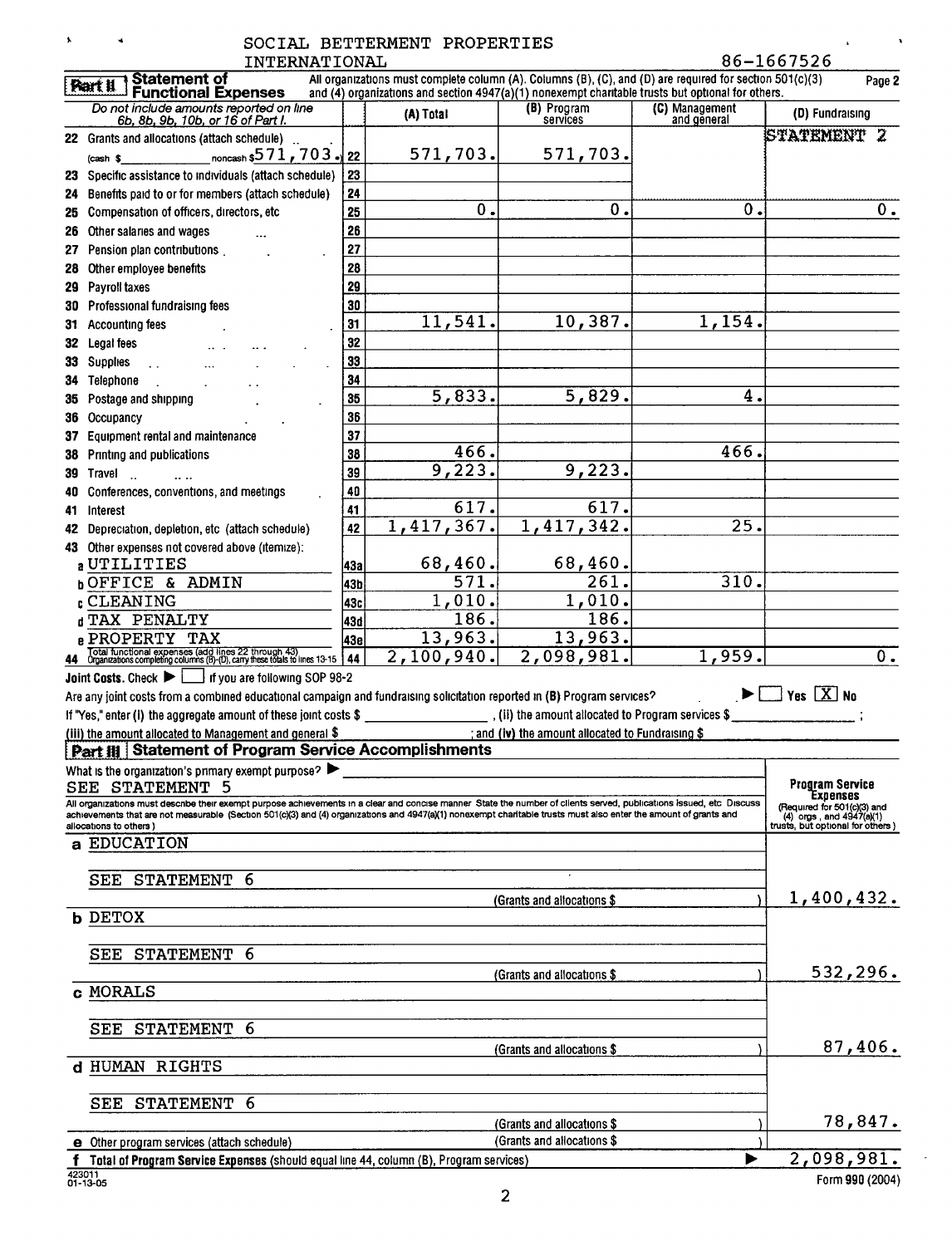| $\mathbf{A}$ |                         | INTERNATIONAL                                                                                                                                                                                                                                                                                                                             |          | SOCIAL BETTERMENT PROPERTIES                                                                             |                                                 |                               | 86-1667526                                              |
|--------------|-------------------------|-------------------------------------------------------------------------------------------------------------------------------------------------------------------------------------------------------------------------------------------------------------------------------------------------------------------------------------------|----------|----------------------------------------------------------------------------------------------------------|-------------------------------------------------|-------------------------------|---------------------------------------------------------|
|              |                         | Statement of                                                                                                                                                                                                                                                                                                                              |          | All organizations must complete column (A). Columns (B), (C), and (D) are required for section 501(c)(3) |                                                 |                               | Page 2                                                  |
|              | <b>Part !!</b>          | <b>Functional Expenses</b>                                                                                                                                                                                                                                                                                                                |          | and (4) organizations and section $4947(a)(1)$ nonexempt charitable trusts but optional for others.      |                                                 |                               |                                                         |
|              |                         | Do not include amounts reported on line<br>6b, 8b, 9b, 10b, or 16 of Part I.                                                                                                                                                                                                                                                              |          | (A) Total                                                                                                | (B) Program<br>services                         | (C) Management<br>and general | (D) Fundraising                                         |
|              |                         | 22 Grants and allocations (attach schedule)                                                                                                                                                                                                                                                                                               |          |                                                                                                          |                                                 |                               | STATEMENT 2                                             |
|              | $(cash$ \$              | noncash $$571$ , $703$ $\rightarrow$ 22                                                                                                                                                                                                                                                                                                   |          | 571,703.                                                                                                 | 571,703.                                        |                               |                                                         |
| 23           |                         | Specific assistance to individuals (attach schedule)                                                                                                                                                                                                                                                                                      | 23<br>24 |                                                                                                          |                                                 |                               |                                                         |
| 24<br>25     |                         | Benefits paid to or for members (attach schedule)<br>Compensation of officers, directors, etc.                                                                                                                                                                                                                                            | 25       | 0.                                                                                                       | 0.                                              | 0.                            | $0$ .                                                   |
| 26           |                         | Other salaries and wages                                                                                                                                                                                                                                                                                                                  | 26       |                                                                                                          |                                                 |                               |                                                         |
| 27           |                         | Pension plan contributions.                                                                                                                                                                                                                                                                                                               | 27       |                                                                                                          |                                                 |                               |                                                         |
| 28           |                         | Other employee benefits                                                                                                                                                                                                                                                                                                                   | 28       |                                                                                                          |                                                 |                               |                                                         |
| 29           | Payroll taxes           |                                                                                                                                                                                                                                                                                                                                           | 29       |                                                                                                          |                                                 |                               |                                                         |
| 30           |                         | Professional fundraising fees                                                                                                                                                                                                                                                                                                             | 30       |                                                                                                          |                                                 |                               |                                                         |
|              | 31 Accounting fees      |                                                                                                                                                                                                                                                                                                                                           | 31       | 11,541.                                                                                                  | 10,387.                                         | 1,154.                        |                                                         |
| 32           | Legal fees              |                                                                                                                                                                                                                                                                                                                                           | 32       |                                                                                                          |                                                 |                               |                                                         |
| 33           | <b>Supplies</b>         | $\ddot{\phantom{a}}$                                                                                                                                                                                                                                                                                                                      | 33       |                                                                                                          |                                                 |                               |                                                         |
|              | 34 Telephone            |                                                                                                                                                                                                                                                                                                                                           | 34       |                                                                                                          |                                                 |                               |                                                         |
| 35           |                         | Postage and shipping                                                                                                                                                                                                                                                                                                                      | 35       | $\overline{5,833}$ .                                                                                     | 5,829.                                          | 4.                            |                                                         |
|              | 36 Occupancy            |                                                                                                                                                                                                                                                                                                                                           | 36       |                                                                                                          |                                                 |                               |                                                         |
|              |                         | 37 Equipment rental and maintenance                                                                                                                                                                                                                                                                                                       | 37<br>38 | $\overline{466}$ .                                                                                       |                                                 | 466.                          |                                                         |
| 38<br>39     | Travel                  | Printing and publications                                                                                                                                                                                                                                                                                                                 | 39       | 9,223.                                                                                                   | 9,223.                                          |                               |                                                         |
| 40           |                         | $\overline{1}$<br>Conferences, conventions, and meetings                                                                                                                                                                                                                                                                                  | 40       |                                                                                                          |                                                 |                               |                                                         |
| 41           | Interest                |                                                                                                                                                                                                                                                                                                                                           | 41       | 617.                                                                                                     | 617.                                            |                               |                                                         |
|              |                         | 42 Depreciation, depletion, etc (attach schedule)                                                                                                                                                                                                                                                                                         | 42       | $\overline{1, 417, 367}$ .                                                                               | 1,417,342.                                      | $\overline{25}$ .             |                                                         |
|              |                         | 43 Other expenses not covered above (itemize):                                                                                                                                                                                                                                                                                            |          |                                                                                                          |                                                 |                               |                                                         |
|              |                         | a UTILITIES                                                                                                                                                                                                                                                                                                                               | 43a      | 68,460.                                                                                                  | 68,460.                                         |                               |                                                         |
|              |                         | <b>bOFFICE &amp; ADMIN</b>                                                                                                                                                                                                                                                                                                                | 43b      | $\overline{5}71.$                                                                                        | $\overline{261}$ .                              | 310.                          |                                                         |
|              |                         | <b>CLEANING</b>                                                                                                                                                                                                                                                                                                                           | 43c      | 1,010.                                                                                                   | 1,010.                                          |                               |                                                         |
|              |                         | d TAX PENALTY                                                                                                                                                                                                                                                                                                                             | 43d      | 186.                                                                                                     | 186.                                            |                               |                                                         |
|              |                         | <b>B PROPERTY TAX</b><br>Total functional expenses (add lines 22 through 43)<br>44 Organizations completing columns (B)-(D), carry these totals to lines 13-15                                                                                                                                                                            | 43e      | 13,963.<br>2,100,940.                                                                                    | 13,963.<br>2,098,981.                           | $\overline{1,959}$ .          | $\overline{0}$ .                                        |
|              |                         | $\perp$ if you are following SOP 98-2<br>Joint Costs. Check $\blacktriangleright \sqcup$                                                                                                                                                                                                                                                  | 44       |                                                                                                          |                                                 |                               |                                                         |
|              |                         | Are any joint costs from a combined educational campaign and fundraising solicitation reported in (B) Program services?                                                                                                                                                                                                                   |          |                                                                                                          |                                                 |                               | $\Box$ Yes $[\overline{\mathrm{X}}]$ No                 |
|              |                         | If "Yes," enter (i) the aggregate amount of these joint costs \$ ______________________, (ii) the amount allocated to Program services \$                                                                                                                                                                                                 |          |                                                                                                          |                                                 |                               |                                                         |
|              |                         | (iii) the amount allocated to Management and general \$                                                                                                                                                                                                                                                                                   |          |                                                                                                          | and (iv) the amount allocated to Fundraising \$ |                               |                                                         |
|              |                         | <b>Part # Statement of Program Service Accomplishments</b>                                                                                                                                                                                                                                                                                |          |                                                                                                          |                                                 |                               |                                                         |
|              |                         | What is the organization's primary exempt purpose?                                                                                                                                                                                                                                                                                        |          |                                                                                                          |                                                 |                               |                                                         |
|              |                         | <b>SEE STATEMENT 5</b>                                                                                                                                                                                                                                                                                                                    |          |                                                                                                          |                                                 |                               | <b>Program Service</b><br>Expenses                      |
|              |                         | All organizations must describe their exempt purpose achievements in a clear and concise manner State the number of clients served, publications issued, etc Discuss<br>achievements that are not measurable (Section 501(c)(3) and (4) organizations and 4947(a)(1) nonexempt charitable trusts must also enter the amount of grants and |          |                                                                                                          |                                                 |                               | (Required for 501(c)(3) and<br>(4) orgs, and 4947(a)(1) |
|              | allocations to others ) | <b>EDUCATION</b>                                                                                                                                                                                                                                                                                                                          |          |                                                                                                          |                                                 |                               | trusts, but optional for others )                       |
| а            |                         |                                                                                                                                                                                                                                                                                                                                           |          |                                                                                                          |                                                 |                               |                                                         |
|              | SEE                     | <b>STATEMENT</b><br>6                                                                                                                                                                                                                                                                                                                     |          |                                                                                                          |                                                 |                               |                                                         |
|              |                         |                                                                                                                                                                                                                                                                                                                                           |          |                                                                                                          | (Grants and allocations \$                      |                               | 1,400,432.                                              |
|              | <b>b</b> DETOX          |                                                                                                                                                                                                                                                                                                                                           |          |                                                                                                          |                                                 |                               |                                                         |
|              |                         |                                                                                                                                                                                                                                                                                                                                           |          |                                                                                                          |                                                 |                               |                                                         |
|              |                         | <b>SEE STATEMENT 6</b>                                                                                                                                                                                                                                                                                                                    |          |                                                                                                          |                                                 |                               |                                                         |
|              |                         |                                                                                                                                                                                                                                                                                                                                           |          |                                                                                                          | (Grants and allocations \$                      |                               | 532,296.                                                |
|              | c MORALS                |                                                                                                                                                                                                                                                                                                                                           |          |                                                                                                          |                                                 |                               |                                                         |
|              | SEE                     | <b>STATEMENT</b><br>6                                                                                                                                                                                                                                                                                                                     |          |                                                                                                          |                                                 |                               |                                                         |
|              |                         |                                                                                                                                                                                                                                                                                                                                           |          |                                                                                                          | (Grants and allocations \$)                     |                               | 87,406.                                                 |
|              |                         | d HUMAN RIGHTS                                                                                                                                                                                                                                                                                                                            |          |                                                                                                          |                                                 |                               |                                                         |
|              |                         |                                                                                                                                                                                                                                                                                                                                           |          |                                                                                                          |                                                 |                               |                                                         |
|              | SEE                     | STATEMENT 6                                                                                                                                                                                                                                                                                                                               |          |                                                                                                          |                                                 |                               |                                                         |
|              |                         |                                                                                                                                                                                                                                                                                                                                           |          |                                                                                                          | (Grants and allocations \$)                     |                               | 78,847.                                                 |
|              |                         | <b>e</b> Other program services (attach schedule)                                                                                                                                                                                                                                                                                         |          |                                                                                                          | (Grants and allocations \$)                     |                               |                                                         |
|              | 423011                  | Total of Program Service Expenses (should equal line 44, column (B), Program services)                                                                                                                                                                                                                                                    |          |                                                                                                          |                                                 |                               | 2,098,981.                                              |
|              | 01-13-05                |                                                                                                                                                                                                                                                                                                                                           |          |                                                                                                          |                                                 |                               | Form 990 (2004)                                         |

 $\pmb{\lambda}$ 

 $\sim$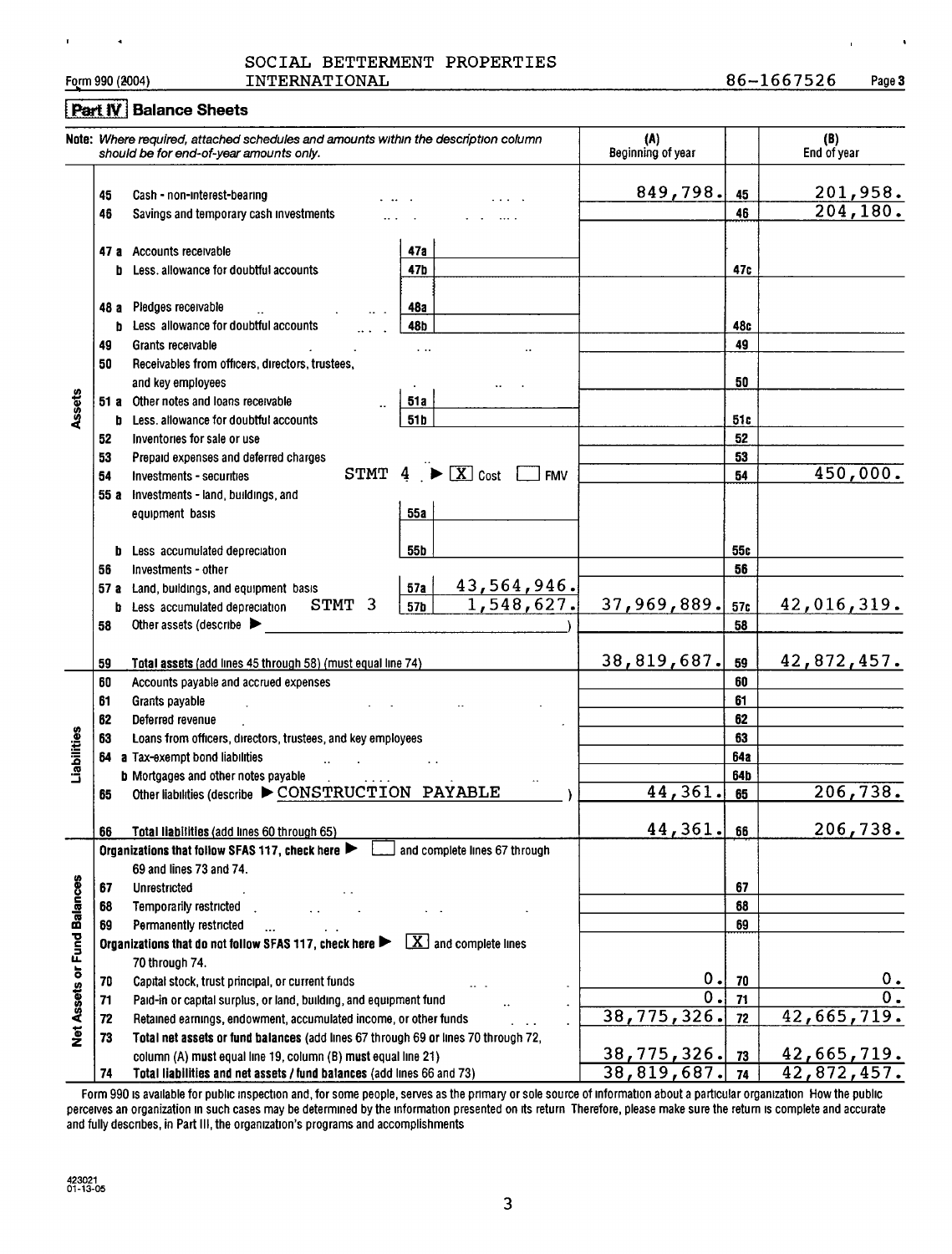|  | SOCIAL BETTERMENT PROPERTIES |  |            |  |
|--|------------------------------|--|------------|--|
|  |                              |  | ---------- |  |

 $\ddot{\phantom{0}}$ 

 $\mathbf{r}$ 

Form 990 (2004) INTERNATIONAL 86-1667526 Page 3

ı,

### Part IV Balance Sheets

|                             |           | Note: Where required, attached schedules and amounts within the description column<br>should be for end-of-year amounts only. |                                                               | (A)<br>Beginning of year |          | (B)<br>End of year           |
|-----------------------------|-----------|-------------------------------------------------------------------------------------------------------------------------------|---------------------------------------------------------------|--------------------------|----------|------------------------------|
|                             | 45<br>46  | Cash - non-interest-bearing<br>Savings and temporary cash investments                                                         |                                                               | 849,798.                 | 45<br>46 | <u>201,958.</u><br>204, 180. |
|                             | b.        | 47 a Accounts receivable<br>Less, allowance for doubtful accounts                                                             | 47a<br>47b                                                    |                          | 47c      |                              |
|                             | 48 а<br>b | Pledges receivable<br>Less allowance for doubtful accounts                                                                    | 48a<br>48b                                                    |                          | 48c      |                              |
|                             | 49        | Grants receivable                                                                                                             |                                                               |                          | 49       |                              |
|                             | 50        | Receivables from officers, directors, trustees,                                                                               |                                                               |                          |          |                              |
|                             |           | and key employees                                                                                                             |                                                               |                          | 50       |                              |
|                             |           | 51 a Other notes and loans receivable                                                                                         | 51 a                                                          |                          |          |                              |
| Assets                      | b.        | Less, allowance for doubtful accounts                                                                                         | 51 b                                                          |                          | 51 c     |                              |
|                             | 52        | Inventories for sale or use                                                                                                   |                                                               |                          | 52       |                              |
|                             | 53        | Prepaid expenses and deferred charges                                                                                         |                                                               |                          | 53       |                              |
|                             | 54        | Investments - securities                                                                                                      | STMT $4 \rightarrow \boxed{X}$ Cost $\boxed{\phantom{1}}$ FMV |                          | 54       | 450,000.                     |
|                             | 55 a      | Investments - land, buildings, and                                                                                            |                                                               |                          |          |                              |
|                             |           | equipment basis                                                                                                               | <b>55a</b>                                                    |                          |          |                              |
|                             |           |                                                                                                                               |                                                               |                          |          |                              |
|                             | b         | Less accumulated depreciation                                                                                                 | 55b                                                           |                          | 55c      |                              |
|                             | 56        | Investments - other                                                                                                           |                                                               |                          | 56       |                              |
|                             | 57 a      | Land, buildings, and equipment basis                                                                                          | <u>43,564,946.</u><br>57a                                     |                          |          |                              |
|                             | b         | STMT 3<br>Less accumulated depreciation                                                                                       | 1,548,627.<br>57 <sub>b</sub>                                 | 37,969,889.              | 57c      | 42,016,319.                  |
|                             | 58        | Other assets (describe                                                                                                        |                                                               |                          | 58       |                              |
|                             |           |                                                                                                                               |                                                               |                          |          |                              |
|                             | 59        | Total assets (add lines 45 through 58) (must equal line 74)                                                                   |                                                               | 38,819,687.              | 59       | 42,872,457.                  |
|                             | 60        | Accounts payable and accrued expenses                                                                                         |                                                               |                          | 60       |                              |
|                             | 61        | Grants payable                                                                                                                |                                                               |                          | 61       |                              |
|                             | 62        | Deferred revenue                                                                                                              |                                                               |                          | 62       |                              |
|                             | 63        | Loans from officers, directors, trustees, and key employees                                                                   |                                                               |                          | 63       |                              |
| Liabilities                 | 64        | a Tax-exempt bond liabilities                                                                                                 |                                                               |                          | 64a      |                              |
|                             |           | <b>b</b> Mortgages and other notes payable                                                                                    |                                                               |                          | 64b      |                              |
|                             | 65        | Other liabilities (describe $\blacktriangleright$ CONSTRUCTION PAYABLE                                                        |                                                               | 44,361.                  | 65       | 206,738.                     |
|                             | 66        | Total liabilities (add lines 60 through 65)                                                                                   |                                                               | 44,361.                  | 66       | 206,738.                     |
|                             |           | Organizations that follow SFAS 117, check here                                                                                | and complete lines 67 through                                 |                          |          |                              |
|                             |           | 69 and lines 73 and 74.                                                                                                       |                                                               |                          |          |                              |
|                             | 67        | Unrestricted                                                                                                                  |                                                               |                          | 67       |                              |
|                             | 68        | Temporarily restricted                                                                                                        |                                                               |                          | 68       |                              |
|                             | 69        | Permanently restricted                                                                                                        |                                                               |                          | 69       |                              |
|                             |           | Organizations that do not follow SFAS 117, check here                                                                         | $\boxed{\textbf{X}}$ and complete lines                       |                          |          |                              |
|                             |           | 70 through 74.                                                                                                                |                                                               |                          |          |                              |
| Net Assets or Fund Balances | 70        | Capital stock, trust principal, or current funds                                                                              |                                                               | 0.<br>$\overline{0}$ .   | 70       | 0.<br>$\overline{0}$ .       |
|                             | 71        | Paid-in or capital surplus, or land, building, and equipment fund                                                             |                                                               | 38,775,326.              | 71       |                              |
|                             | 72        | Retained earnings, endowment, accumulated income, or other funds                                                              |                                                               |                          | 72       | 42,665,719.                  |
|                             | 73        | Total net assets or fund balances (add lines 67 through 69 or lines 70 through 72,                                            |                                                               |                          |          |                              |
|                             |           | column (A) must equal line 19, column (B) must equal line 21)                                                                 |                                                               | 38,775,326.              | 73       | 42,665,719.                  |
|                             | 74        | Total liabilities and net assets / fund balances (add lines 66 and 73)                                                        |                                                               | 38,819,687.              | 74       | $\overline{42,872,457}$ .    |

Form 990 is available for public inspection and, for some people, serves as the primary or sole source of information about a particular organization How the public perceives an organization m such cases may be determined by the information presented on its return Therefore, please make sure the return is complete and accurate and fully describes, in Part III, the organization's programs and accomplishments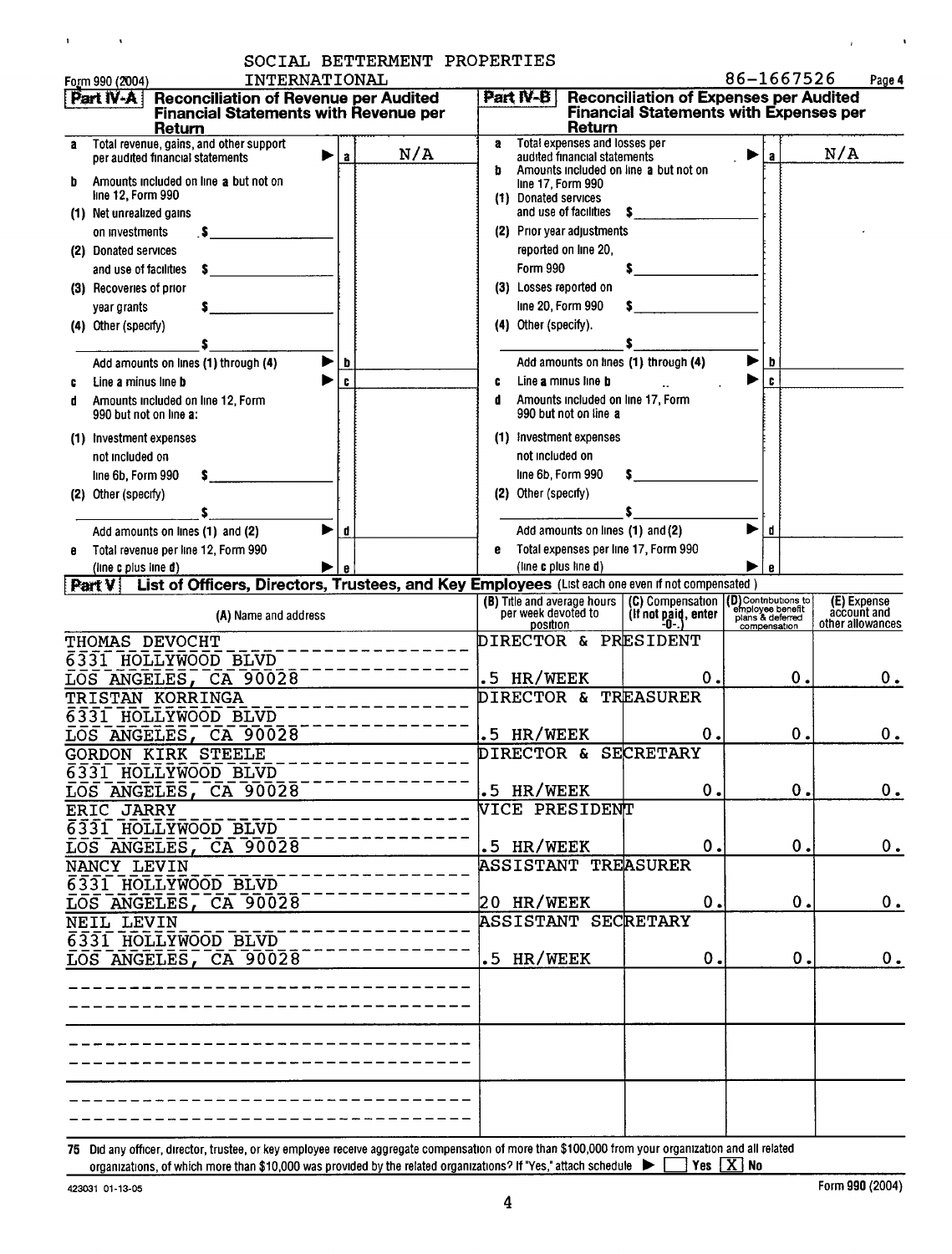| SOCIAL BETTERMENT PROPERTIES<br>INTERNATIONAL<br>Form 990 (2004)                                                                                                            | 86-1667526<br>Page 4                                                                                                                                                                                                                               |
|-----------------------------------------------------------------------------------------------------------------------------------------------------------------------------|----------------------------------------------------------------------------------------------------------------------------------------------------------------------------------------------------------------------------------------------------|
| <b>Reconciliation of Revenue per Audited</b><br>  Part IV-A  <br><b>Financial Statements with Revenue per</b><br>Return                                                     | <b>Reconciliation of Expenses per Audited</b><br>Part IV-B<br><b>Financial Statements with Expenses per</b><br>Return                                                                                                                              |
| Total revenue, gains, and other support<br>N/A<br>per audited financial statements<br>$\mathbf{a}$                                                                          | Total expenses and losses per<br>а<br>N/A<br>audited financial statements<br>Amounts included on line a but not on<br>b                                                                                                                            |
| Amounts included on line a but not on<br>line 12, Form 990<br>(1) Net unrealized gains                                                                                      | line 17, Form 990<br>(1) Donated services<br>and use of facilities<br>s.                                                                                                                                                                           |
| on investments<br>(2) Donated services<br>and use of facilities                                                                                                             | (2) Prior year adjustments<br>reported on line 20,<br>Form 990                                                                                                                                                                                     |
| (3) Recoveries of prior<br>year grants<br>(4) Other (specify)                                                                                                               | (3) Losses reported on<br>line 20, Form 990<br>(4) Other (specify).                                                                                                                                                                                |
| Add amounts on lines (1) through (4)<br>b<br>C<br>Line a minus line b                                                                                                       | Add amounts on tines (1) through (4)<br>Line a minus line b<br>c                                                                                                                                                                                   |
| Amounts included on line 12, Form<br>990 but not on line a:                                                                                                                 | c<br>Amounts included on line 17, Form<br>đ<br>990 but not on line a                                                                                                                                                                               |
| (1) Investment expenses<br>not included on<br>line 6b, Form 990                                                                                                             | (1) Investment expenses<br>not included on<br>line 6b, Form 990                                                                                                                                                                                    |
| (2) Other (specify)<br>▶<br>Add amounts on lines (1) and (2)<br>d                                                                                                           | (2) Other (specify)<br>Add amounts on lines (1) and (2)<br>▶<br>d                                                                                                                                                                                  |
| Total revenue per line 12, Form 990<br>(line c plus line d)<br>List of Officers, Directors, Trustees, and Key Employees (List each one even if not compensated)<br>[Part V] | Total expenses per line 17, Form 990<br>e<br>(line c plus line d)<br>e                                                                                                                                                                             |
| (A) Name and address                                                                                                                                                        | (D) Contributions to<br>(B) Title and average hours<br>(C) Compensation<br>(E) Expense<br>employee benefit<br>account and<br>per week devoted to<br>(If not paid, enter<br>plans & deferred<br>other allowances<br>position<br>-0-<br>compensation |
| THOMAS DEVOCHT<br>6331 HOLLYWOOD BLVD<br>LOS ANGELES, CA 90028                                                                                                              | DIRECTOR & PRESIDENT<br>0.<br>HR/WEEK<br>0.<br>0.<br>$\cdot$ 5                                                                                                                                                                                     |
| TRISTAN KORRINGA<br>6331 HOLLYWOOD BLVD<br>LOS ANGELES, CA 90028                                                                                                            | DIRECTOR & TREASURER<br>.5 HR/WEEK<br>0.<br>Ο.<br>О.                                                                                                                                                                                               |
| <b>GORDON KIRK STEELE</b><br>6331 HOLLYWOOD BLVD<br>LOS ANGELES, CA 90028                                                                                                   | DIRECTOR & SECRETARY<br>.5 HR/WEEK<br>0.<br>0.<br>0.                                                                                                                                                                                               |
| ERIC JARRY<br>6331 HOLLYWOOD BLVD                                                                                                                                           | <b>VICE PRESIDENT</b>                                                                                                                                                                                                                              |
| LOS ANGELES, CA 90028<br>NANCY LEVIN<br>6331 HOLLYWOOD BLVD                                                                                                                 | .5 HR/WEEK<br>0.<br>0.<br>0.<br><b>ASSISTANT TREASURER</b>                                                                                                                                                                                         |
| LOS ANGELES, CA 90028<br>NEIL LEVIN<br>6331 HOLLYWOOD BLVD                                                                                                                  | 20 HR/WEEK<br>0.<br>0.<br>$0$ .<br><b>ASSISTANT SECRETARY</b>                                                                                                                                                                                      |
| LOS ANGELES, CA 90028                                                                                                                                                       | .5 HR/WEEK<br>0.<br>0.<br>0.                                                                                                                                                                                                                       |
|                                                                                                                                                                             |                                                                                                                                                                                                                                                    |
|                                                                                                                                                                             |                                                                                                                                                                                                                                                    |
|                                                                                                                                                                             |                                                                                                                                                                                                                                                    |

75 Did any officer, director, trustee, or key employee receive aggregate compensation of more than \$100,000 from your organization and all related<br>organizations, of which more than \$10,000 was provided by the related orga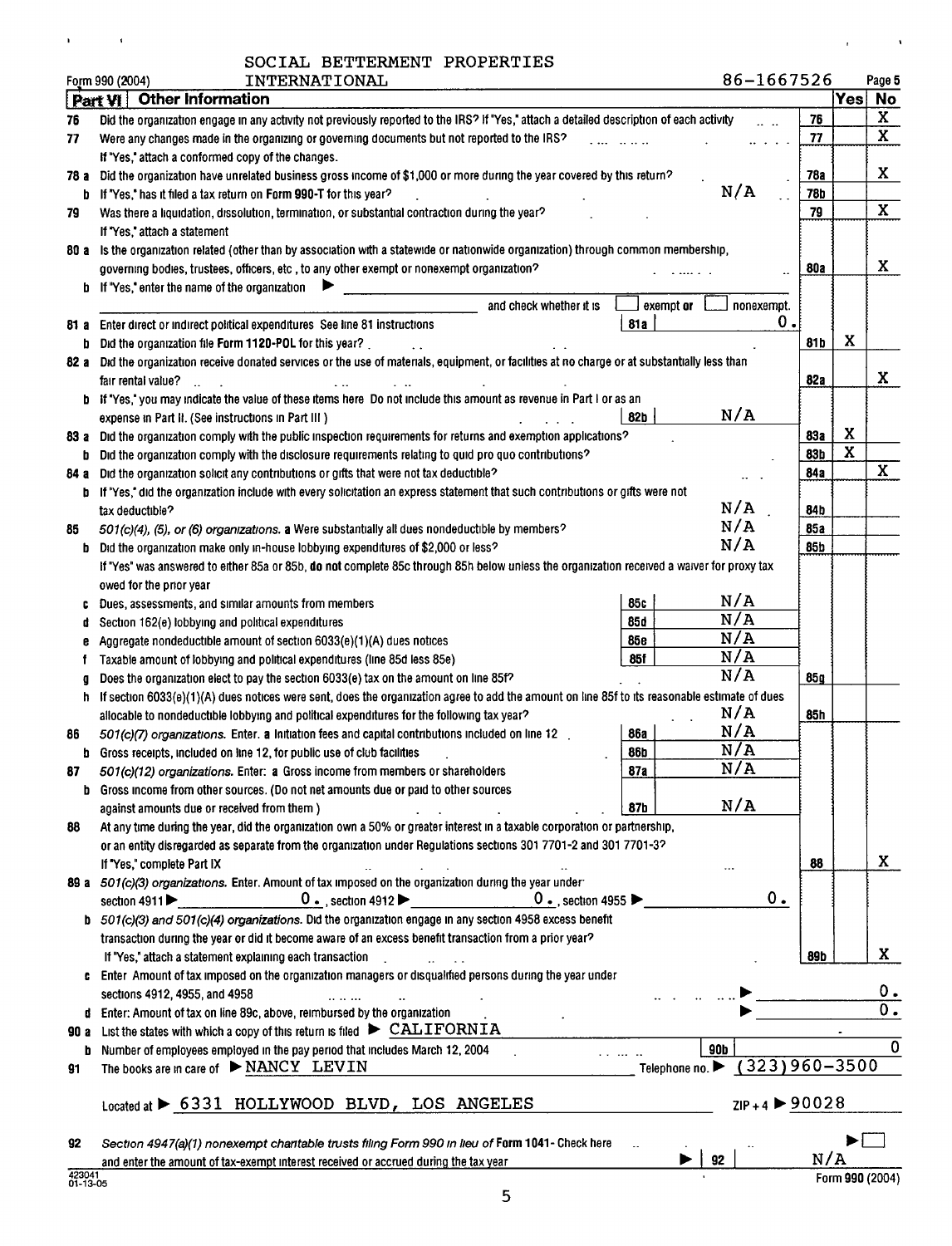| SOCIAL BETTERMENT PROPERTIES |  |
|------------------------------|--|
|                              |  |

 $\alpha$  and  $\alpha$  and  $\alpha$ 

|       | 86-1667526<br>Form 990 (2004)<br>INTERNATIONAL                                                                                                |            |             | Page 5                  |
|-------|-----------------------------------------------------------------------------------------------------------------------------------------------|------------|-------------|-------------------------|
|       | <b>Other Information</b><br>Part VI                                                                                                           |            | Yes No      |                         |
| 76    | Did the organization engage in any activity not previously reported to the IRS? If "Yes," attach a detailed description of each activity      | 76         |             | X                       |
| 77    | Were any changes made in the organizing or governing documents but not reported to the IRS?                                                   | 77         |             | $\overline{\mathbf{x}}$ |
|       | If "Yes," attach a conformed copy of the changes.                                                                                             |            |             |                         |
| 78 а  | Did the organization have unrelated business gross income of \$1,000 or more during the year covered by this return?                          | 78a        |             | X                       |
| b     | N/A<br>If "Yes," has it filed a tax return on Form 990-T for this year?                                                                       | 78b        |             |                         |
| 79    | Was there a liquidation, dissolution, termination, or substantial contraction during the year?                                                | 79         |             | $\mathbf X$             |
|       | If "Yes," attach a statement                                                                                                                  |            |             |                         |
|       | 80 a Is the organization related (other than by association with a statewide or nationwide organization) through common membership,           |            |             |                         |
|       | governing bodies, trustees, officers, etc, to any other exempt or nonexempt organization?                                                     | 80a        |             | X                       |
|       | If "Yes," enter the name of the organization                                                                                                  |            |             |                         |
|       | exempt or<br>and check whether it is<br>nonexempt.                                                                                            |            |             |                         |
| 81 a  | 0.<br>81a<br>Enter direct or indirect political expenditures See line 81 instructions                                                         |            |             |                         |
| b     | Did the organization file Form 1120-POL for this year?                                                                                        | 81 b       | X           |                         |
| 82 a  | Did the organization receive donated services or the use of materials, equipment, or facilities at no charge or at substantially less than    |            |             |                         |
|       | fair rental value?                                                                                                                            | 82a        |             | X                       |
|       | If "Yes," you may indicate the value of these items here Do not include this amount as revenue in Part I or as an                             |            |             |                         |
|       | N/A<br>82b<br>expense in Part II. (See instructions in Part III )                                                                             |            |             |                         |
| 83 a  | Did the organization comply with the public inspection requirements for returns and exemption applications?                                   | <b>83a</b> | X           |                         |
| D     | Did the organization comply with the disclosure requirements relating to quid pro quo contributions?                                          | 83b        | $\mathbf x$ |                         |
| 84 a  | Did the organization solicit any contributions or gifts that were not tax deductible?                                                         | 84а        |             | X                       |
| Þ     | If "Yes," did the organization include with every solicitation an express statement that such contributions or gifts were not                 |            |             |                         |
|       | N/A<br>tax deductible?                                                                                                                        | 84b        |             |                         |
| 85    | N/A<br>501(c)(4), (5), or (6) organizations. a Were substantially all dues nondeductible by members?                                          | <b>85a</b> |             |                         |
| D     | N/A<br>Did the organization make only in-house lobbying expenditures of \$2,000 or less?                                                      | 85b        |             |                         |
|       | If "Yes" was answered to either 85a or 85b, do not complete 85c through 85h below unless the organization received a waiver for proxy tax     |            |             |                         |
|       | owed for the prior year                                                                                                                       |            |             |                         |
|       | N/A<br>85c<br>Dues, assessments, and similar amounts from members                                                                             |            |             |                         |
|       | N/A<br>85d<br>Section 162(e) lobbying and political expenditures                                                                              |            |             |                         |
|       | N/A<br>85е<br>Aggregate nondeductible amount of section 6033(e)(1)(A) dues notices                                                            |            |             |                         |
|       | N/A<br>85f<br>Taxable amount of lobbying and political expenditures (line 85d less 85e)                                                       |            |             |                         |
|       | N/A<br>Does the organization elect to pay the section 6033(e) tax on the amount on line 85f?                                                  | 85 g       |             |                         |
| n     | If section 6033(e)(1)(A) dues notices were sent, does the organization agree to add the amount on line 85f to its reasonable estimate of dues |            |             |                         |
|       | N/A<br>allocable to nondeductible lobbying and political expenditures for the following tax year?                                             | 85h        |             |                         |
| 86    | N/A<br>501(c)(7) organizations. Enter. a Initiation fees and capital contributions included on line 12<br>86a                                 |            |             |                         |
|       | N/A<br>86b<br>Gross receipts, included on line 12, for public use of club facilities                                                          |            |             |                         |
| 81    | N/A<br>87a<br>501(c)(12) organizations. Enter: a Gross income from members or shareholders                                                    |            |             |                         |
| b     | Gross income from other sources. (Do not net amounts due or paid to other sources                                                             |            |             |                         |
|       | N/A<br>against amounts due or received from them )<br>87b                                                                                     |            |             |                         |
| 88    | At any time during the year, did the organization own a 50% or greater interest in a taxable corporation or partnership,                      |            |             |                         |
|       | or an entity disregarded as separate from the organization under Regulations sections 301 7701-2 and 301 7701-3?                              |            |             |                         |
|       | If "Yes," complete Part IX                                                                                                                    | 88         |             | X                       |
|       | 89 a 501(c)(3) organizations. Enter. Amount of tax imposed on the organization during the year under                                          |            |             |                         |
|       | 0.<br>$\overline{0}$ . section 4912<br>$0$ ., section 4955<br>section 4911                                                                    |            |             |                         |
|       | b 501(c)(3) and 501(c)(4) organizations. Did the organization engage in any section 4958 excess benefit                                       |            |             |                         |
|       | transaction during the year or did it become aware of an excess benefit transaction from a prior year?                                        |            |             |                         |
|       | If "Yes," attach a statement explaining each transaction                                                                                      | 89b        |             | X                       |
|       | c Enter Amount of tax imposed on the organization managers or disqualified persons during the year under                                      |            |             |                         |
|       | sections 4912, 4955, and 4958                                                                                                                 |            |             | 0.                      |
|       | d Enter: Amount of tax on line 89c, above, reimbursed by the organization                                                                     |            |             | $\overline{0}$ .        |
| 90 a  | List the states with which a copy of this return is filed $\blacktriangleright$ CALIFORNIA                                                    |            |             |                         |
| b     | 90b<br>Number of employees employed in the pay period that includes March 12, 2004                                                            |            |             | $\overline{0}$          |
| 91    | $(323)960 - 3500$<br>The books are in care of $\triangleright$ NANCY LEVIN<br>Telephone no. $\blacktriangleright$                             |            |             |                         |
|       |                                                                                                                                               |            |             |                         |
|       | $ZIP + 4$ $\triangleright$ 90028<br>Located at > 6331 HOLLYWOOD BLVD, LOS ANGELES                                                             |            |             |                         |
|       |                                                                                                                                               |            |             |                         |
| 92    | Section 4947(a)(1) nonexempt chantable trusts filing Form 990 in lieu of Form 1041- Check here                                                |            |             |                         |
| AODDA | 92<br>and enter the amount of tax-exempt interest received or accrued during the tax year                                                     | N/P        |             |                         |

 $\mathbf{u} = \mathbf{u} \times \mathbf{u}$  .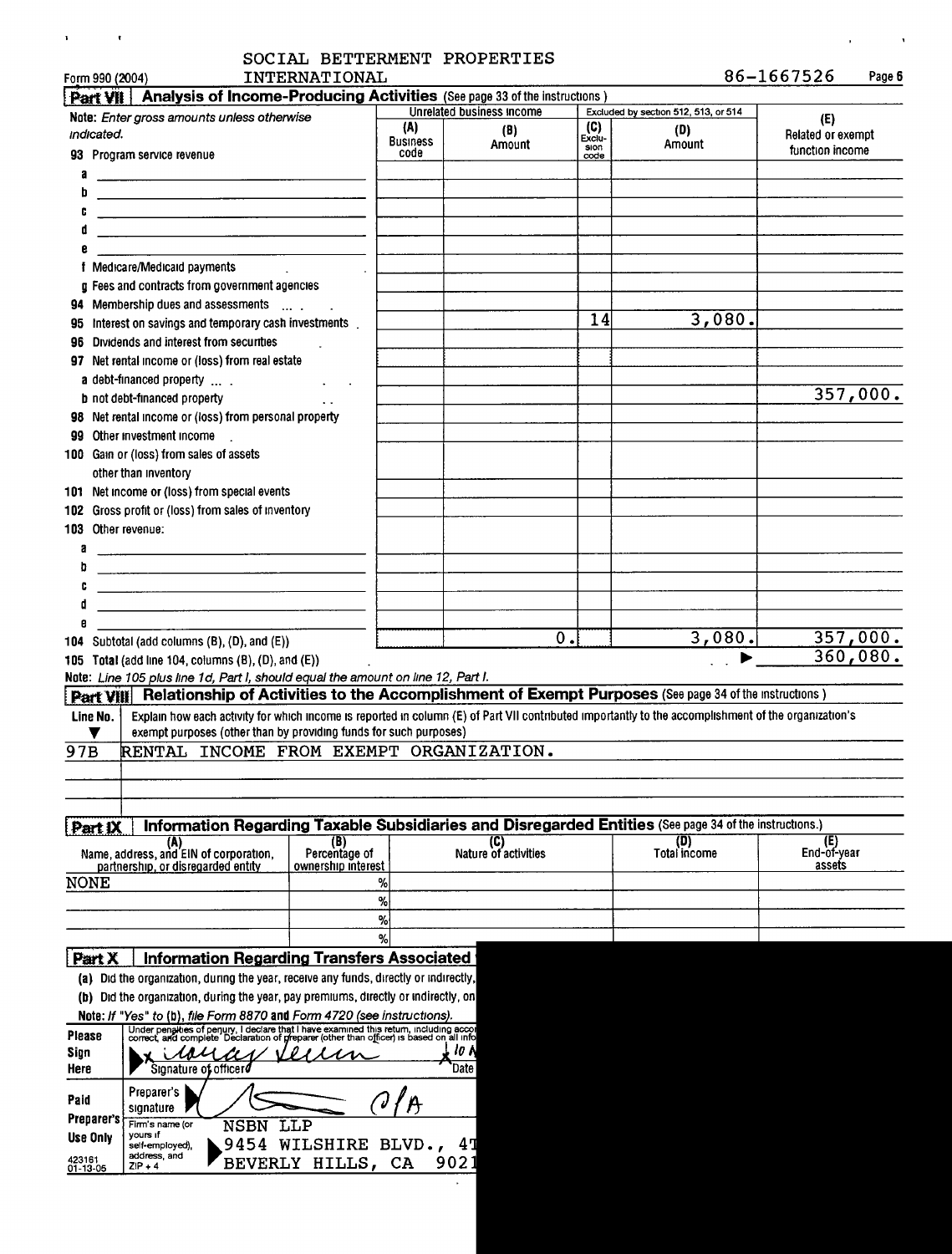# ' 1 SOCIAL BETTERMENT PROPERTIES '

| INTERNATIONAL |
|---------------|
|               |

 $\mathbf{u} = \mathbf{u} \times \mathbf{u}$  ,  $\mathbf{u} = \mathbf{u}$ 

 $86 - 1667526$  Page 6

 $\mathcal{L}(\mathcal{L})$  and  $\mathcal{L}(\mathcal{L})$  and  $\mathcal{L}(\mathcal{L})$ 

| Part VII           | Analysis of Income-Producing Activities (See page 33 of the instructions)                                                                                                                                                            |                                     |                        |                           |               |                                                                                                        |                    |
|--------------------|--------------------------------------------------------------------------------------------------------------------------------------------------------------------------------------------------------------------------------------|-------------------------------------|------------------------|---------------------------|---------------|--------------------------------------------------------------------------------------------------------|--------------------|
|                    | Note: Enter gross amounts unless otherwise                                                                                                                                                                                           |                                     |                        | Unrelated business income |               | Excluded by section 512, 513, or 514                                                                   | (E)                |
| indicated.         |                                                                                                                                                                                                                                      |                                     | (A)<br><b>Business</b> | (B)                       | (C)<br>Exclu- | (D)                                                                                                    | Related or exempt  |
|                    | 93 Program service revenue                                                                                                                                                                                                           |                                     | code                   | Amount                    | sion<br>code  | Amount                                                                                                 | function income    |
|                    |                                                                                                                                                                                                                                      |                                     |                        |                           |               |                                                                                                        |                    |
| b                  | <u>and the contract of the contract of the contract of the contract of the contract of the contract of the contract of the contract of the contract of the contract of the contract of the contract of the contract of the contr</u> |                                     |                        |                           |               |                                                                                                        |                    |
|                    |                                                                                                                                                                                                                                      |                                     |                        |                           |               |                                                                                                        |                    |
|                    |                                                                                                                                                                                                                                      |                                     |                        |                           |               |                                                                                                        |                    |
|                    |                                                                                                                                                                                                                                      |                                     |                        |                           |               |                                                                                                        |                    |
|                    | f Medicare/Medicald payments                                                                                                                                                                                                         |                                     |                        |                           |               |                                                                                                        |                    |
|                    | <b>a</b> Fees and contracts from government agencies                                                                                                                                                                                 |                                     |                        |                           |               |                                                                                                        |                    |
|                    | 94 Membership dues and assessments                                                                                                                                                                                                   |                                     |                        |                           |               |                                                                                                        |                    |
|                    | 95 Interest on savings and temporary cash investments                                                                                                                                                                                |                                     |                        |                           | 14            | 3,080.                                                                                                 |                    |
|                    | 96 Dividends and interest from securities                                                                                                                                                                                            |                                     |                        |                           |               |                                                                                                        |                    |
|                    | 97 Net rental income or (loss) from real estate                                                                                                                                                                                      |                                     |                        |                           |               |                                                                                                        |                    |
|                    | a debt-financed property                                                                                                                                                                                                             |                                     |                        |                           |               |                                                                                                        |                    |
|                    | <b>b</b> not debt-financed property                                                                                                                                                                                                  |                                     |                        |                           |               |                                                                                                        | 357,000.           |
|                    | 98 Net rental income or (loss) from personal property                                                                                                                                                                                |                                     |                        |                           |               |                                                                                                        |                    |
|                    | 99 Other investment income                                                                                                                                                                                                           |                                     |                        |                           |               |                                                                                                        |                    |
|                    | 100 Gain or (loss) from sales of assets                                                                                                                                                                                              |                                     |                        |                           |               |                                                                                                        |                    |
|                    | other than inventory                                                                                                                                                                                                                 |                                     |                        |                           |               |                                                                                                        |                    |
|                    | 101 Net income or (loss) from special events                                                                                                                                                                                         |                                     |                        |                           |               |                                                                                                        |                    |
|                    | 102 Gross profit or (loss) from sales of inventory                                                                                                                                                                                   |                                     |                        |                           |               |                                                                                                        |                    |
| 103 Other revenue: |                                                                                                                                                                                                                                      |                                     |                        |                           |               |                                                                                                        |                    |
| a                  | <u> The Community of the Community of the Community of the Community of the Community of the Community of the Community of the Community of the Community of the Community of the Community of the Community of the Community of</u> |                                     |                        |                           |               |                                                                                                        |                    |
| b                  | <u> 1989 - Johann Barn, fransk politik fotballski politik (d. 1989)</u>                                                                                                                                                              |                                     |                        |                           |               |                                                                                                        |                    |
|                    | <u> 2000 - Jan Samuel Barbara, martin da basar da basar da basar da basar da basar da basar da basar da basar da</u>                                                                                                                 |                                     |                        |                           |               |                                                                                                        |                    |
| đ                  | <u> 1980 - Johann Harry Harry Harry Harry Harry Harry Harry Harry Harry Harry Harry Harry Harry Harry Harry Harry</u>                                                                                                                |                                     |                        |                           |               |                                                                                                        |                    |
| е                  |                                                                                                                                                                                                                                      |                                     |                        |                           |               |                                                                                                        |                    |
|                    | 104 Subtotal (add columns (B), (D), and (E))                                                                                                                                                                                         |                                     |                        | 0.                        |               | 3,080.                                                                                                 | 357,000.           |
|                    | 105 Total (add line 104, columns (B), (D), and (E))                                                                                                                                                                                  |                                     |                        |                           |               | $\blacktriangleright$                                                                                  | 360,080.           |
|                    | Note: Line 105 plus line 1d, Part I, should equal the amount on line 12, Part I.                                                                                                                                                     |                                     |                        |                           |               |                                                                                                        |                    |
|                    | <b>Part VIII</b> Relationship of Activities to the Accomplishment of Exempt Purposes (See page 34 of the instructions)                                                                                                               |                                     |                        |                           |               |                                                                                                        |                    |
| Line No.           | Explain how each activity for which income is reported in column (E) of Part VII contributed importantly to the accomplishment of the organization's                                                                                 |                                     |                        |                           |               |                                                                                                        |                    |
|                    | exempt purposes (other than by providing funds for such purposes)                                                                                                                                                                    |                                     |                        |                           |               |                                                                                                        |                    |
| $\overline{97B}$   | RENTAL INCOME FROM EXEMPT ORGANIZATION.                                                                                                                                                                                              |                                     |                        |                           |               |                                                                                                        |                    |
|                    |                                                                                                                                                                                                                                      |                                     |                        |                           |               |                                                                                                        |                    |
|                    |                                                                                                                                                                                                                                      |                                     |                        |                           |               |                                                                                                        |                    |
|                    |                                                                                                                                                                                                                                      |                                     |                        |                           |               |                                                                                                        |                    |
| Part IX            |                                                                                                                                                                                                                                      |                                     |                        |                           |               | Information Regarding Taxable Subsidiaries and Disregarded Entities (See page 34 of the instructions.) |                    |
|                    | (A)                                                                                                                                                                                                                                  | (B)                                 |                        | (C)                       |               | (D)                                                                                                    | (E)<br>End-of-year |
|                    | Name, address, and EIN of corporation,<br>partnership, or disregarded entity                                                                                                                                                         | Percentage of<br>ownership interest |                        | Nature of activities      |               | Total income                                                                                           | assets             |
| NONE               |                                                                                                                                                                                                                                      |                                     | %                      |                           |               |                                                                                                        |                    |
|                    |                                                                                                                                                                                                                                      |                                     | %                      |                           |               |                                                                                                        |                    |
|                    |                                                                                                                                                                                                                                      |                                     | ℅                      |                           |               |                                                                                                        |                    |
|                    |                                                                                                                                                                                                                                      |                                     | %                      |                           |               |                                                                                                        |                    |
| Part X             | <b>Information Regarding Transfers Associated</b>                                                                                                                                                                                    |                                     |                        |                           |               |                                                                                                        |                    |
|                    | (a) Did the organization, during the year, receive any funds, directly or indirectly,                                                                                                                                                |                                     |                        |                           |               |                                                                                                        |                    |
|                    | (b) Did the organization, during the year, pay premiums, directly or indirectly, on                                                                                                                                                  |                                     |                        |                           |               |                                                                                                        |                    |
|                    | Note: If "Yes" to (b), file Form 8870 and Form 4720 (see instructions).                                                                                                                                                              |                                     |                        |                           |               |                                                                                                        |                    |
| Please             | Under penakies of penury, I declare that I have examined this return, including accor<br>correct, and complete Declaration of preparer (other than officer) is based on all info                                                     |                                     |                        |                           |               |                                                                                                        |                    |
| Sign               |                                                                                                                                                                                                                                      |                                     |                        | 10 N                      |               |                                                                                                        |                    |
| Here               | Signature of officero                                                                                                                                                                                                                |                                     |                        | Date                      |               |                                                                                                        |                    |
|                    | Preparer's                                                                                                                                                                                                                           |                                     |                        |                           |               |                                                                                                        |                    |
| Paid               | signature                                                                                                                                                                                                                            |                                     |                        |                           |               |                                                                                                        |                    |
| Preparer's         | Firm's name (or<br>NSBN                                                                                                                                                                                                              | LLP                                 |                        |                           |               |                                                                                                        |                    |
| Use Only           | yours if<br>self-employed),                                                                                                                                                                                                          | 9454 WILSHIRE BLVD.,                |                        | 41                        |               |                                                                                                        |                    |
| 423161             | address, and<br>$ZIP + 4$                                                                                                                                                                                                            | BEVERLY HILLS, CA                   |                        | 9021                      |               |                                                                                                        |                    |
| $01 - 13 - 05$     |                                                                                                                                                                                                                                      |                                     |                        |                           |               |                                                                                                        |                    |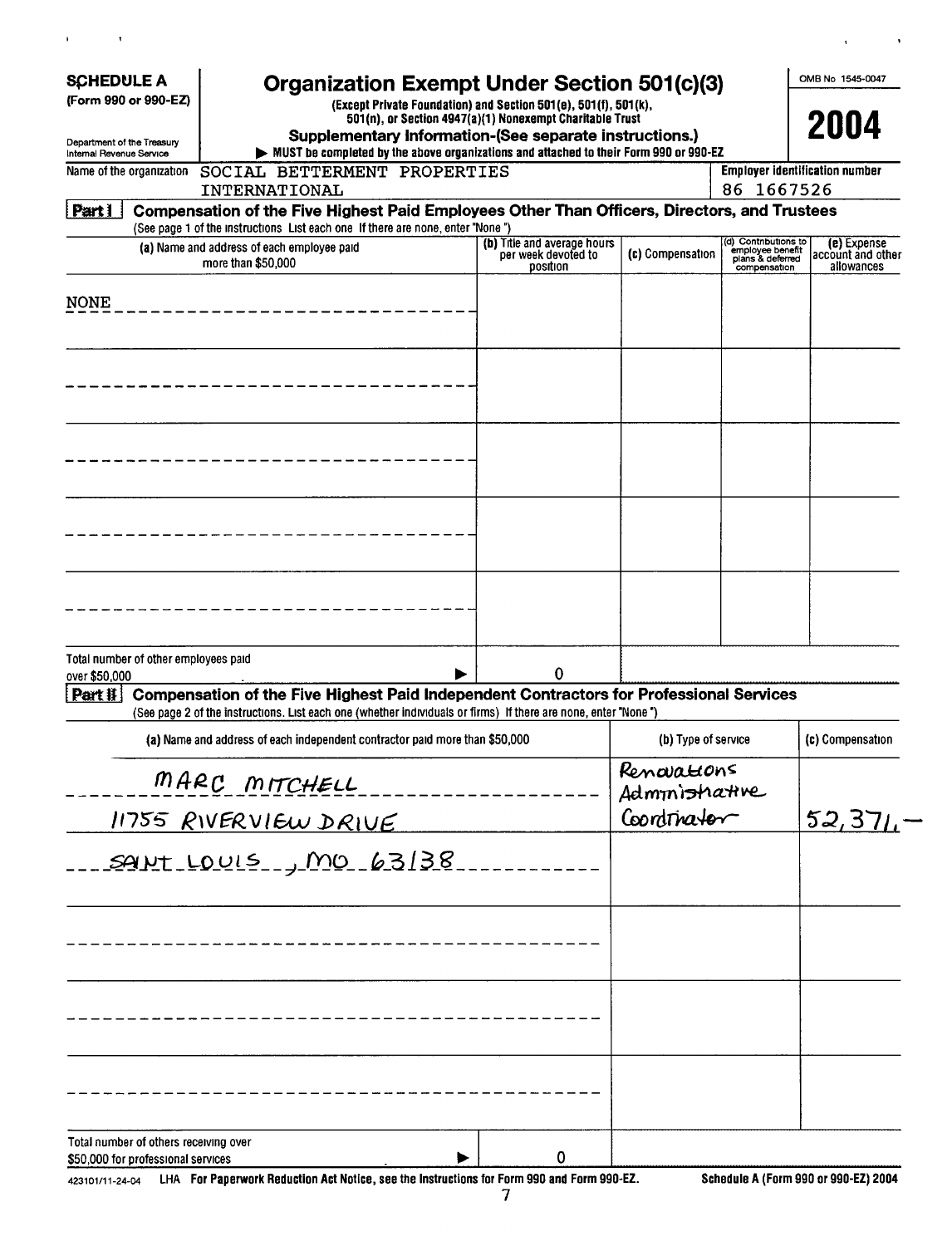| <b>SCHEDULE A</b><br>(Form 990 or 990-EZ)              |                                                                             | Organization Exempt Under Section 501(c)(3)                                                                                                                                                                      | (Except Private Foundation) and Section 501(e), 501(f), 501(k),<br>501(n), or Section 4947(a)(1) Nonexempt Charitable Trust |                               |                                                                              | OMB No 1545-0047<br>2004                       |
|--------------------------------------------------------|-----------------------------------------------------------------------------|------------------------------------------------------------------------------------------------------------------------------------------------------------------------------------------------------------------|-----------------------------------------------------------------------------------------------------------------------------|-------------------------------|------------------------------------------------------------------------------|------------------------------------------------|
| Department of the Treasury<br>Internal Revenue Service |                                                                             | Supplementary Information-(See separate instructions.)<br>MUST be completed by the above organizations and attached to their Form 990 or 990-EZ                                                                  |                                                                                                                             |                               |                                                                              |                                                |
|                                                        | Name of the organization                                                    | SOCIAL BETTERMENT PROPERTIES                                                                                                                                                                                     |                                                                                                                             |                               |                                                                              | <b>Employer identification number</b>          |
|                                                        |                                                                             | INTERNATIONAL                                                                                                                                                                                                    |                                                                                                                             |                               | 86 1667526                                                                   |                                                |
| <u>  Part I</u>                                        |                                                                             | Compensation of the Five Highest Paid Employees Other Than Officers, Directors, and Trustees<br>(See page 1 of the instructions List each one If there are none, enter "None")                                   |                                                                                                                             |                               |                                                                              |                                                |
|                                                        |                                                                             | (a) Name and address of each employee paid<br>more than \$50,000                                                                                                                                                 | (b) Title and average hours<br>per week devoted to<br>position                                                              | (c) Compensation              | (d) Contributions to<br>employee benefit<br>plans & deferred<br>compensation | (e) Expense<br>account and other<br>allowances |
| <b>NONE</b>                                            |                                                                             |                                                                                                                                                                                                                  |                                                                                                                             |                               |                                                                              |                                                |
|                                                        |                                                                             |                                                                                                                                                                                                                  |                                                                                                                             |                               |                                                                              |                                                |
|                                                        |                                                                             |                                                                                                                                                                                                                  |                                                                                                                             |                               |                                                                              |                                                |
|                                                        |                                                                             |                                                                                                                                                                                                                  |                                                                                                                             |                               |                                                                              |                                                |
|                                                        |                                                                             |                                                                                                                                                                                                                  |                                                                                                                             |                               |                                                                              |                                                |
| over \$50,000                                          | Total number of other employees paid                                        |                                                                                                                                                                                                                  | $\bf{0}$                                                                                                                    |                               |                                                                              |                                                |
| Part #                                                 |                                                                             | <b>Compensation of the Five Highest Paid Independent Contractors for Professional Services</b><br>(See page 2 of the instructions. List each one (whether individuals or firms) If there are none, enter "None") |                                                                                                                             |                               |                                                                              |                                                |
|                                                        |                                                                             | (a) Name and address of each independent contractor paid more than \$50,000                                                                                                                                      |                                                                                                                             | (b) Type of service           |                                                                              | (c) Compensation                               |
|                                                        |                                                                             | MARC MITCHELL                                                                                                                                                                                                    |                                                                                                                             | Renovations<br>Administrative |                                                                              |                                                |
|                                                        |                                                                             | 11755 RIVERVIEW DRIVE                                                                                                                                                                                            |                                                                                                                             | Coordrinator                  |                                                                              | 52,371.                                        |
|                                                        |                                                                             | <u> sant Louis , MO 63138.</u>                                                                                                                                                                                   |                                                                                                                             |                               |                                                                              |                                                |
|                                                        |                                                                             |                                                                                                                                                                                                                  |                                                                                                                             |                               |                                                                              |                                                |
|                                                        |                                                                             |                                                                                                                                                                                                                  |                                                                                                                             |                               |                                                                              |                                                |
|                                                        |                                                                             |                                                                                                                                                                                                                  |                                                                                                                             |                               |                                                                              |                                                |
|                                                        | Total number of others receiving over<br>\$50,000 for professional services |                                                                                                                                                                                                                  | 0                                                                                                                           |                               |                                                                              |                                                |

423101/11-24-04 LHA For Paperwork Reduction Act Notice, see the Instructions for Form 990 and Form 990-EZ

 $\bar{\mathbf{r}}$ 

 $\hat{\mathbf{r}}$ 

 $\bar{\mathbf{v}}$ 

 $\overline{\phantom{a}}$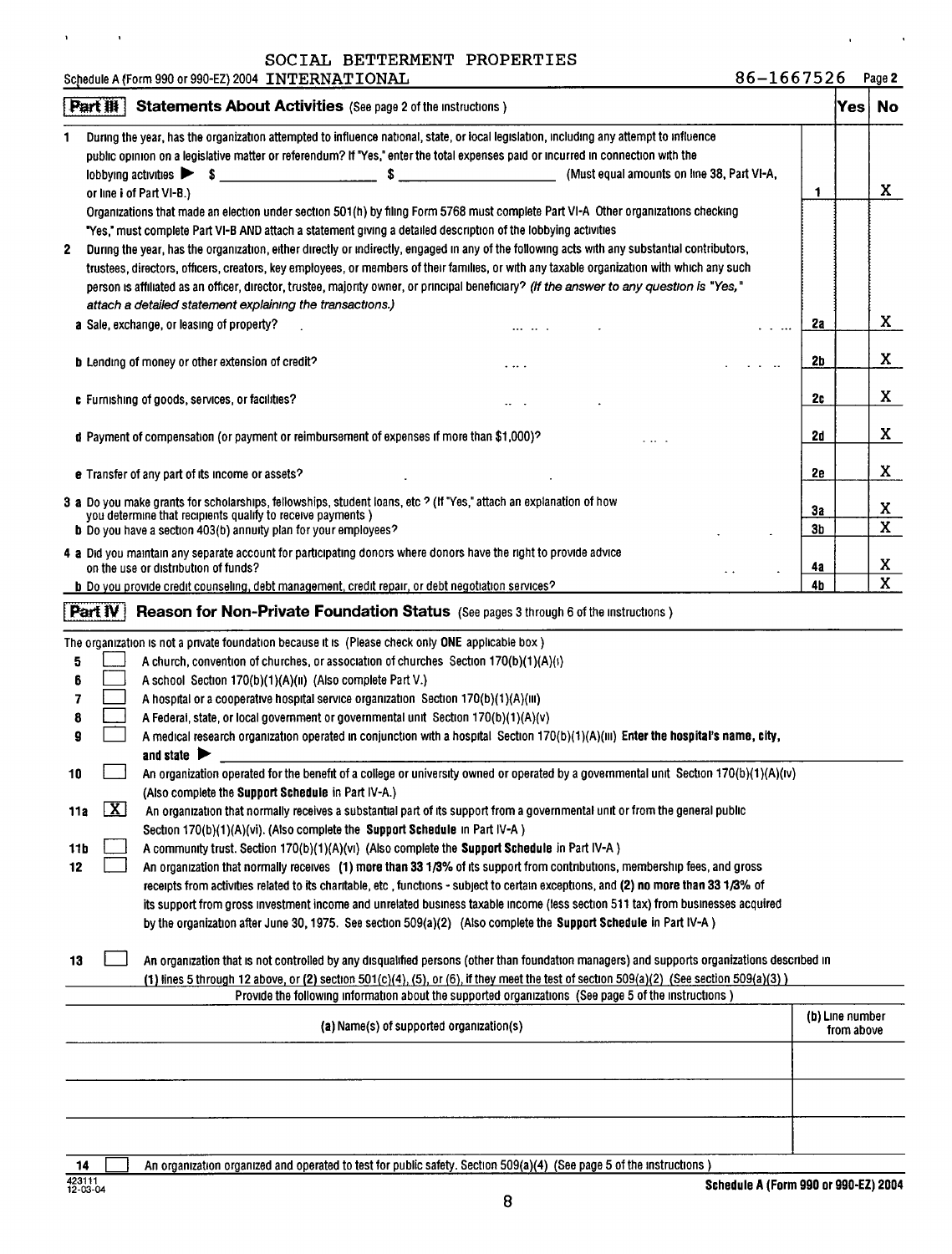SOCIAL BETTERMENT PROPERTIES Schedule A (Form 990 or 990-EZ) 2004 INTERNATIONAL

|  | 86–1667526 |  |  |  |  |  |  |  | Page 2 |  |
|--|------------|--|--|--|--|--|--|--|--------|--|
|--|------------|--|--|--|--|--|--|--|--------|--|

|                     | During the year, has the organization attempted to influence national, state, or local legislation, including any attempt to influence                                                                                                                                                                                                                                                                                                                                                                                                                                                                                                                                                                                                                                                                                                                   |                 |            |                              |
|---------------------|----------------------------------------------------------------------------------------------------------------------------------------------------------------------------------------------------------------------------------------------------------------------------------------------------------------------------------------------------------------------------------------------------------------------------------------------------------------------------------------------------------------------------------------------------------------------------------------------------------------------------------------------------------------------------------------------------------------------------------------------------------------------------------------------------------------------------------------------------------|-----------------|------------|------------------------------|
|                     | public opinion on a legislative matter or referendum? If "Yes," enter the total expenses paid or incurred in connection with the                                                                                                                                                                                                                                                                                                                                                                                                                                                                                                                                                                                                                                                                                                                         |                 |            |                              |
|                     | \$<br>lobbying activities $\triangleright$ \$ $\perp$<br>$\mathcal{L}^{\mathcal{L}}(\mathcal{L}^{\mathcal{L}})$ and $\mathcal{L}^{\mathcal{L}}(\mathcal{L}^{\mathcal{L}})$ . The contribution of the set of $\mathcal{L}^{\mathcal{L}}$<br>(Must equal amounts on line 38, Part VI-A,                                                                                                                                                                                                                                                                                                                                                                                                                                                                                                                                                                    |                 |            |                              |
|                     | or line i of Part VI-B.)                                                                                                                                                                                                                                                                                                                                                                                                                                                                                                                                                                                                                                                                                                                                                                                                                                 | 1               |            | X                            |
|                     | Organizations that made an election under section 501(h) by filing Form 5768 must complete Part VI-A Other organizations checking                                                                                                                                                                                                                                                                                                                                                                                                                                                                                                                                                                                                                                                                                                                        |                 |            |                              |
|                     | "Yes," must complete Part VI-B AND attach a statement giving a detailed description of the lobbying activities                                                                                                                                                                                                                                                                                                                                                                                                                                                                                                                                                                                                                                                                                                                                           |                 |            |                              |
| 2                   | During the year, has the organization, either directly or indirectly, engaged in any of the following acts with any substantial contributors,                                                                                                                                                                                                                                                                                                                                                                                                                                                                                                                                                                                                                                                                                                            |                 |            |                              |
|                     | trustees, directors, officers, creators, key employees, or members of their families, or with any taxable organization with which any such                                                                                                                                                                                                                                                                                                                                                                                                                                                                                                                                                                                                                                                                                                               |                 |            |                              |
|                     | person is affiliated as an officer, director, trustee, majority owner, or principal beneficiary? (If the answer to any question is "Yes,"                                                                                                                                                                                                                                                                                                                                                                                                                                                                                                                                                                                                                                                                                                                |                 |            |                              |
|                     | attach a detailed statement explaining the transactions.)                                                                                                                                                                                                                                                                                                                                                                                                                                                                                                                                                                                                                                                                                                                                                                                                |                 |            |                              |
|                     | a Sale, exchange, or leasing of property?<br>$\sim$ $\sim$                                                                                                                                                                                                                                                                                                                                                                                                                                                                                                                                                                                                                                                                                                                                                                                               | 2a              |            | X.                           |
|                     | b Lending of money or other extension of credit?<br>.  .                                                                                                                                                                                                                                                                                                                                                                                                                                                                                                                                                                                                                                                                                                                                                                                                 | 2b              |            | X.                           |
|                     |                                                                                                                                                                                                                                                                                                                                                                                                                                                                                                                                                                                                                                                                                                                                                                                                                                                          |                 |            |                              |
|                     | c Furnishing of goods, services, or facilities?                                                                                                                                                                                                                                                                                                                                                                                                                                                                                                                                                                                                                                                                                                                                                                                                          | <b>2c</b>       |            | X                            |
|                     | d Payment of compensation (or payment or reimbursement of expenses if more than \$1,000)?                                                                                                                                                                                                                                                                                                                                                                                                                                                                                                                                                                                                                                                                                                                                                                | 2d              |            | X                            |
|                     | e Transfer of any part of its income or assets?                                                                                                                                                                                                                                                                                                                                                                                                                                                                                                                                                                                                                                                                                                                                                                                                          | 2е              |            | X                            |
|                     | 3 a Do you make grants for scholarships, fellowships, student loans, etc ? (If "Yes," attach an explanation of how                                                                                                                                                                                                                                                                                                                                                                                                                                                                                                                                                                                                                                                                                                                                       |                 |            |                              |
|                     | you determine that recipients qualify to receive payments)                                                                                                                                                                                                                                                                                                                                                                                                                                                                                                                                                                                                                                                                                                                                                                                               | 3а              |            | X<br>$\overline{\mathbf{x}}$ |
|                     | <b>b</b> Do you have a section 403(b) annuity plan for your employees?                                                                                                                                                                                                                                                                                                                                                                                                                                                                                                                                                                                                                                                                                                                                                                                   | 3 <sub>b</sub>  |            |                              |
|                     | 4 a Did you maintain any separate account for participating donors where donors have the right to provide advice<br>on the use or distribution of funds?                                                                                                                                                                                                                                                                                                                                                                                                                                                                                                                                                                                                                                                                                                 | 4а              |            | X                            |
|                     | b Do you provide credit counseling, debt management, credit repair, or debt negotiation services?                                                                                                                                                                                                                                                                                                                                                                                                                                                                                                                                                                                                                                                                                                                                                        | 4b              |            | $\overline{\mathbf{x}}$      |
|                     | PartW<br><b>Reason for Non-Private Foundation Status</b> (See pages 3 through 6 of the instructions)                                                                                                                                                                                                                                                                                                                                                                                                                                                                                                                                                                                                                                                                                                                                                     |                 |            |                              |
| 5<br>9<br>10<br>11a | A church, convention of churches, or association of churches Section 170(b)(1)(A)(i)<br>A school Section 170(b)(1)(A)(ii) (Also complete Part V.)<br>A hospital or a cooperative hospital service organization Section $170(b)(1)(A)(III)$<br>A Federal, state, or local government or governmental unit Section 170(b)(1)(A)(v)<br>A medical research organization operated in conjunction with a hospital Section $170(b)(1)(A)(m)$ Enter the hospital's name, city,<br>and state $\blacktriangleright$<br>An organization operated for the benefit of a college or university owned or operated by a governmental unit Section 170(b)(1)(A)(iv)<br>(Also complete the Support Schedule in Part IV-A.)<br>$\mathbf{X}$<br>An organization that normally receives a substantial part of its support from a governmental unit or from the general public |                 |            |                              |
|                     | Section 170(b)(1)(A)(vi). (Also complete the Support Schedule in Part IV-A)                                                                                                                                                                                                                                                                                                                                                                                                                                                                                                                                                                                                                                                                                                                                                                              |                 |            |                              |
| 11b<br>12           | A community trust. Section 170(b)(1)(A)(vi) (Also complete the Support Schedule in Part IV-A)                                                                                                                                                                                                                                                                                                                                                                                                                                                                                                                                                                                                                                                                                                                                                            |                 |            |                              |
|                     | An organization that normally receives (1) more than 33 1/3% of its support from contributions, membership fees, and gross                                                                                                                                                                                                                                                                                                                                                                                                                                                                                                                                                                                                                                                                                                                               |                 |            |                              |
|                     | receipts from activities related to its charitable, etc., functions - subject to certain exceptions, and (2) no more than 33 1/3% of<br>its support from gross investment income and unrelated business taxable income (less section 511 tax) from businesses acquired                                                                                                                                                                                                                                                                                                                                                                                                                                                                                                                                                                                   |                 |            |                              |
|                     | by the organization after June 30, 1975. See section 509(a)(2) (Also complete the Support Schedule in Part IV-A)                                                                                                                                                                                                                                                                                                                                                                                                                                                                                                                                                                                                                                                                                                                                         |                 |            |                              |
| 13                  | An organization that is not controlled by any disqualified persons (other than foundation managers) and supports organizations described in                                                                                                                                                                                                                                                                                                                                                                                                                                                                                                                                                                                                                                                                                                              |                 |            |                              |
|                     | (1) lines 5 through 12 above, or (2) section 501(c)(4), (5), or (6), if they meet the test of section 509(a)(2) (See section 509(a)(3))                                                                                                                                                                                                                                                                                                                                                                                                                                                                                                                                                                                                                                                                                                                  |                 |            |                              |
|                     | Provide the following information about the supported organizations (See page 5 of the instructions)                                                                                                                                                                                                                                                                                                                                                                                                                                                                                                                                                                                                                                                                                                                                                     |                 |            |                              |
|                     | (a) Name(s) of supported organization(s)                                                                                                                                                                                                                                                                                                                                                                                                                                                                                                                                                                                                                                                                                                                                                                                                                 | (b) Line number | from above |                              |
|                     |                                                                                                                                                                                                                                                                                                                                                                                                                                                                                                                                                                                                                                                                                                                                                                                                                                                          |                 |            |                              |
|                     |                                                                                                                                                                                                                                                                                                                                                                                                                                                                                                                                                                                                                                                                                                                                                                                                                                                          |                 |            |                              |
|                     |                                                                                                                                                                                                                                                                                                                                                                                                                                                                                                                                                                                                                                                                                                                                                                                                                                                          |                 |            |                              |
|                     |                                                                                                                                                                                                                                                                                                                                                                                                                                                                                                                                                                                                                                                                                                                                                                                                                                                          |                 |            |                              |

14 **14** An organization organized and operated to test for public safety. Section 509(a)(4) (See page 5 of the instructions)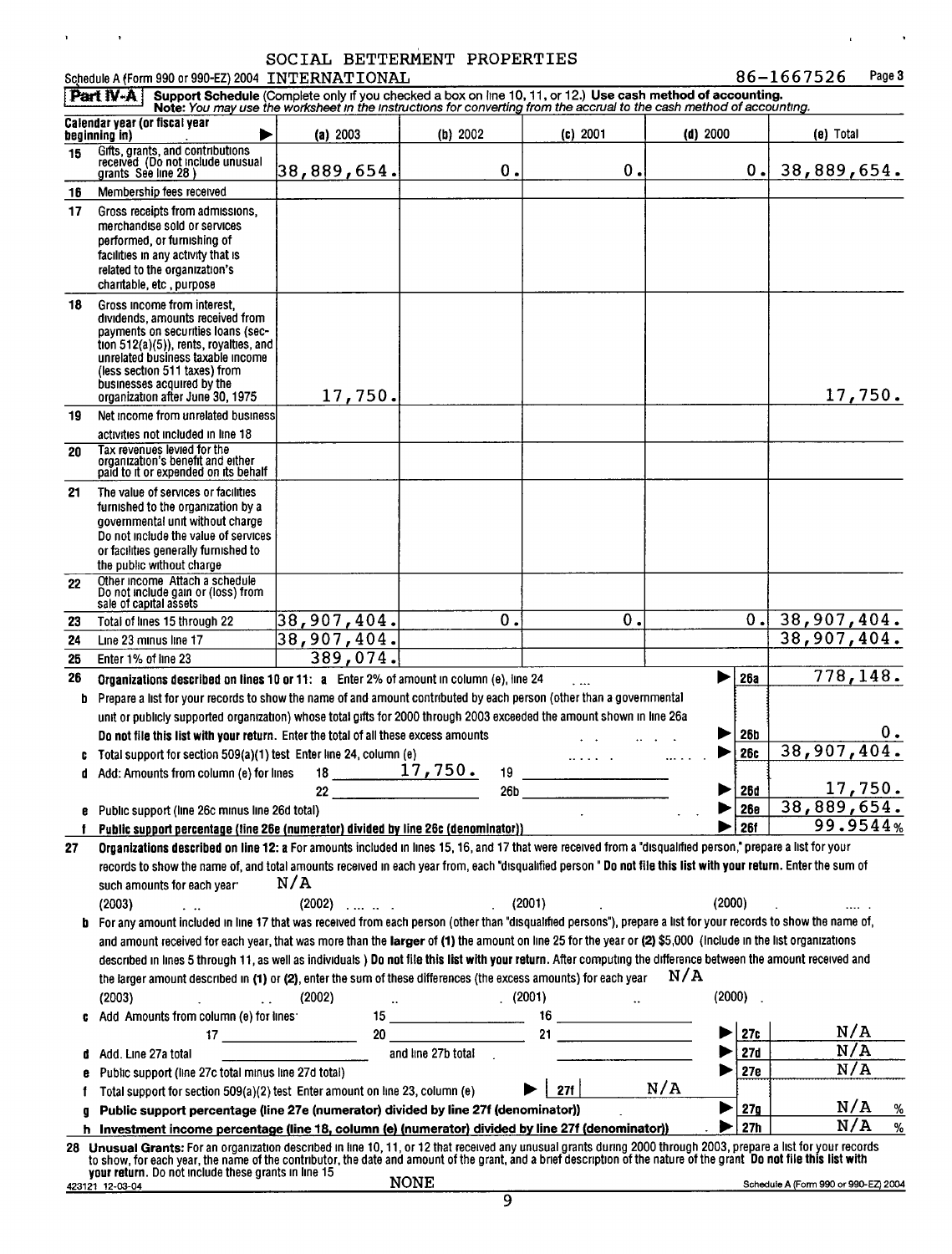## SOCIAL BETTERMENT PROPERTIES

Schedule A (Form 990 or 990-EZ) 2004 INTERNATIONAL 86-1667526 Page 3

 $\mathbf{r}$ 

 $\mathcal{L}^{\text{max}}_{\text{max}}$ 

 $\bar{\mathbf{r}}$ 

 $\sim$ 

|    | Part $N-A$                                                                                                                                                                                                                                                                                | Support Schedule (Complete only if you checked a box on line 10, 11, or 12.) Use cash method of accounting.<br>Note: You may use the worksheet in the instructions for converting from the accrual to the cash method of accounting. |                           |            |            |                          |                                      |
|----|-------------------------------------------------------------------------------------------------------------------------------------------------------------------------------------------------------------------------------------------------------------------------------------------|--------------------------------------------------------------------------------------------------------------------------------------------------------------------------------------------------------------------------------------|---------------------------|------------|------------|--------------------------|--------------------------------------|
|    | Calendar year (or fiscal year<br>beginning in)                                                                                                                                                                                                                                            | (a) 2003                                                                                                                                                                                                                             | (b) 2002                  | (c) 2001   | $(d)$ 2000 |                          | (e) Total                            |
| 15 | Gifts, grants, and contributions<br>received (Do not include unusual<br>grants See line 28)                                                                                                                                                                                               | 38,889,654.                                                                                                                                                                                                                          | 0.                        | 0.         |            | 0.1                      | 38,889,654.                          |
| 16 | Membership fees received                                                                                                                                                                                                                                                                  |                                                                                                                                                                                                                                      |                           |            |            |                          |                                      |
| 17 | Gross receipts from admissions,<br>merchandise sold or services<br>performed, or furnishing of<br>facilities in any activity that is<br>related to the organization's<br>charitable, etc, purpose                                                                                         |                                                                                                                                                                                                                                      |                           |            |            |                          |                                      |
| 18 | Gross income from interest.<br>dividends, amounts received from<br>payments on securities loans (sec-<br>tion $512(a)(5)$ , rents, royalties, and<br>unrelated business taxable income<br>(less section 511 taxes) from<br>businesses acquired by the<br>organization after June 30, 1975 | 17,750.                                                                                                                                                                                                                              |                           |            |            |                          | 17,750.                              |
| 19 | Net income from unrelated business                                                                                                                                                                                                                                                        |                                                                                                                                                                                                                                      |                           |            |            |                          |                                      |
| 20 | activities not included in line 18<br>Tax revenues levied for the<br>organization's benefit and either<br>paid to it or expended on its behalf                                                                                                                                            |                                                                                                                                                                                                                                      |                           |            |            |                          |                                      |
| 21 | The value of services or facilities<br>furnished to the organization by a<br>governmental unit without charge<br>Do not include the value of services<br>or facilities generally furnished to<br>the public without charge                                                                |                                                                                                                                                                                                                                      |                           |            |            |                          |                                      |
| 22 | Other income Attach a schedule<br>Do not include gain or (loss) from<br>sale of capital assets                                                                                                                                                                                            |                                                                                                                                                                                                                                      |                           |            |            |                          |                                      |
| 23 | Total of lines 15 through 22                                                                                                                                                                                                                                                              | 38,907,404.                                                                                                                                                                                                                          | $\overline{\textbf{0}}$ . | 0.         |            | 0.1                      | $\overline{38,907,404}$ .            |
| 24 | Line 23 minus line 17                                                                                                                                                                                                                                                                     | 38,907,404.                                                                                                                                                                                                                          |                           |            |            |                          | 38,907,404.                          |
| 25 | Enter 1% of line 23                                                                                                                                                                                                                                                                       | 389,074.                                                                                                                                                                                                                             |                           |            |            |                          |                                      |
| 26 | Organizations described on lines 10 or 11: a Enter 2% of amount in column (e), line 24                                                                                                                                                                                                    |                                                                                                                                                                                                                                      |                           |            |            | <b>26a</b>               | 778,148.                             |
| b  | Prepare a list for your records to show the name of and amount contributed by each person (other than a governmental                                                                                                                                                                      |                                                                                                                                                                                                                                      |                           |            |            |                          |                                      |
|    | unit or publicly supported organization) whose total gifts for 2000 through 2003 exceeded the amount shown in line 26a                                                                                                                                                                    |                                                                                                                                                                                                                                      |                           |            |            |                          |                                      |
|    | Do not file this list with your return. Enter the total of all these excess amounts                                                                                                                                                                                                       |                                                                                                                                                                                                                                      |                           |            |            | <b>26b</b><br><b>26c</b> | 38,907,404.                          |
|    | Total support for section 509(a)(1) test Enter line 24, column (e)<br>d Add: Amounts from column (e) for lines                                                                                                                                                                            | $18 \quad \overline{\qquad}$                                                                                                                                                                                                         | 17,750.<br>19             |            |            |                          |                                      |
|    |                                                                                                                                                                                                                                                                                           | 22                                                                                                                                                                                                                                   | 26 <sub>b</sub>           |            | ▶          | <u> 26d</u>              | 17,750.                              |
|    | e Public support (line 26c minus line 26d total)                                                                                                                                                                                                                                          |                                                                                                                                                                                                                                      |                           |            |            | 26e                      | 38,889,654.                          |
|    | Public support percentage (line 26e (numerator) divided by line 26c (denominator))                                                                                                                                                                                                        |                                                                                                                                                                                                                                      |                           |            |            | <b>26f</b>               | 99.9544%                             |
| 27 | Organizations described on line 12: a For amounts included in lines 15, 16, and 17 that were received from a "disqualified person," prepare a list for your                                                                                                                               |                                                                                                                                                                                                                                      |                           |            |            |                          |                                      |
|    | records to show the name of, and total amounts received in each year from, each "disqualified person " Do not file this list with your return. Enter the sum of                                                                                                                           |                                                                                                                                                                                                                                      |                           |            |            |                          |                                      |
|    | such amounts for each year:                                                                                                                                                                                                                                                               | N/A                                                                                                                                                                                                                                  |                           |            |            |                          |                                      |
|    | (2003)<br>$\mathbf{1}$                                                                                                                                                                                                                                                                    | $(2002)$                                                                                                                                                                                                                             |                           | (2001)     | (2000)     |                          |                                      |
| b  | For any amount included in line 17 that was received from each person (other than "disqualified persons"), prepare a list for your records to show the name of,                                                                                                                           |                                                                                                                                                                                                                                      |                           |            |            |                          |                                      |
|    | and amount received for each year, that was more than the larger of (1) the amount on line 25 for the year or (2) \$5,000 (Include in the list organizations                                                                                                                              |                                                                                                                                                                                                                                      |                           |            |            |                          |                                      |
|    | described in lines 5 through 11, as well as individuals ) Do not file this list with your return. After computing the difference between the amount received and                                                                                                                          |                                                                                                                                                                                                                                      |                           |            |            |                          |                                      |
|    | the larger amount described in (1) or (2), enter the sum of these differences (the excess amounts) for each year                                                                                                                                                                          |                                                                                                                                                                                                                                      |                           |            | N/A        |                          |                                      |
|    | (2003)<br>$\mathbb{R}^2$                                                                                                                                                                                                                                                                  | (2002)                                                                                                                                                                                                                               |                           | (2001)     |            | (2000)                   |                                      |
|    | Add Amounts from column (e) for lines:                                                                                                                                                                                                                                                    | $17 \underline{\hspace{1cm}}$                                                                                                                                                                                                        | 20                        |            |            | 27c                      | N/A                                  |
|    | Add. Line 27a total                                                                                                                                                                                                                                                                       |                                                                                                                                                                                                                                      | and line 27b total        |            |            | 27d                      | N/A                                  |
|    | Public support (line 27c total minus line 27d total)                                                                                                                                                                                                                                      |                                                                                                                                                                                                                                      |                           |            |            | 27e                      | N/A                                  |
|    | Total support for section 509(a)(2) test Enter amount on line 23, column (e)                                                                                                                                                                                                              |                                                                                                                                                                                                                                      |                           | <b>27f</b> | N/A        |                          |                                      |
| a  | Public support percentage (line 27e (numerator) divided by line 27f (denominator))                                                                                                                                                                                                        |                                                                                                                                                                                                                                      |                           |            |            | 27 <sub>g</sub>          | N/A<br>%                             |
|    | h Investment income percentage (line 18, column (e) (numerator) divided by line 27f (denominator))                                                                                                                                                                                        |                                                                                                                                                                                                                                      |                           |            |            | 27h                      | N/A<br>$\%$                          |
|    | 28 Unusual Grants: For an organization described in line 10, 11, or 12 that received any unusual grants during 2000 through 2003, prepare a list for your records                                                                                                                         |                                                                                                                                                                                                                                      |                           |            |            |                          |                                      |
|    | to show, for each year, the name of the contributor, the date and amount of the grant, and a brief description of the nature of the grant. Do not file this list with<br>your return. Do not include these grants in line 15                                                              |                                                                                                                                                                                                                                      |                           |            |            |                          |                                      |
|    | 423121 12-03-04                                                                                                                                                                                                                                                                           |                                                                                                                                                                                                                                      | <b>NONE</b>               |            |            |                          | Schedule A (Form 990 or 990-EZ) 2004 |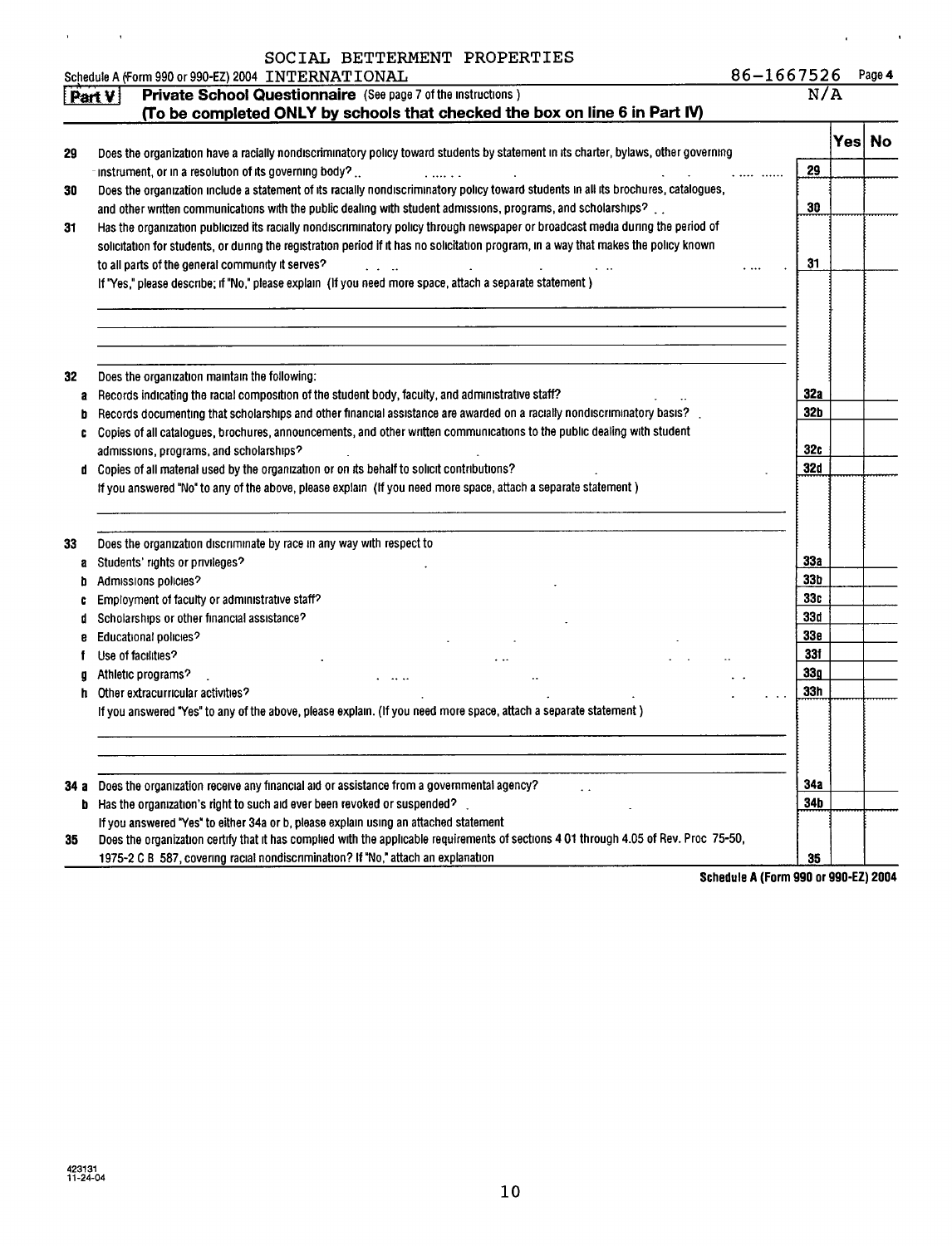|  | SOCIAL BETTERMENT PROPERTIES |
|--|------------------------------|
|  |                              |

 $\hat{\mathbf{r}}$ 

 $\sim$   $\alpha$ 

|      | Schedule A (Form 990 or 990-EZ) 2004 INTERNATIONAL                                                                                    | 86-1667526      |      | Page 4 |
|------|---------------------------------------------------------------------------------------------------------------------------------------|-----------------|------|--------|
|      | Private School Questionnaire (See page 7 of the instructions)<br>Part V                                                               |                 | N/A  |        |
|      | (To be completed ONLY by schools that checked the box on line 6 in Part IV)                                                           |                 |      |        |
|      |                                                                                                                                       |                 | Yesl | No     |
| 29   | Does the organization have a racially nondiscriminatory policy toward students by statement in its charter, bylaws, other governing   |                 |      |        |
|      | -instrument, or in a resolution of its governing body? $\ldots$                                                                       | 29              |      |        |
| 30   | Does the organization include a statement of its racially nondiscriminatory policy toward students in all its brochures, catalogues,  |                 |      |        |
|      | and other written communications with the public dealing with student admissions, programs, and scholarships?                         | 30              |      |        |
| 31   | Has the organization publicized its racially nondiscriminatory policy through newspaper or broadcast media during the period of       |                 |      |        |
|      | solicitation for students, or during the registration period if it has no solicitation program, in a way that makes the policy known  |                 |      |        |
|      | to all parts of the general community it serves?                                                                                      | 31              |      |        |
|      | If "Yes," please describe; if "No," please explain (If you need more space, attach a separate statement)                              |                 |      |        |
|      |                                                                                                                                       |                 |      |        |
| 32   | Does the organization maintain the following:                                                                                         |                 |      |        |
| a    | Records indicating the racial composition of the student body, faculty, and administrative staff?                                     | 32a             |      |        |
| b    | Records documenting that scholarships and other financial assistance are awarded on a racially nondiscriminatory basis?               | 32 <sub>b</sub> |      |        |
| c    | Copies of all catalogues, brochures, announcements, and other written communications to the public dealing with student               |                 |      |        |
|      | admissions, programs, and scholarships?                                                                                               | 32c             |      |        |
|      | d Copies of all material used by the organization or on its behalf to solicit contributions?                                          | 32d             |      |        |
|      | If you answered "No" to any of the above, please explain (If you need more space, attach a separate statement)                        |                 |      |        |
| 33   | Does the organization discriminate by race in any way with respect to                                                                 |                 |      |        |
| a    | Students' rights or privileges?                                                                                                       | 33а             |      |        |
| b    | Admissions policies?                                                                                                                  | 33b             |      |        |
| C    | Employment of faculty or administrative staff?                                                                                        | 33c             |      |        |
| d    | Scholarships or other financial assistance?                                                                                           | 33d             |      |        |
| e    | Educational policies?                                                                                                                 | 33 <sub>e</sub> |      |        |
|      | Use of facilities?                                                                                                                    | 33f             |      |        |
| g    | Athletic programs?                                                                                                                    | 33 <sub>g</sub> |      |        |
|      | h Other extracurricular activities?                                                                                                   | 33h             |      |        |
|      | If you answered "Yes" to any of the above, please explain. (If you need more space, attach a separate statement)                      |                 |      |        |
|      |                                                                                                                                       |                 |      |        |
| 34 а | Does the organization receive any financial aid or assistance from a governmental agency?                                             | <b>34a</b>      |      |        |
| b    | Has the organization's right to such aid ever been revoked or suspended?                                                              | 34b             |      |        |
|      | If you answered "Yes" to either 34a or b, please explain using an attached statement                                                  |                 |      |        |
| 35   | Does the organization certify that it has complied with the applicable requirements of sections 4 01 through 4.05 of Rev. Proc 75-50, |                 |      |        |
|      | 1975-2 C B 587, covering racial nondiscrimination? If "No," attach an explanation                                                     | 35              |      |        |

Schedule A (Form 990 or 990-EZ) 2004

 $\mathbf{a} = \mathbf{a} \times \mathbf{a}$  ,  $\mathbf{a} = \mathbf{a}$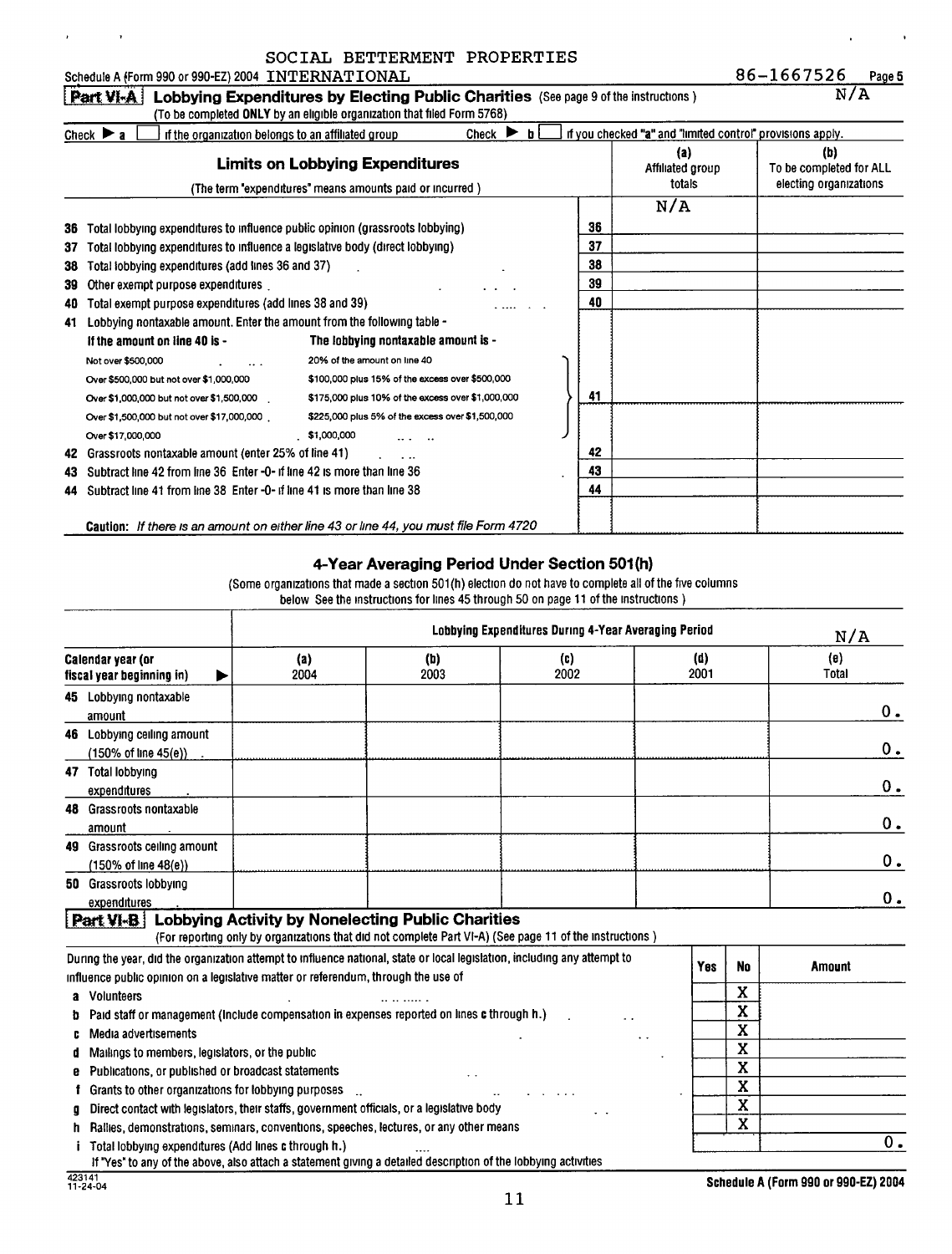| SOCIAL BETTERMENT PROPERTIES |  |
|------------------------------|--|
|                              |  |

|    |                                                                                      | pociau deilenemi fintentiep                                                         |                                  |    |                                                            |                                                          |
|----|--------------------------------------------------------------------------------------|-------------------------------------------------------------------------------------|----------------------------------|----|------------------------------------------------------------|----------------------------------------------------------|
|    | Schedule A (Form 990 or 990-EZ) 2004 INTERNATIONAL                                   |                                                                                     |                                  |    |                                                            | 86-1667526<br>Page 5                                     |
|    | Part VI-A                                                                            | Lobbying Expenditures by Electing Public Charities (See page 9 of the instructions) |                                  |    |                                                            | N/A                                                      |
|    |                                                                                      | (To be completed ONLY by an eligible organization that filed Form 5768)             |                                  |    |                                                            |                                                          |
|    | if the organization belongs to an affiliated group<br>Check $\blacktriangleright$ a  |                                                                                     | Check $\blacktriangleright$<br>h |    | if you checked "a" and "limited control" provisions apply. |                                                          |
|    |                                                                                      | <b>Limits on Lobbying Expenditures</b>                                              |                                  |    | (a)<br>Affiliated group<br>totals                          | (b)<br>To be completed for ALL<br>electing organizations |
|    |                                                                                      | (The term "expenditures" means amounts paid or incurred)                            |                                  |    |                                                            |                                                          |
|    |                                                                                      |                                                                                     |                                  |    | N/A                                                        |                                                          |
| 36 | Total lobbying expenditures to influence public opinion (grassroots lobbying)        |                                                                                     |                                  | 36 |                                                            |                                                          |
| 37 | Total lobbying expenditures to influence a legislative body (direct lobbying)        |                                                                                     |                                  | 37 |                                                            |                                                          |
| 38 | Total lobbying expenditures (add lines 36 and 37)                                    |                                                                                     |                                  | 38 |                                                            |                                                          |
| 39 | Other exempt purpose expenditures                                                    |                                                                                     |                                  | 39 |                                                            |                                                          |
| 40 | Total exempt purpose expenditures (add lines 38 and 39)                              |                                                                                     |                                  | 40 |                                                            |                                                          |
| 41 | Lobbying nontaxable amount. Enter the amount from the following table -              |                                                                                     |                                  |    |                                                            |                                                          |
|    | If the amount on line 40 is -                                                        | The lobbying nontaxable amount is -                                                 |                                  |    |                                                            |                                                          |
|    | Not over \$500,000                                                                   | 20% of the amount on line 40                                                        |                                  |    |                                                            |                                                          |
|    | Over \$500,000 but not over \$1,000,000                                              | \$100,000 plus 15% of the excess over \$500,000                                     |                                  |    |                                                            |                                                          |
|    | Over \$1,000,000 but not over \$1,500,000                                            | \$175,000 plus 10% of the excess over \$1,000,000                                   |                                  | 41 |                                                            |                                                          |
|    | Over \$1,500,000 but not over \$17,000,000.                                          | \$225,000 plus 5% of the excess over \$1,500,000                                    |                                  |    |                                                            |                                                          |
|    | Over \$17,000,000                                                                    | \$1,000,000                                                                         |                                  |    |                                                            |                                                          |
| 42 | Grassroots nontaxable amount (enter 25% of line 41)                                  |                                                                                     |                                  | 42 |                                                            |                                                          |
| 43 | Subtract line 42 from line 36 Enter -0- if line 42 is more than line 36              |                                                                                     |                                  | 43 |                                                            |                                                          |
| 44 | Subtract line 41 from line 38 Enter -0- if line 41 is more than line 38              |                                                                                     |                                  | 44 |                                                            |                                                          |
|    | Caution: If there is an amount on either line 43 or line 44, you must file Form 4720 |                                                                                     |                                  |    |                                                            |                                                          |

#### 4-Year Averaging Period Under Section 501(h)

(Some organizations that made a section 501(h) election do not have to complete all of the five columns below See the instructions for lines 45 through 50 on page 11 of the instructions )

|        |                                                                                                                                                                                                                                             |                                                          |                          | Lobbying Expenditures During 4-Year Averaging Period                                                    |             | N/A                               |              |       |  |  |  |
|--------|---------------------------------------------------------------------------------------------------------------------------------------------------------------------------------------------------------------------------------------------|----------------------------------------------------------|--------------------------|---------------------------------------------------------------------------------------------------------|-------------|-----------------------------------|--------------|-------|--|--|--|
|        | <b>Calendar year (or</b><br>fiscal year beginning in)                                                                                                                                                                                       | (a)<br>2004                                              | (b)<br>2003              | (c)<br>2002                                                                                             | (d)<br>2001 |                                   | (e)<br>Total |       |  |  |  |
|        | 45 Lobbying nontaxable<br>amount                                                                                                                                                                                                            |                                                          |                          |                                                                                                         |             |                                   |              | 0.    |  |  |  |
|        | 46 Lobbying ceiling amount<br>(150% of line 45(e))                                                                                                                                                                                          |                                                          |                          |                                                                                                         |             |                                   |              | 0.    |  |  |  |
|        | 47 Total lobbying<br>expenditures                                                                                                                                                                                                           |                                                          |                          |                                                                                                         |             |                                   |              | $0$ . |  |  |  |
|        | 48 Grassroots nontaxable<br>amount                                                                                                                                                                                                          |                                                          |                          |                                                                                                         |             |                                   |              | 0.    |  |  |  |
|        | 49 Grassroots ceiling amount<br>(150% of line 48(e))                                                                                                                                                                                        |                                                          |                          |                                                                                                         |             |                                   |              | 0.    |  |  |  |
|        | 50 Grassroots lobbying<br>expenditures                                                                                                                                                                                                      |                                                          |                          |                                                                                                         |             |                                   |              | 0.    |  |  |  |
|        | Part VI-B                                                                                                                                                                                                                                   | <b>Lobbying Activity by Nonelecting Public Charities</b> |                          | (For reporting only by organizations that did not complete Part VI-A) (See page 11 of the instructions) |             |                                   |              |       |  |  |  |
|        | During the year, did the organization attempt to influence national, state or local legislation, including any attempt to<br>influence public opinion on a legislative matter or referendum, through the use of                             |                                                          |                          |                                                                                                         | Yes         | <b>No</b>                         | Amount       |       |  |  |  |
| D      | a Volunteers<br>Paid staff or management (Include compensation in expenses reported on lines c through h.)<br>Media advertisements                                                                                                          |                                                          |                          |                                                                                                         |             | X<br>X<br>$\overline{\mathbf{x}}$ |              |       |  |  |  |
| e      | Mailings to members, legislators, or the public<br>Publications, or published or broadcast statements                                                                                                                                       |                                                          |                          |                                                                                                         |             | X<br>$\mathbf x$                  |              |       |  |  |  |
| a<br>n | Grants to other organizations for lobbying purposes<br>Direct contact with legislators, their staffs, government officials, or a legislative body<br>Rallies, demonstrations, seminars, conventions, speeches, lectures, or any other means |                                                          |                          |                                                                                                         |             | X<br>Χ<br>X                       |              |       |  |  |  |
|        | Total lobbying expenditures (Add lines c through h.)<br>verskap i den samte de bruken i de formene en de bruken                                                                                                                             |                                                          | المتحادية والمناصر ومناد | المقمام المتحدد والمالم المتعالم الألمان متماس والمستحدة                                                |             |                                   |              | 0.    |  |  |  |

 $\overline{I}$  "Yes" to any of the above, also attach a statement giving a detailed description of the lobbying activities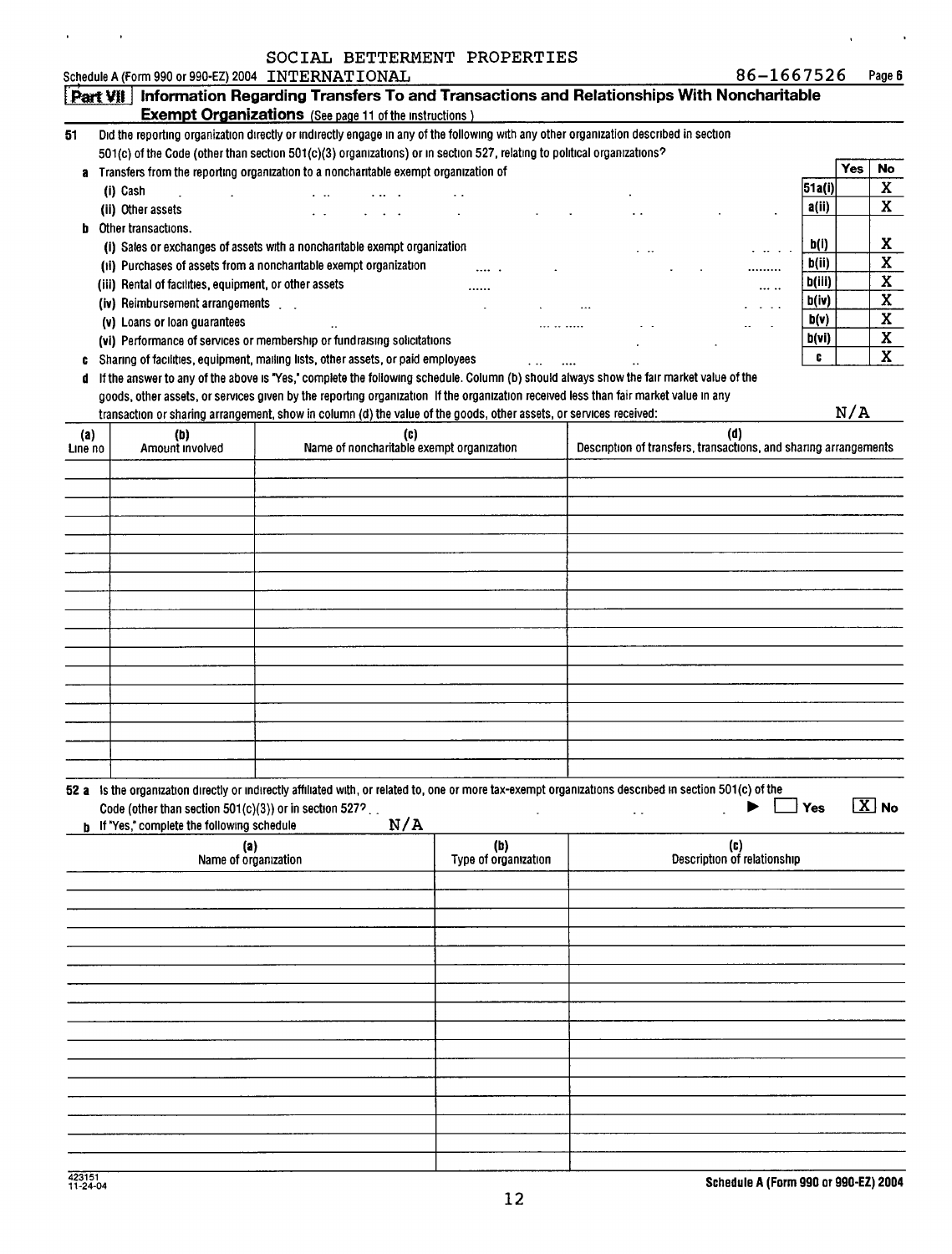#### SOCIAL BETTERMENT PROPERTIES

 $\ddot{\phantom{a}}$ 

 $\hat{\mathbf{r}}$ 

|         |                                                        | Schedule A (Form 990 or 990-EZ) 2004 INTERNATIONAL                                                                                                      |                      |                                                                  | 86-1667526                  |             |            | Page 6                  |
|---------|--------------------------------------------------------|---------------------------------------------------------------------------------------------------------------------------------------------------------|----------------------|------------------------------------------------------------------|-----------------------------|-------------|------------|-------------------------|
|         |                                                        | Part VII   Information Regarding Transfers To and Transactions and Relationships With Noncharitable                                                     |                      |                                                                  |                             |             |            |                         |
|         |                                                        | <b>Exempt Organizations</b> (See page 11 of the instructions)                                                                                           |                      |                                                                  |                             |             |            |                         |
| 51      |                                                        | Did the reporting organization directly or indirectly engage in any of the following with any other organization described in section                   |                      |                                                                  |                             |             |            |                         |
|         |                                                        | 501(c) of the Code (other than section 501(c)(3) organizations) or in section 527, relating to political organizations?                                 |                      |                                                                  |                             |             |            |                         |
|         |                                                        | a Transfers from the reporting organization to a noncharitable exempt organization of                                                                   |                      |                                                                  |                             |             | <b>Yes</b> | <b>No</b>               |
|         | (i) Cash                                               |                                                                                                                                                         |                      |                                                                  |                             | 51a(i)      |            | X                       |
|         | (ii) Other assets                                      |                                                                                                                                                         |                      |                                                                  |                             | a(ii)       |            | X                       |
|         | <b>b</b> Other transactions.                           |                                                                                                                                                         |                      |                                                                  |                             |             |            |                         |
|         |                                                        | (i) Sales or exchanges of assets with a noncharitable exempt organization                                                                               |                      |                                                                  |                             | <b>b(i)</b> |            | X                       |
|         |                                                        | (ii) Purchases of assets from a noncharitable exempt organization                                                                                       |                      |                                                                  |                             | b(ii)       |            | $\overline{\mathbf{x}}$ |
|         | (iii) Rental of facilities, equipment, or other assets |                                                                                                                                                         |                      |                                                                  |                             | b(iii)      |            | $\mathbf X$             |
|         | (iv) Reimbursement arrangements [14].                  |                                                                                                                                                         |                      |                                                                  | $\cdots$                    | b(iv)       |            | $\overline{\mathbf{X}}$ |
|         | (v) Loans or loan guarantees                           |                                                                                                                                                         |                      |                                                                  |                             | b(v)        |            | $\mathbf x$             |
|         |                                                        | (vi) Performance of services or membership or fundraising solicitations                                                                                 |                      |                                                                  |                             | b(vi)       |            | $\mathbf X$             |
|         |                                                        | Sharing of facilities, equipment, mailing lists, other assets, or paid employees                                                                        |                      |                                                                  |                             | c           |            | $\mathbf{X}$            |
|         |                                                        | If the answer to any of the above is "Yes," complete the following schedule. Column (b) should always show the fair market value of the                 |                      |                                                                  |                             |             |            |                         |
|         |                                                        | goods, other assets, or services given by the reporting organization If the organization received less than fair market value in any                    |                      |                                                                  |                             |             |            |                         |
|         |                                                        | transaction or sharing arrangement, show in column (d) the value of the goods, other assets, or services received:                                      |                      |                                                                  |                             |             | N/A        |                         |
| (a)     | (b)                                                    | (C)                                                                                                                                                     |                      |                                                                  | (d)                         |             |            |                         |
| Line no | Amount involved                                        | Name of noncharitable exempt organization                                                                                                               |                      | Description of transfers, transactions, and sharing arrangements |                             |             |            |                         |
|         |                                                        |                                                                                                                                                         |                      |                                                                  |                             |             |            |                         |
|         |                                                        |                                                                                                                                                         |                      |                                                                  |                             |             |            |                         |
|         |                                                        |                                                                                                                                                         |                      |                                                                  |                             |             |            |                         |
|         |                                                        |                                                                                                                                                         |                      |                                                                  |                             |             |            |                         |
|         |                                                        |                                                                                                                                                         |                      |                                                                  |                             |             |            |                         |
|         |                                                        |                                                                                                                                                         |                      |                                                                  |                             |             |            |                         |
|         |                                                        |                                                                                                                                                         |                      |                                                                  |                             |             |            |                         |
|         |                                                        |                                                                                                                                                         |                      |                                                                  |                             |             |            |                         |
|         |                                                        |                                                                                                                                                         |                      |                                                                  |                             |             |            |                         |
|         |                                                        |                                                                                                                                                         |                      |                                                                  |                             |             |            |                         |
|         |                                                        |                                                                                                                                                         |                      |                                                                  |                             |             |            |                         |
|         |                                                        |                                                                                                                                                         |                      |                                                                  |                             |             |            |                         |
|         |                                                        |                                                                                                                                                         |                      |                                                                  |                             |             |            |                         |
|         |                                                        |                                                                                                                                                         |                      |                                                                  |                             |             |            |                         |
|         |                                                        |                                                                                                                                                         |                      |                                                                  |                             |             |            |                         |
|         |                                                        |                                                                                                                                                         |                      |                                                                  |                             |             |            |                         |
|         |                                                        |                                                                                                                                                         |                      |                                                                  |                             |             |            |                         |
|         |                                                        |                                                                                                                                                         |                      |                                                                  |                             |             |            |                         |
|         | Code (other than section 501(c)(3)) or in section 527? | 52 a is the organization directly or indirectly affiliated with, or related to, one or more tax-exempt organizations described in section 501(c) of the |                      |                                                                  |                             | Yes         |            | $\boxed{\text{X}}$ No   |
|         | <b>b</b> If "Yes," complete the following schedule     | N/A                                                                                                                                                     |                      |                                                                  |                             |             |            |                         |
|         | (a)                                                    |                                                                                                                                                         | (b)                  |                                                                  | (c)                         |             |            |                         |
|         | Name of organization                                   |                                                                                                                                                         | Type of organization |                                                                  | Description of relationship |             |            |                         |
|         |                                                        |                                                                                                                                                         |                      |                                                                  |                             |             |            |                         |
|         |                                                        |                                                                                                                                                         |                      |                                                                  |                             |             |            |                         |
|         |                                                        |                                                                                                                                                         |                      |                                                                  |                             |             |            |                         |
|         |                                                        |                                                                                                                                                         |                      |                                                                  |                             |             |            |                         |
|         |                                                        |                                                                                                                                                         |                      |                                                                  |                             |             |            |                         |
|         |                                                        |                                                                                                                                                         |                      |                                                                  |                             |             |            |                         |
|         |                                                        |                                                                                                                                                         |                      |                                                                  |                             |             |            |                         |
|         |                                                        |                                                                                                                                                         |                      |                                                                  |                             |             |            |                         |
|         |                                                        |                                                                                                                                                         |                      |                                                                  |                             |             |            |                         |
|         |                                                        |                                                                                                                                                         |                      |                                                                  |                             |             |            |                         |
|         |                                                        |                                                                                                                                                         |                      |                                                                  |                             |             |            |                         |
|         |                                                        |                                                                                                                                                         |                      |                                                                  |                             |             |            |                         |
|         |                                                        |                                                                                                                                                         |                      |                                                                  |                             |             |            |                         |
|         |                                                        |                                                                                                                                                         |                      |                                                                  |                             |             |            |                         |
|         |                                                        |                                                                                                                                                         |                      |                                                                  |                             |             |            |                         |
|         |                                                        |                                                                                                                                                         |                      |                                                                  |                             |             |            |                         |
|         |                                                        |                                                                                                                                                         |                      |                                                                  |                             |             |            |                         |

 $\sim$   $\sim$ 

 $\ddot{\phantom{a}}$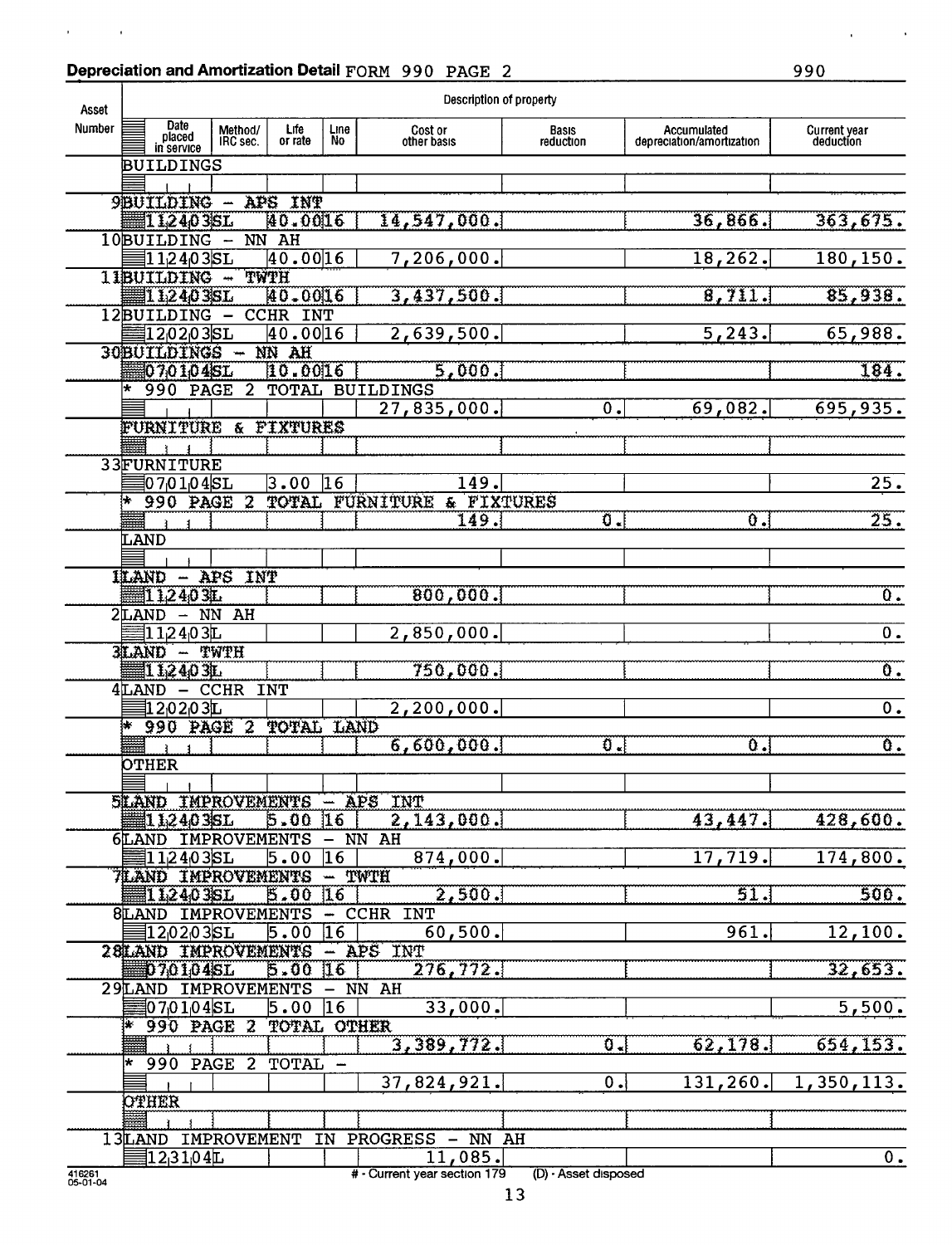# Depreciation and Amortization Detail FORM 990 PAGE 2 990

 $\alpha_{\rm{max}}=1.5$ 

| Asset              |                                         |                         |                  |             | Description of property       |                           |                                          |                                  |
|--------------------|-----------------------------------------|-------------------------|------------------|-------------|-------------------------------|---------------------------|------------------------------------------|----------------------------------|
| Number             | Date<br>placed<br>in service            | Method/<br>IRC sec.     | Life:<br>or rate | Line<br>No. | Cost or<br>other basis        | Basıs<br>reduction        | Accumulated<br>depreciation/amortization | <b>Current year</b><br>deduction |
|                    | BUILDINGS                               |                         |                  |             |                               |                           |                                          |                                  |
|                    |                                         |                         |                  |             |                               |                           |                                          |                                  |
|                    | 9BUILDING - APS INT                     |                         |                  |             |                               |                           |                                          |                                  |
|                    | 11,2403SL                               |                         | 40.0016          |             | 14,547,000.                   |                           | 36,866.                                  | 363,675.                         |
|                    | 10BUILDING                              | $-$ NN AH               |                  |             |                               |                           |                                          |                                  |
|                    | 112403SL                                |                         | 40.0016          |             | 7,206,000.                    |                           | 18, 262.                                 | 180, 150.                        |
|                    | 11BUILDING -                            |                         | TWTH             |             |                               |                           |                                          |                                  |
|                    | 112403SL                                |                         | 40.0016          |             | 3,437,500.                    |                           | 8.711.                                   | 85,938.                          |
|                    | 12BUILDING                              | $\qquad \qquad$         | <b>CCHR INT</b>  |             |                               |                           |                                          |                                  |
|                    | 1202035L                                |                         | 40.0016          |             | 2,639,500.                    |                           | 5,243.                                   | 65,988.                          |
|                    | 30BUILDINGS -                           |                         | NN AH            |             |                               |                           |                                          |                                  |
|                    | 070104SL                                |                         | $[10.00]$ $6$    |             | 5,000.                        |                           |                                          | $\overline{184}$ .               |
|                    | $\star$<br>990 PAGE                     | $\overline{\mathbf{2}}$ |                  |             | <b>TOTAL BUILDINGS</b>        |                           |                                          |                                  |
|                    |                                         |                         |                  |             | 27,835,000.                   | $\overline{\mathbf{0}}$ . | 69,082.                                  | 695,935.                         |
|                    | FURNITURE & FIXTURES                    |                         |                  |             |                               |                           |                                          |                                  |
|                    | 33FURNITURE                             |                         |                  |             |                               |                           |                                          |                                  |
|                    | 0701045L                                |                         | 3.00             | 16          | 149.                          |                           |                                          | 25.                              |
|                    | h.<br>990 PAGE                          | 2                       |                  |             | TOTAL FURNITURE<br>& FIXTURES |                           |                                          |                                  |
|                    |                                         |                         |                  |             | 149.                          | $\sigma$ .                | $\overline{0}$ .                         | 25.                              |
|                    | LAND                                    |                         |                  |             |                               |                           |                                          |                                  |
|                    |                                         |                         |                  |             |                               |                           |                                          |                                  |
|                    | <b>ILAND - APS INT</b>                  |                         |                  |             |                               |                           |                                          |                                  |
|                    | 112403L                                 |                         |                  |             | 800,000.                      |                           |                                          | ō.                               |
|                    | $2$ LAND $-$ NN AH                      |                         |                  |             |                               |                           |                                          |                                  |
|                    | 112403L                                 |                         |                  |             | 2,850,000.                    |                           |                                          | $\overline{0}$ .                 |
|                    | 3LAND - TWTH                            |                         |                  |             |                               |                           |                                          |                                  |
|                    | 112403L                                 |                         |                  |             | 750,000.                      |                           |                                          | $\overline{\mathfrak{d}}$ .      |
|                    | 4LAND -                                 | $-$ CCHR                | INT              |             |                               |                           |                                          |                                  |
|                    | 让2¦02∣03∐                               |                         |                  |             | 2,200,000.                    |                           |                                          | $\overline{\mathbf{0}}$ .        |
|                    | $*$ 990 PAGE 2                          |                         | <b>TOTAL</b>     | LAND        |                               |                           |                                          |                                  |
|                    |                                         |                         |                  |             | 6,600,000.                    | $\overline{\mathbf{0}}$ . | $\overline{0}$ .                         | ō.                               |
|                    | OTHER                                   |                         |                  |             |                               |                           |                                          |                                  |
|                    |                                         |                         |                  |             |                               |                           |                                          |                                  |
|                    | SILAND IMPROVEMENTS - APS INT           |                         |                  |             |                               |                           |                                          |                                  |
|                    | <b>蠿1 1,2 4,0 3,SL</b>                  |                         | $5.00$ 16        |             | 2,143,000.                    |                           | 43, 447.                                 | 428,600.                         |
|                    | 6LAND IMPROVEMENTS - NN AH              |                         |                  |             |                               |                           |                                          |                                  |
|                    | ∃1 12 4 0 3 SL                          |                         | $5.00$ 16        |             | 874,000.                      |                           | 17,719.                                  | 174,800.                         |
|                    | <b><i>TLAND IMPROVEMENTS - TWTH</i></b> |                         |                  |             |                               |                           |                                          |                                  |
|                    | 112403SL                                |                         | 5.00 16          |             | 2,500.                        |                           | 51.                                      | 500.                             |
|                    | 8LAND IMPROVEMENTS - CCHR INT           |                         |                  |             |                               |                           |                                          |                                  |
|                    | 120203SL                                |                         | 5.00   16        |             | 60,500.                       |                           | 961.                                     | 12,100.                          |
|                    | 28LAND IMPROVEMENTS - APS INT           |                         |                  |             |                               |                           |                                          |                                  |
|                    | 070104SL                                |                         | 5.00 16          |             | 276,772.                      |                           |                                          | 32,653.                          |
|                    | 29LAND IMPROVEMENTS - NN AH             |                         |                  |             |                               |                           |                                          |                                  |
|                    | ∄07,01,04 SL                            |                         | $5.00$ 16        |             | 33,000.                       |                           |                                          | 5,500.                           |
|                    | ļ#.<br>990 PAGE 2 TOTAL OTHER           |                         |                  |             | 3,389,772.                    | $0$ . $\overline{0}$      | 62, 178.                                 | 654, 153.                        |
|                    |                                         |                         |                  |             |                               |                           |                                          |                                  |
|                    | * 990 PAGE 2 TOTAL -                    |                         |                  |             | 37,824,921.                   | 0.                        | 131, 260.                                | 1,350,113.                       |
|                    | <b>OTHER</b>                            |                         |                  |             |                               |                           |                                          |                                  |
|                    |                                         |                         |                  |             |                               |                           |                                          |                                  |
|                    | 13LAND IMPROVEMENT                      |                         |                  |             | IN PROGRESS - NN AH           |                           |                                          |                                  |
|                    | 亄2¦31∣04∐                               |                         |                  |             | 11,085.                       |                           |                                          | 0.                               |
| 416261<br>05-01-04 |                                         |                         |                  |             | # - Current year section 179  | (D) - Asset disposed      |                                          |                                  |

05-01-04

**Contractor**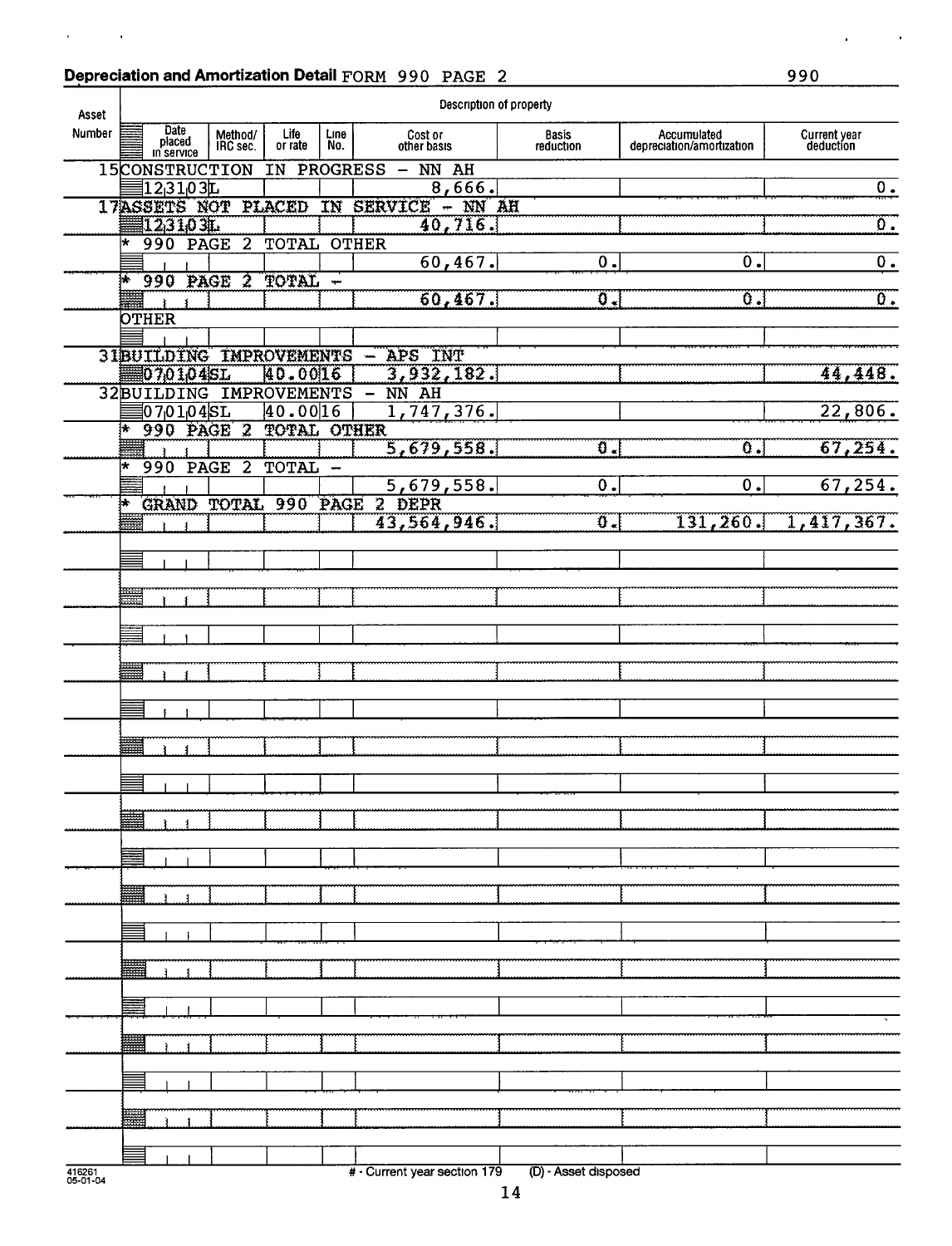### Depreciation and Amortization Detail FORM 990 PAGE 2 990

 $\mathbf{r}^{\prime}$ 

 $\sim$   $\sim$ 

| Asset  |                |                              |      |                     |                           |             |                              | Description of property     |                                          |                             |
|--------|----------------|------------------------------|------|---------------------|---------------------------|-------------|------------------------------|-----------------------------|------------------------------------------|-----------------------------|
| Number |                | Date<br>placed<br>in service |      | Method/<br>IRC sec. | Life<br>or rate           | Line<br>No. | Cost or<br>other basis       | <b>Basis</b><br>reduction   | Accumulated<br>depreciation/amortization | Current year<br>deduction   |
|        | 15CONSTRUCTION |                              |      |                     | IN                        |             | <b>PROGRESS</b><br>$-$ NN AH |                             |                                          |                             |
|        |                | 12,3103L                     |      |                     | 17ASSETS NOT PLACED       |             | 8,666.<br>IN SERVICE - NN AH |                             |                                          | $\overline{0}$ .            |
|        | 123103L        |                              |      |                     |                           |             | 40,716.                      |                             |                                          | $\overline{\mathfrak{o}}$ . |
|        | l*             | 990 PAGE                     |      | $\overline{2}$      | <b>TOTAL OTHER</b>        |             |                              |                             |                                          |                             |
|        |                |                              |      |                     |                           |             | 60,467.                      | $\overline{0}$ .            | О.                                       | 0.                          |
|        | 体              |                              |      | 990 PAGE 2          | <b>TOTAL -</b>            |             |                              |                             |                                          |                             |
|        |                |                              |      |                     |                           |             | 60, 467.                     | $\overline{\mathfrak{g}}$ . | Ö.                                       | $\overline{0}$ .            |
|        | <b>OTHER</b>   |                              |      |                     |                           |             |                              |                             |                                          |                             |
|        |                |                              |      |                     | 31BUILDING IMPROVEMENTS - |             | APS INT                      |                             |                                          |                             |
|        |                | 070104SL                     |      |                     | 40.0016                   |             | 3,932,182.                   |                             |                                          | 44,448.                     |
|        |                |                              |      |                     | 32BUILDING IMPROVEMENTS   |             | NN AH                        |                             |                                          |                             |
|        |                | 0701045L                     |      |                     | 40.0016                   |             | 1,747,376.                   |                             |                                          | 22,806.                     |
|        | ₩              |                              |      | 990 PAGE 2          | <b>TOTAL OTHER</b>        |             |                              | ō.                          |                                          |                             |
|        | l*<br>990      |                              | PAGE | $\overline{2}$      | TOTAL                     |             | 5,679,558.                   |                             | $\overline{\mathfrak{o}}$ .              | 67,254.                     |
|        |                |                              |      |                     |                           |             | 5,679,558.                   | $\overline{\mathfrak{0}}$ . | 0.                                       | 67,254.                     |
|        | 钵              |                              |      |                     |                           |             | GRAND TOTAL 990 PAGE 2 DEPR  |                             |                                          |                             |
|        |                |                              |      |                     |                           |             | 43,564,946.                  | ΰ.                          | 131,260.                                 | 1,417,367.                  |
|        |                |                              |      |                     |                           |             |                              |                             |                                          |                             |
|        |                |                              |      |                     |                           |             |                              |                             |                                          |                             |
|        | ₩              |                              |      |                     |                           |             |                              |                             |                                          |                             |
|        |                |                              |      |                     |                           |             |                              |                             |                                          |                             |
|        |                |                              |      |                     |                           |             |                              |                             |                                          |                             |
|        |                |                              |      |                     |                           |             |                              |                             |                                          |                             |
|        | ₩              |                              |      |                     |                           |             |                              |                             |                                          |                             |
|        |                |                              |      |                     |                           |             |                              |                             |                                          |                             |
|        |                |                              |      |                     |                           |             |                              |                             |                                          |                             |
|        | ₩              |                              |      |                     |                           |             |                              |                             |                                          |                             |
|        |                |                              |      |                     |                           |             |                              |                             |                                          |                             |
|        |                |                              |      |                     |                           |             |                              |                             |                                          |                             |
|        |                |                              |      |                     |                           |             |                              |                             |                                          |                             |
|        | سنبيا          |                              |      |                     |                           |             |                              |                             |                                          |                             |
|        |                |                              |      |                     |                           |             |                              |                             |                                          |                             |
|        |                |                              |      |                     |                           |             |                              |                             |                                          |                             |
|        |                |                              |      |                     |                           |             |                              |                             |                                          |                             |
|        |                |                              |      |                     |                           |             |                              |                             |                                          |                             |
|        |                |                              |      |                     |                           |             |                              |                             |                                          |                             |
|        |                |                              |      |                     |                           |             |                              |                             |                                          |                             |
|        |                |                              |      |                     |                           |             |                              |                             |                                          |                             |
|        |                |                              |      |                     |                           |             |                              |                             |                                          |                             |
|        |                |                              |      |                     |                           |             |                              |                             |                                          |                             |
|        |                |                              |      |                     |                           |             |                              |                             |                                          |                             |
|        |                |                              |      |                     |                           |             |                              |                             |                                          |                             |
|        |                |                              |      |                     |                           |             |                              |                             |                                          |                             |
|        | 羃              |                              |      |                     |                           |             |                              |                             |                                          |                             |
|        |                |                              |      |                     |                           |             |                              |                             |                                          |                             |
|        |                |                              |      |                     |                           |             |                              |                             |                                          |                             |
| 416261 |                |                              |      |                     |                           |             | # - Current year section 179 | (D) - Asset disposed        |                                          |                             |

05-01-04

 $\mathcal{A}$ 

 $\mathcal{L}^{\pm}$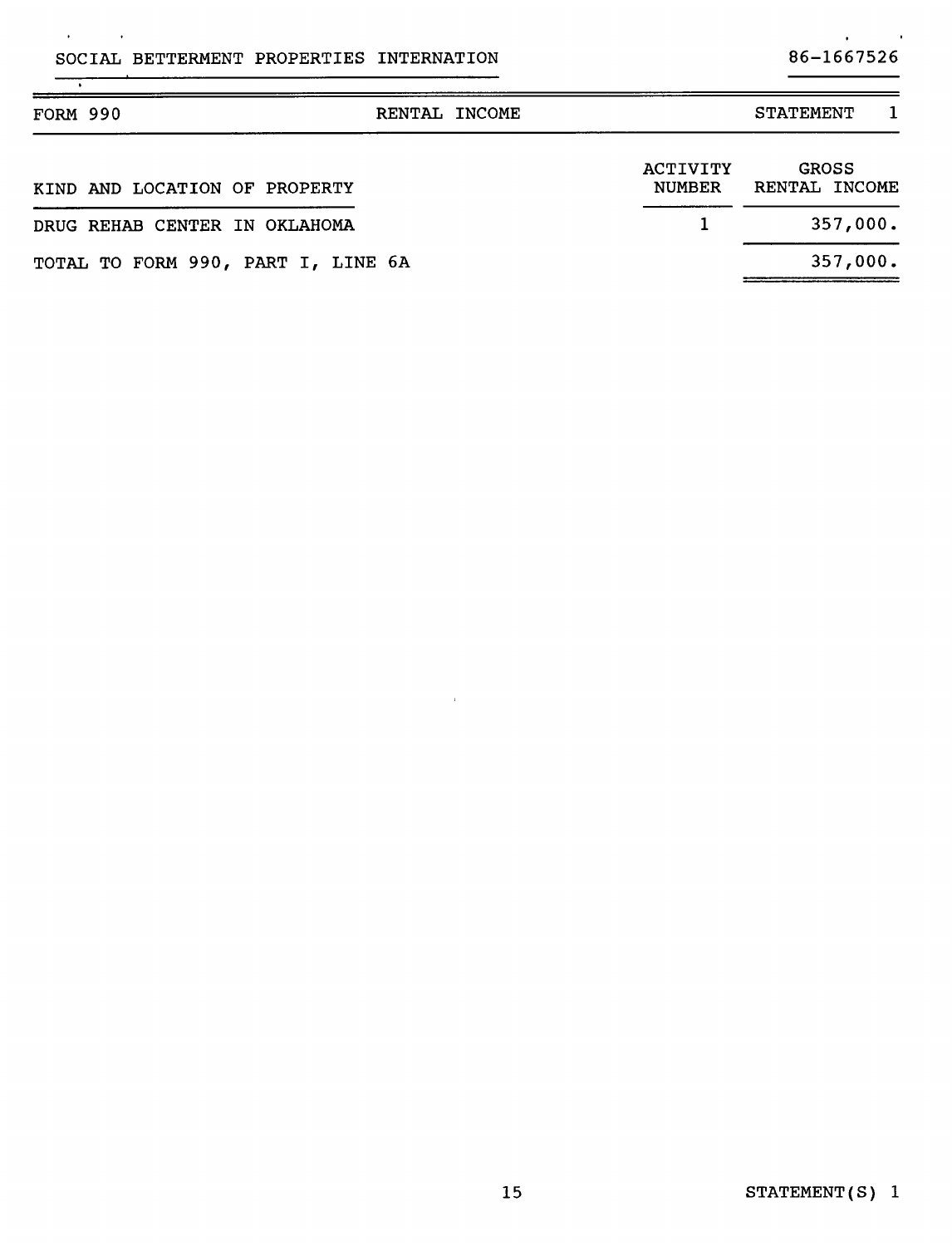SOCIAL BETTERMENT PROPERTIES INTERNATION 86-1667526

 $\mathcal{L}$ 

 $\sim$ 

# $\mathbf{r}^{\prime}$

 $\blacksquare$ 

| <b>FORM 990</b>                    | RENTAL INCOME |                                  | <b>STATEMENT</b>              |
|------------------------------------|---------------|----------------------------------|-------------------------------|
| KIND AND LOCATION OF PROPERTY      |               | <b>ACTIVITY</b><br><b>NUMBER</b> | <b>GROSS</b><br>RENTAL INCOME |
| DRUG REHAB CENTER IN OKLAHOMA      |               |                                  | 357,000.                      |
| TOTAL TO FORM 990, PART I, LINE 6A |               |                                  | 357,000.                      |

 $\sim \mu$  .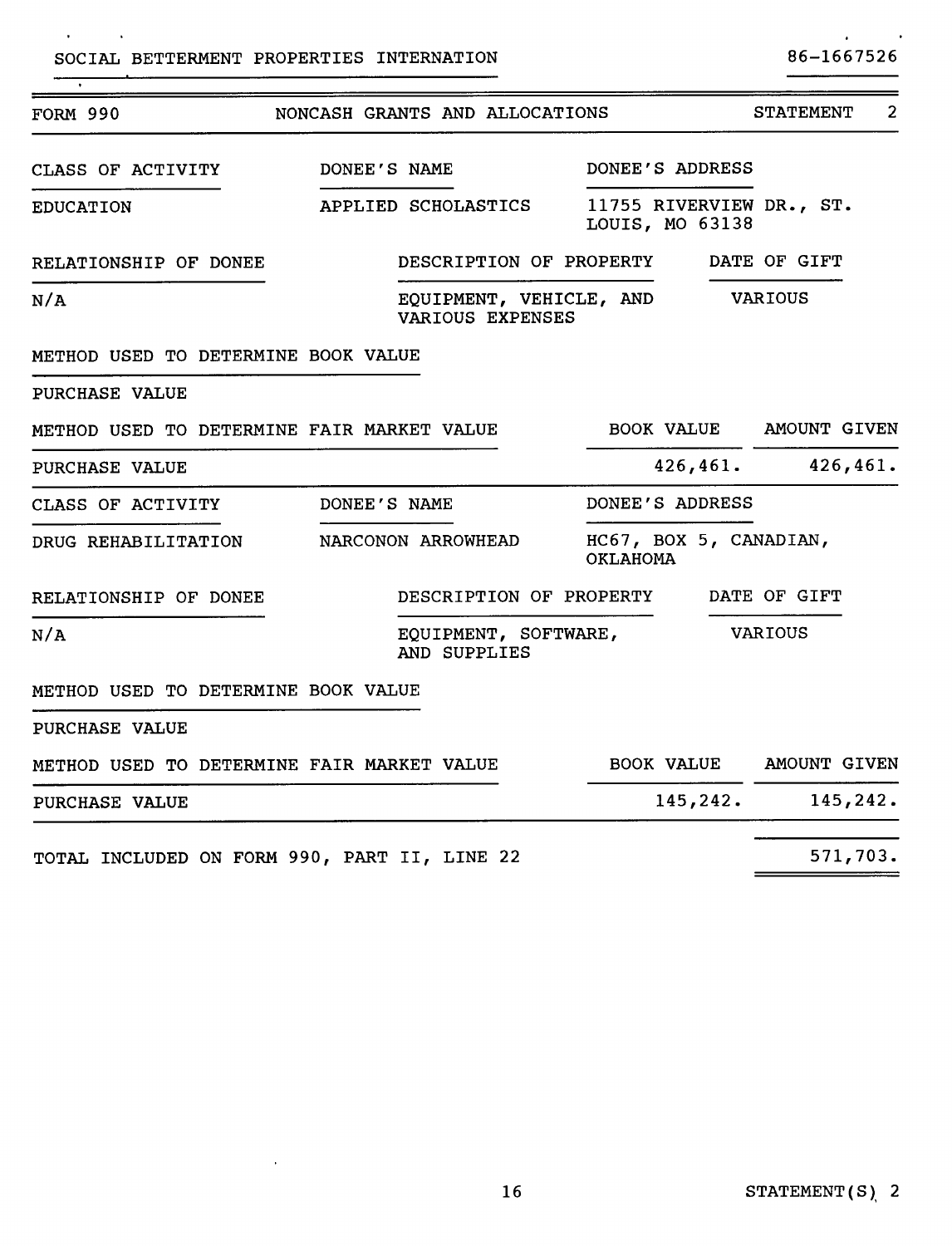$\sim 10^{-1}$ 

 $\sim$ 

 $\overline{\cdot}$ 

 $\ddot{\phantom{1}}$ 

 $\blacksquare$ 

| <b>FORM 990</b>                              |                    |                     | NONCASH GRANTS AND ALLOCATIONS              |                 |                                             | <b>STATEMENT</b>        | 2 |
|----------------------------------------------|--------------------|---------------------|---------------------------------------------|-----------------|---------------------------------------------|-------------------------|---|
| CLASS OF ACTIVITY                            | DONEE'S NAME       |                     |                                             |                 | DONEE'S ADDRESS                             |                         |   |
| <b>EDUCATION</b>                             |                    | APPLIED SCHOLASTICS |                                             |                 | 11755 RIVERVIEW DR., ST.<br>LOUIS, MO 63138 |                         |   |
| RELATIONSHIP OF DONEE                        |                    |                     | DESCRIPTION OF PROPERTY                     |                 |                                             | DATE OF GIFT            |   |
| N/A                                          |                    |                     | EQUIPMENT, VEHICLE, AND<br>VARIOUS EXPENSES |                 |                                             | VARIOUS                 |   |
| METHOD USED TO DETERMINE BOOK VALUE          |                    |                     |                                             |                 |                                             |                         |   |
| PURCHASE VALUE                               |                    |                     |                                             |                 |                                             |                         |   |
| METHOD USED TO DETERMINE FAIR MARKET VALUE   |                    |                     |                                             |                 |                                             | BOOK VALUE AMOUNT GIVEN |   |
| <b>PURCHASE VALUE</b>                        |                    |                     |                                             |                 |                                             | $426,461.$ $426,461.$   |   |
| CLASS OF ACTIVITY                            | DONEE'S NAME       |                     |                                             |                 | DONEE'S ADDRESS                             |                         |   |
| DRUG REHABILITATION                          | NARCONON ARROWHEAD |                     |                                             | <b>OKLAHOMA</b> | HC67, BOX 5, CANADIAN,                      |                         |   |
| RELATIONSHIP OF DONEE                        |                    |                     | DESCRIPTION OF PROPERTY                     |                 |                                             | DATE OF GIFT            |   |
| N/A                                          |                    | AND SUPPLIES        | EQUIPMENT, SOFTWARE,                        |                 |                                             | <b>VARIOUS</b>          |   |
| METHOD USED TO DETERMINE BOOK VALUE          |                    |                     |                                             |                 |                                             |                         |   |
| PURCHASE VALUE                               |                    |                     |                                             |                 |                                             |                         |   |
| METHOD USED TO DETERMINE FAIR MARKET VALUE   |                    |                     |                                             |                 |                                             | BOOK VALUE AMOUNT GIVEN |   |
| PURCHASE VALUE                               |                    |                     |                                             |                 | 145, 242.                                   | 145,242.                |   |
| TOTAL INCLUDED ON FORM 990, PART II, LINE 22 |                    |                     |                                             |                 |                                             | 571,703.                |   |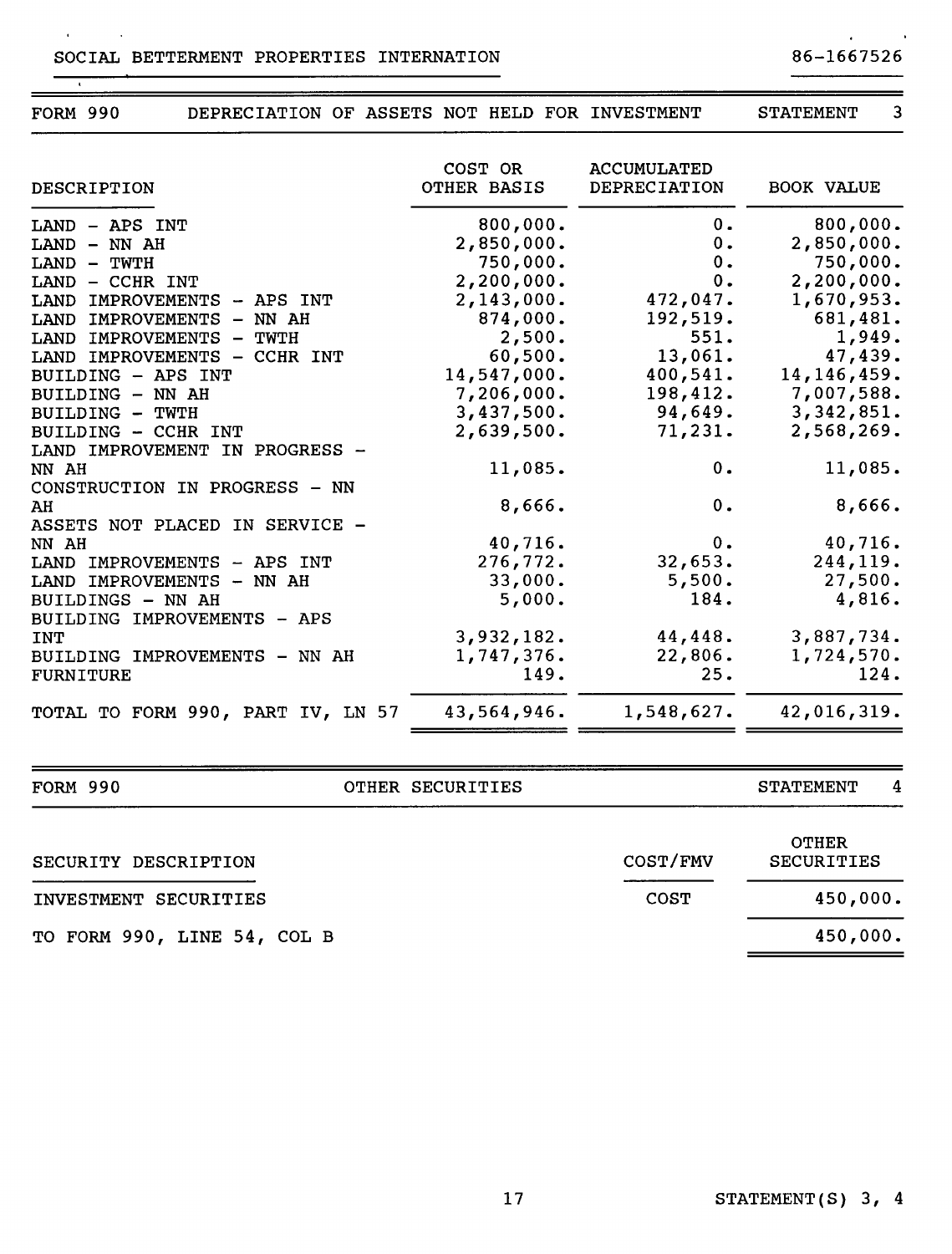#### SOCIAL BETTERMENT PROPERTIES INTERNATION 86-1667526

 $\ddot{\phantom{a}}$ 

 $\ddot{\phantom{1}}$ 

| <b>FORM 990</b><br>DEPRECIATION OF ASSETS NOT HELD FOR INVESTMENT |                        |                                           | <b>STATEMENT</b><br>3 |
|-------------------------------------------------------------------|------------------------|-------------------------------------------|-----------------------|
| <b>DESCRIPTION</b>                                                | COST OR<br>OTHER BASIS | <b>ACCUMULATED</b><br><b>DEPRECIATION</b> | <b>BOOK VALUE</b>     |
| LAND - APS INT                                                    | 800,000.               | $0$ .                                     | 800,000.              |
| LAND - NN AH                                                      | 2,850,000.             | 0.                                        | 2,850,000.            |
| LAND - TWTH                                                       | 750,000.               | 0.                                        | 750,000.              |
| LAND - CCHR INT                                                   | 2,200,000.             | 0.                                        | 2,200,000.            |
| LAND IMPROVEMENTS<br>- APS INT                                    | 2,143,000.             | 472,047.                                  | 1,670,953.            |
| LAND IMPROVEMENTS<br>$-$ NN AH                                    | 874,000.               | 192,519.                                  | 681,481.              |
| LAND IMPROVEMENTS<br>– TWTH                                       | 2,500.                 | 551.                                      | 1,949.                |
| LAND IMPROVEMENTS - CCHR INT                                      | 60,500.                | 13,061.                                   | 47,439.               |
| BUILDING - APS INT                                                | 14,547,000.            | 400,541.                                  | 14, 146, 459.         |
| BUILDING - NN AH                                                  | 7,206,000.             | 198,412.                                  | 7,007,588.            |
| <b>BUILDING - TWTH</b>                                            | 3,437,500.             | 94,649.                                   | 3,342,851.            |
| BUILDING - CCHR INT                                               | 2,639,500.             | 71, 231.                                  | 2,568,269.            |
| LAND IMPROVEMENT IN PROGRESS -                                    |                        |                                           |                       |
| NN AH                                                             | 11,085.                | 0.                                        | 11,085.               |
| CONSTRUCTION IN PROGRESS - NN                                     |                        |                                           |                       |
| AH                                                                | 8,666.                 | 0.                                        | 8,666.                |
| ASSETS NOT PLACED IN SERVICE -                                    |                        |                                           |                       |
| NN AH                                                             | 40,716.                | $0$ .                                     | 40,716.               |
| LAND IMPROVEMENTS - APS INT                                       | 276,772.               | 32,653.                                   | 244,119.              |
| LAND IMPROVEMENTS - NN AH                                         | 33,000.                | 5,500.                                    | 27,500.               |
| BUILDINGS - NN AH                                                 | 5,000.                 | 184.                                      | 4,816.                |
| BUILDING IMPROVEMENTS - APS                                       |                        |                                           |                       |
| <b>INT</b>                                                        | 3,932,182.             | 44,448.                                   | 3,887,734.            |
| BUILDING IMPROVEMENTS - NN AH                                     | 1,747,376.             | 22,806.                                   | 1,724,570.            |
| <b>FURNITURE</b>                                                  | 149.                   | 25.                                       | 124.                  |
| TOTAL TO FORM 990, PART IV, LN 57                                 | 43,564,946.            | 1,548,627.                                | 42,016,319.           |

 $\mathbf{r}$ 

 $\mathbf{v}$ 

FORM 990 CTHER SECURITIES STATEMENT 4

| SECURITY DESCRIPTION        | COST/FMV    | <b>OTHER</b><br><b>SECURITIES</b> |  |  |
|-----------------------------|-------------|-----------------------------------|--|--|
| INVESTMENT SECURITIES       | <b>COST</b> | 450,000.                          |  |  |
| TO FORM 990, LINE 54, COL B |             | 450,000.                          |  |  |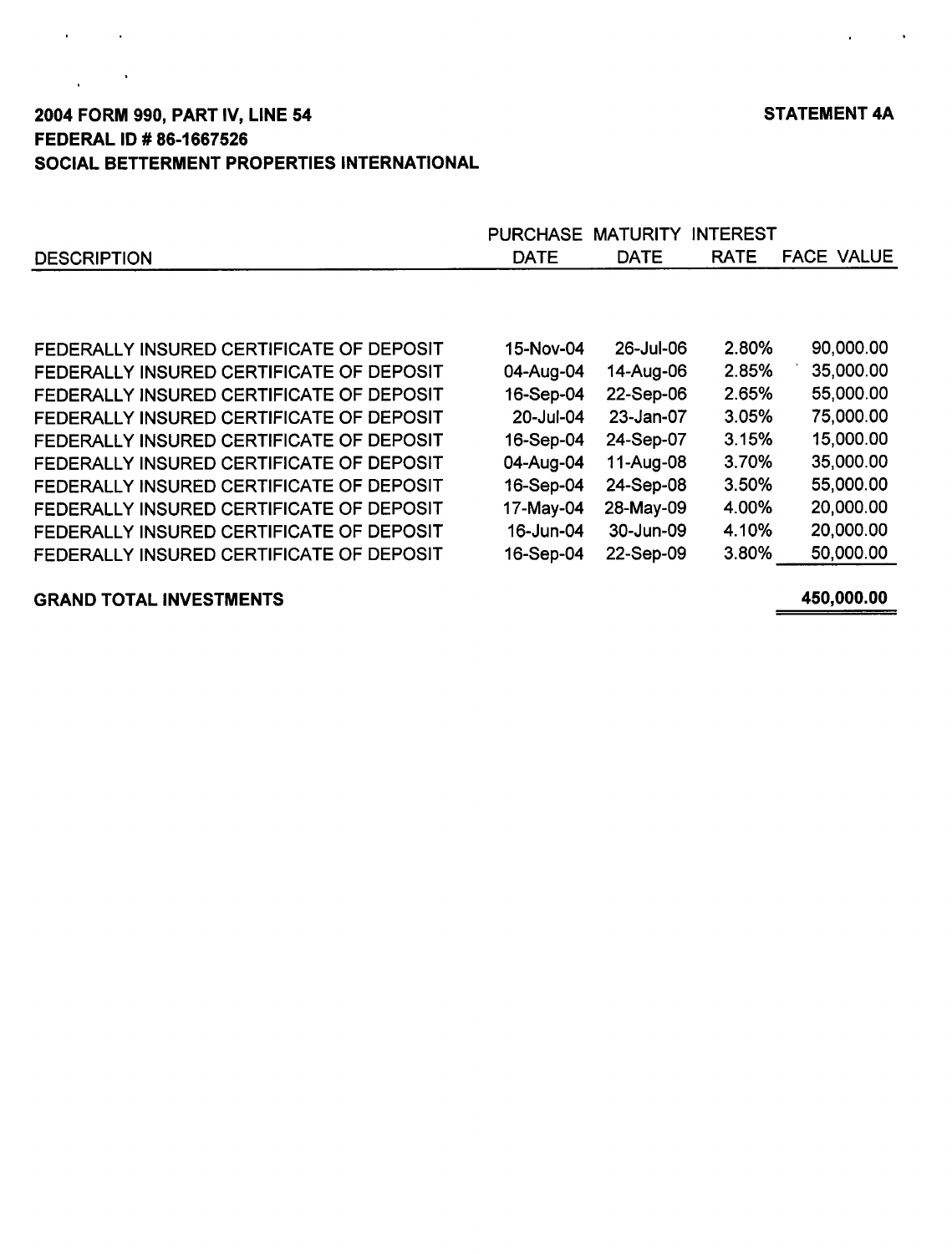provided and

# 2004 FORM 990, PART IV, LINE 54 STATEMENT 4A FEDERAL ID # 86-1667526 SOCIAL BETTERMENT PROPERTIES INTERNATIONAL

|                                          | <b>PURCHASE</b> | <b>MATURITY</b> | <b>INTEREST</b> |                   |
|------------------------------------------|-----------------|-----------------|-----------------|-------------------|
| <b>DESCRIPTION</b>                       | <b>DATE</b>     | <b>DATE</b>     | <b>RATE</b>     | <b>FACE VALUE</b> |
|                                          |                 |                 |                 |                   |
| FEDERALLY INSURED CERTIFICATE OF DEPOSIT | 15-Nov-04       | 26-Jul-06       | 2.80%           | 90,000.00         |
| FEDERALLY INSURED CERTIFICATE OF DEPOSIT | 04-Aug-04       | 14-Aug-06       | 2.85%           | 35,000.00         |
| FEDERALLY INSURED CERTIFICATE OF DEPOSIT | 16-Sep-04       | 22-Sep-06       | 2.65%           | 55,000.00         |
| FEDERALLY INSURED CERTIFICATE OF DEPOSIT | 20-Jul-04       | 23-Jan-07       | 3.05%           | 75,000.00         |
| FEDERALLY INSURED CERTIFICATE OF DEPOSIT | 16-Sep-04       | 24-Sep-07       | 3.15%           | 15,000.00         |
| FEDERALLY INSURED CERTIFICATE OF DEPOSIT | 04-Aug-04       | 11-Aug-08       | 3.70%           | 35,000.00         |
| FEDERALLY INSURED CERTIFICATE OF DEPOSIT | 16-Sep-04       | 24-Sep-08       | 3.50%           | 55,000.00         |
| FEDERALLY INSURED CERTIFICATE OF DEPOSIT | 17-May-04       | 28-May-09       | 4.00%           | 20,000.00         |
| FEDERALLY INSURED CERTIFICATE OF DEPOSIT | 16-Jun-04       | 30-Jun-09       | 4.10%           | 20,000.00         |
| FEDERALLY INSURED CERTIFICATE OF DEPOSIT | 16-Sep-04       | 22-Sep-09       | 3.80%           | 50,000.00         |
|                                          |                 |                 |                 |                   |

# GRAND TOTAL INVESTMENTS 450,000.00

 $\mathcal{A}^{\mathcal{A}}$  and  $\mathcal{A}^{\mathcal{A}}$  and  $\mathcal{A}^{\mathcal{A}}$ 

 $\frac{1}{2} \frac{1}{2} \left( \frac{1}{2} \right)^2$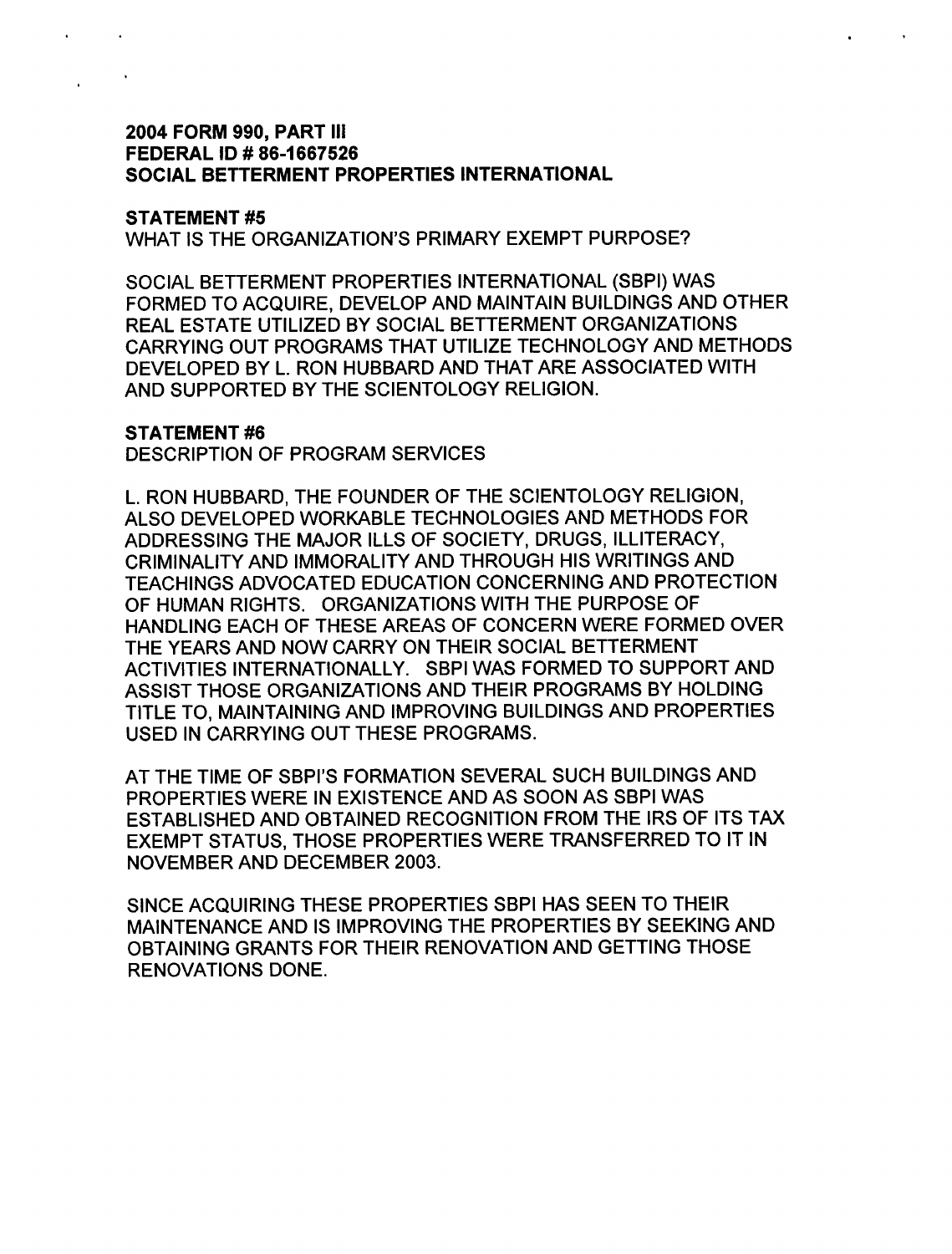### 2004 FORM 990, PART III FEDERAL ID # 86-1667526 SOCIAL BETTERMENT PROPERTIES INTERNATIONAL

#### STATEMENT #5

WHAT IS THE ORGANIZATION'S PRIMARY EXEMPT PURPOSE?

SOCIAL BETTERMENT PROPERTIES INTERNATIONAL (SBPI) WAS FORMED TO ACQUIRE, DEVELOP AND MAINTAIN BUILDINGS AND OTHER REAL ESTATE UTILIZED BY SOCIAL BETTERMENT ORGANIZATIONS CARRYING OUT PROGRAMS THAT UTILIZE TECHNOLOGY AND METHODS DEVELOPED BY L. RON HUBBARD AND THAT ARE ASSOCIATED WITH AND SUPPORTED BY THE SCIENTOLOGY RELIGION.

#### STATEMENT #6

DESCRIPTION OF PROGRAM SERVICES

L. RON HUBBARD, THE FOUNDER OF THE SCIENTOLOGY RELIGION, ALSO DEVELOPED WORKABLE TECHNOLOGIES AND METHODS FOR ADDRESSING THE MAJOR ILLS OF SOCIETY, DRUGS, ILLITERACY, CRIMINALITY AND IMMORALITY AND THROUGH HIS WRITINGS AND TEACHINGS ADVOCATED EDUCATION CONCERNING AND PROTECTION OF HUMAN RIGHTS. ORGANIZATIONS WITH THE PURPOSE OF HANDLING EACH OF THESE AREAS OF CONCERN WERE FORMED OVER THE YEARS AND NOW CARRY ON THEIR SOCIAL BETTERMENT ACTIVITIES INTERNATIONALLY. SBPI WAS FORMED TO SUPPORT AND ASSIST THOSE ORGANIZATIONS AND THEIR PROGRAMS BY HOLDING TITLE TO, MAINTAINING AND IMPROVING BUILDINGS AND PROPERTIES USED IN CARRYING OUT THESE PROGRAMS.

AT THE TIME OF SBPI'S FORMATION SEVERAL SUCH BUILDINGS AND PROPERTIES WERE IN EXISTENCE AND AS SOON AS SBPI WAS ESTABLISHED AND OBTAINED RECOGNITION FROM THE IRS OF ITS TAX EXEMPT STATUS, THOSE PROPERTIES WERE TRANSFERRED TO IT IN NOVEMBER AND DECEMBER 2003.

SINCE ACQUIRING THESE PROPERTIES SBPI HAS SEEN TO THEIR MAINTENANCE AND IS IMPROVING THE PROPERTIES BY SEEKING AND OBTAINING GRANTS FOR THEIR RENOVATION AND GETTING THOSE RENOVATIONS DONE.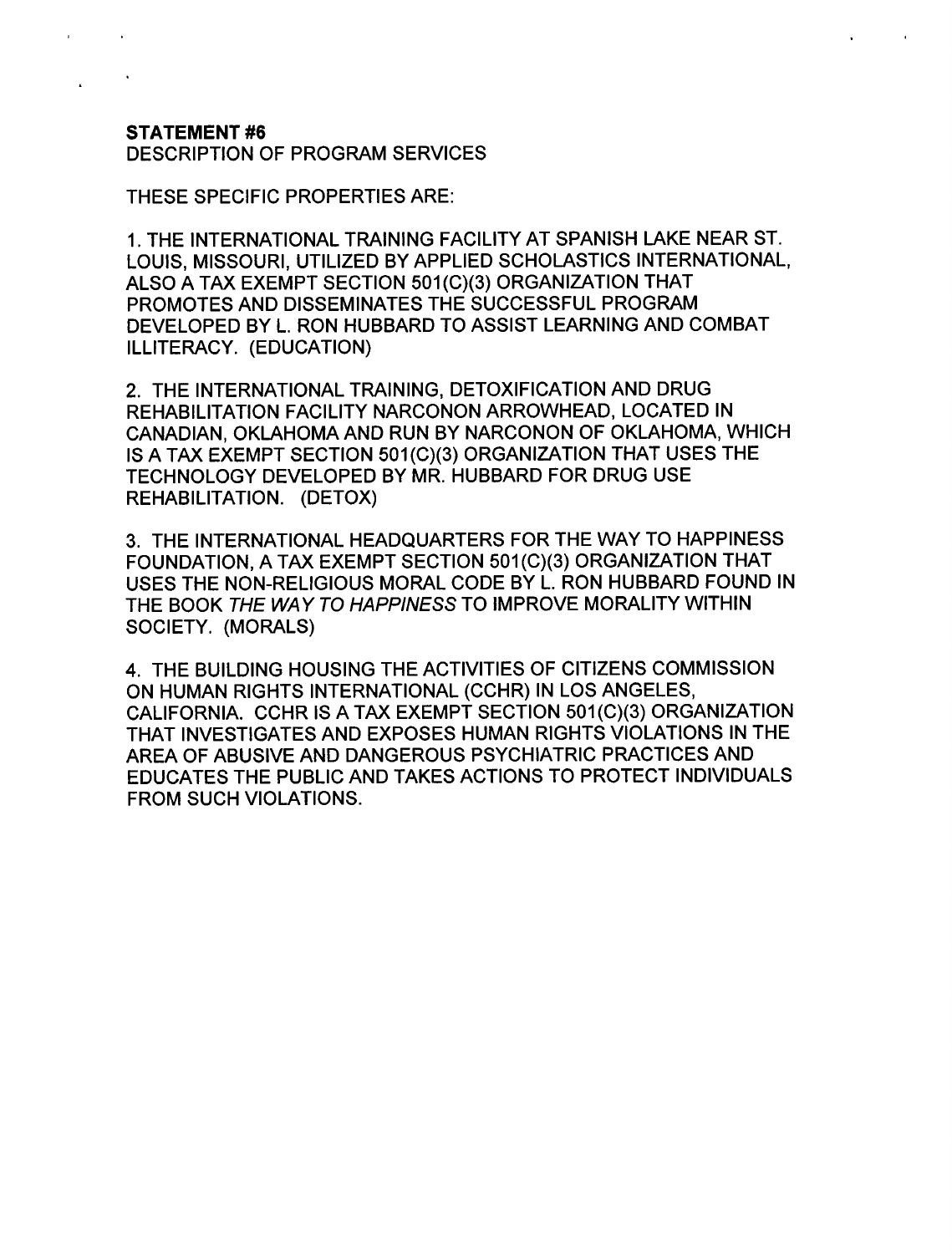## STATEMENT #6

DESCRIPTION OF PROGRAM SERVICES

THESE SPECIFIC PROPERTIES ARE :

<sup>1</sup> . THE INTERNATIONAL TRAINING FACILITY AT SPANISH LAKE NEAR ST. LOUIS, MISSOURI, UTILIZED BY APPLIED SCHOLASTICS INTERNATIONAL, ALSO A TAX EXEMPT SECTION 501(C)(3) ORGANIZATION THAT PROMOTES AND DISSEMINATES THE SUCCESSFUL PROGRAM DEVELOPED BY L. RON HUBBARD TO ASSIST LEARNING AND COMBAT ILLITERACY. (EDUCATION)

<sup>2</sup> . THE INTERNATIONAL TRAINING, DETOXIFICATION AND DRUG REHABILITATION FACILITY NARCONON ARROWHEAD, LOCATED IN CANADIAN, OKLAHOMA AND RUN BY NARCONON OF OKLAHOMA, WHICH IS A TAX EXEMPT SECTION 501(C)(3) ORGANIZATION THAT USES THE TECHNOLOGY DEVELOPED BY MR. HUBBARD FOR DRUG USE REHABILITATION. (DETOX)

<sup>3</sup> . THE INTERNATIONAL HEADQUARTERS FOR THE WAY TO HAPPINESS FOUNDATION, A TAX EXEMPT SECTION 501(C)(3) ORGANIZATION THAT USES THE NON-RELIGIOUS MORAL CODE BY L. RON HUBBARD FOUND IN THE BOOK THE WAY TO HAPPINESS TO IMPROVE MORALITY WITHIN SOCIETY. (MORALS)

4 . THE BUILDING HOUSING THE ACTIVITIES OF CITIZENS COMMISSION ON HUMAN RIGHTS INTERNATIONAL (CCHR) IN LOS ANGELES, CALIFORNIA. CCHR IS A TAX EXEMPT SECTION 501(C)(3) ORGANIZATION THAT INVESTIGATES AND EXPOSES HUMAN RIGHTS VIOLATIONS IN THE AREA OF ABUSIVE AND DANGEROUS PSYCHIATRIC PRACTICES AND EDUCATES THE PUBLIC AND TAKES ACTIONS TO PROTECT INDIVIDUALS FROM SUCH VIOLATIONS.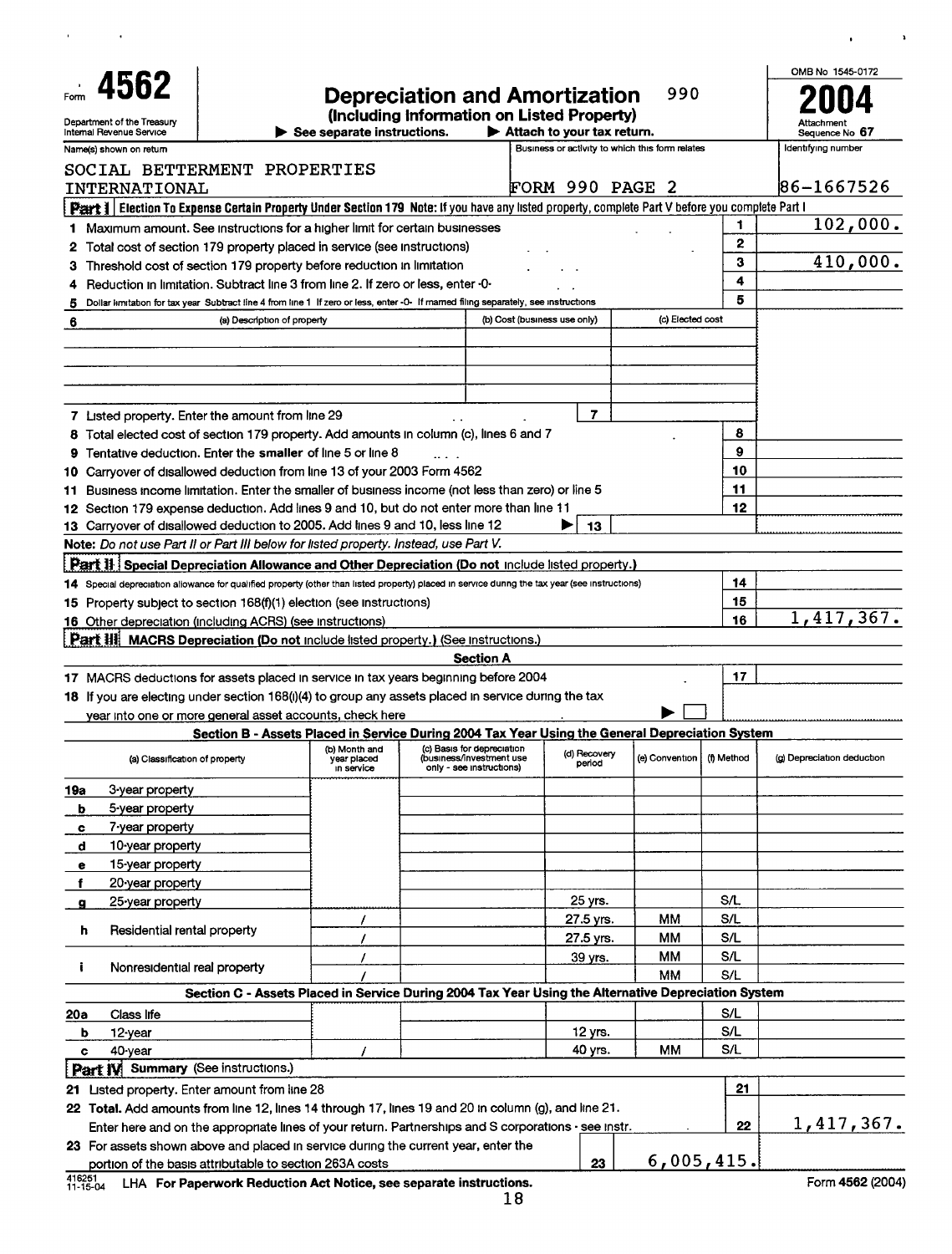| 4562<br>Department of the Treasury<br>Internal Revenue Service<br>Name(s) shown on return                                                        |                                                                                                                                     | See separate instructions.                 | <b>Depreciation and Amortization</b><br>(Including Information on Listed Property) | $\blacktriangleright$ Attach to your tax return. |                        | 990<br>Business or activity to which this form relates |              | OMB No 1545-0172<br>Sequence No 67<br>Identifying number |
|--------------------------------------------------------------------------------------------------------------------------------------------------|-------------------------------------------------------------------------------------------------------------------------------------|--------------------------------------------|------------------------------------------------------------------------------------|--------------------------------------------------|------------------------|--------------------------------------------------------|--------------|----------------------------------------------------------|
| SOCIAL BETTERMENT PROPERTIES                                                                                                                     |                                                                                                                                     |                                            |                                                                                    |                                                  |                        |                                                        |              |                                                          |
| INTERNATIONAL                                                                                                                                    |                                                                                                                                     |                                            |                                                                                    | FORM 990 PAGE 2                                  |                        |                                                        |              | 86-1667526                                               |
| Peart 1 Election To Expense Certain Property Under Section 179 Note: If you have any listed property, complete Part V before you complete Part I |                                                                                                                                     |                                            |                                                                                    |                                                  |                        |                                                        |              |                                                          |
| 1 Maximum amount. See instructions for a higher limit for certain businesses                                                                     |                                                                                                                                     |                                            |                                                                                    |                                                  |                        |                                                        | 1            | 102,000.                                                 |
| 2                                                                                                                                                | Total cost of section 179 property placed in service (see instructions)                                                             |                                            |                                                                                    |                                                  |                        |                                                        | $\mathbf{2}$ |                                                          |
| 3.                                                                                                                                               | Threshold cost of section 179 property before reduction in limitation                                                               |                                            |                                                                                    |                                                  |                        |                                                        | 3            | 410,000.                                                 |
| 4                                                                                                                                                | Reduction in limitation. Subtract line 3 from line 2. If zero or less, enter -0-                                                    |                                            |                                                                                    |                                                  |                        |                                                        | 4            |                                                          |
| 5                                                                                                                                                | Dollar limitation for tax year Subtract line 4 from line 1 If zero or less, enter -0- If marned filing separately, see instructions |                                            |                                                                                    |                                                  |                        |                                                        | 5            |                                                          |
| 6                                                                                                                                                | (a) Description of property                                                                                                         |                                            |                                                                                    | (b) Cost (business use only)                     |                        | (c) Elected cost                                       |              |                                                          |
|                                                                                                                                                  |                                                                                                                                     |                                            |                                                                                    |                                                  |                        |                                                        |              |                                                          |
| 7 Listed property. Enter the amount from line 29                                                                                                 |                                                                                                                                     |                                            |                                                                                    |                                                  | $\overline{7}$         |                                                        |              |                                                          |
| 8 Total elected cost of section 179 property. Add amounts in column (c), lines 6 and 7                                                           |                                                                                                                                     |                                            |                                                                                    |                                                  |                        |                                                        | 8<br>9       |                                                          |
| 9<br>10 Carryover of disallowed deduction from line 13 of your 2003 Form 4562                                                                    | Tentative deduction. Enter the smaller of line 5 or line 8                                                                          |                                            |                                                                                    |                                                  |                        |                                                        | 10           |                                                          |
|                                                                                                                                                  | Business income limitation. Enter the smaller of business income (not less than zero) or line 5                                     |                                            |                                                                                    |                                                  |                        |                                                        | 11           |                                                          |
| 11<br>12 Section 179 expense deduction. Add lines 9 and 10, but do not enter more than line 11                                                   |                                                                                                                                     |                                            |                                                                                    |                                                  |                        |                                                        | 12           |                                                          |
| 13 Carryover of disallowed deduction to 2005. Add lines 9 and 10, less line 12                                                                   |                                                                                                                                     |                                            |                                                                                    |                                                  | 13                     |                                                        |              |                                                          |
| Note: Do not use Part II or Part III below for listed property. Instead, use Part V.                                                             |                                                                                                                                     |                                            |                                                                                    |                                                  |                        |                                                        |              |                                                          |
| <b>Part II Special Depreciation Allowance and Other Depreciation (Do not include listed property.)</b>                                           |                                                                                                                                     |                                            |                                                                                    |                                                  |                        |                                                        |              |                                                          |
| 14 Special depreciation allowance for qualified property (other than listed property) placed in service during the tax year (see instructions)   |                                                                                                                                     |                                            |                                                                                    |                                                  |                        |                                                        | 14           |                                                          |
| 15 Property subject to section 168(f)(1) election (see instructions)                                                                             |                                                                                                                                     |                                            |                                                                                    |                                                  |                        |                                                        | 15           |                                                          |
| 16 Other depreciation (including ACRS) (see instructions)                                                                                        |                                                                                                                                     |                                            |                                                                                    |                                                  |                        |                                                        | 16           | 1,417,367.                                               |
| Part III MACRS Depreciation (Do not include listed property.) (See instructions.)                                                                |                                                                                                                                     |                                            | <b>Section A</b>                                                                   |                                                  |                        |                                                        |              |                                                          |
| 17 MACRS deductions for assets placed in service in tax years beginning before 2004                                                              |                                                                                                                                     |                                            |                                                                                    |                                                  |                        |                                                        | 17           |                                                          |
| 18 If you are electing under section 168(i)(4) to group any assets placed in service during the tax                                              |                                                                                                                                     |                                            |                                                                                    |                                                  |                        |                                                        |              |                                                          |
|                                                                                                                                                  | year into one or more general asset accounts, check here                                                                            |                                            |                                                                                    |                                                  |                        |                                                        |              |                                                          |
|                                                                                                                                                  | Section B - Assets Placed in Service During 2004 Tax Year Using the General Depreciation System                                     |                                            |                                                                                    |                                                  |                        |                                                        |              |                                                          |
| (a) Classification of property                                                                                                                   |                                                                                                                                     | (b) Month and<br>year placed<br>in service | (c) Basis for depreciation<br>(business/investment use<br>only - see instructions) |                                                  | (d) Recovery<br>period | (e) Convention                                         | (f) Method   | (g) Depreciation deduction                               |
| 19a<br>3-year property                                                                                                                           |                                                                                                                                     |                                            |                                                                                    |                                                  |                        |                                                        |              |                                                          |
| 5-year property<br>b                                                                                                                             |                                                                                                                                     |                                            |                                                                                    |                                                  |                        |                                                        |              |                                                          |
| 7-year property<br>c                                                                                                                             |                                                                                                                                     |                                            |                                                                                    |                                                  |                        |                                                        |              |                                                          |
| d<br>10-year property                                                                                                                            |                                                                                                                                     |                                            |                                                                                    |                                                  |                        |                                                        |              |                                                          |
| 15-year property<br>е                                                                                                                            |                                                                                                                                     |                                            |                                                                                    |                                                  |                        |                                                        |              |                                                          |
| 20-year property                                                                                                                                 |                                                                                                                                     |                                            |                                                                                    |                                                  |                        |                                                        |              |                                                          |
| 25-year property                                                                                                                                 |                                                                                                                                     |                                            |                                                                                    |                                                  | 25 yrs.                |                                                        | S/L          |                                                          |
| Residential rental property<br>h                                                                                                                 |                                                                                                                                     |                                            |                                                                                    |                                                  | 27.5 yrs.              | MМ                                                     | S/L          |                                                          |
|                                                                                                                                                  |                                                                                                                                     |                                            |                                                                                    |                                                  | 27.5 yrs.              | ММ                                                     | S/L          |                                                          |
| ÷<br>Nonresidential real property                                                                                                                |                                                                                                                                     |                                            |                                                                                    |                                                  | 39 yrs.                | <b>MM</b><br>MM                                        | S/L<br>S/L   |                                                          |
|                                                                                                                                                  | Section C - Assets Placed in Service During 2004 Tax Year Using the Alternative Depreciation System                                 |                                            |                                                                                    |                                                  |                        |                                                        |              |                                                          |
| Class life<br>20a                                                                                                                                |                                                                                                                                     |                                            |                                                                                    |                                                  |                        |                                                        | S/L          |                                                          |
| 12-year<br>ь                                                                                                                                     |                                                                                                                                     |                                            |                                                                                    |                                                  | 12 yrs.                |                                                        | S/L          |                                                          |
| 40-year<br>c                                                                                                                                     |                                                                                                                                     |                                            |                                                                                    |                                                  | 40 yrs.                | мм                                                     | S/L          |                                                          |
| Part IV Summary (See instructions.)                                                                                                              |                                                                                                                                     |                                            |                                                                                    |                                                  |                        |                                                        |              |                                                          |
| 21 Listed property. Enter amount from line 28                                                                                                    |                                                                                                                                     |                                            |                                                                                    |                                                  |                        |                                                        | 21           |                                                          |
| 22 Total. Add amounts from line 12, lines 14 through 17, lines 19 and 20 in column (g), and line 21.                                             |                                                                                                                                     |                                            |                                                                                    |                                                  |                        |                                                        |              |                                                          |
|                                                                                                                                                  | Enter here and on the appropriate lines of your return. Partnerships and S corporations - see instr.                                |                                            |                                                                                    |                                                  |                        |                                                        | 22           | 1,417,367.                                               |
| 23 For assets shown above and placed in service during the current year, enter the                                                               |                                                                                                                                     |                                            |                                                                                    |                                                  |                        | 6,005,415.                                             |              |                                                          |
| 416251                                                                                                                                           | portion of the basis attributable to section 263A costs                                                                             |                                            |                                                                                    |                                                  | 23                     |                                                        |              | $T_{\text{max}}$ area monar                              |

 $\mathbf{u} = \mathbf{u} \times \mathbf{u}$  , where  $\mathbf{u}$ 

 $\bar{\mathbf{r}}$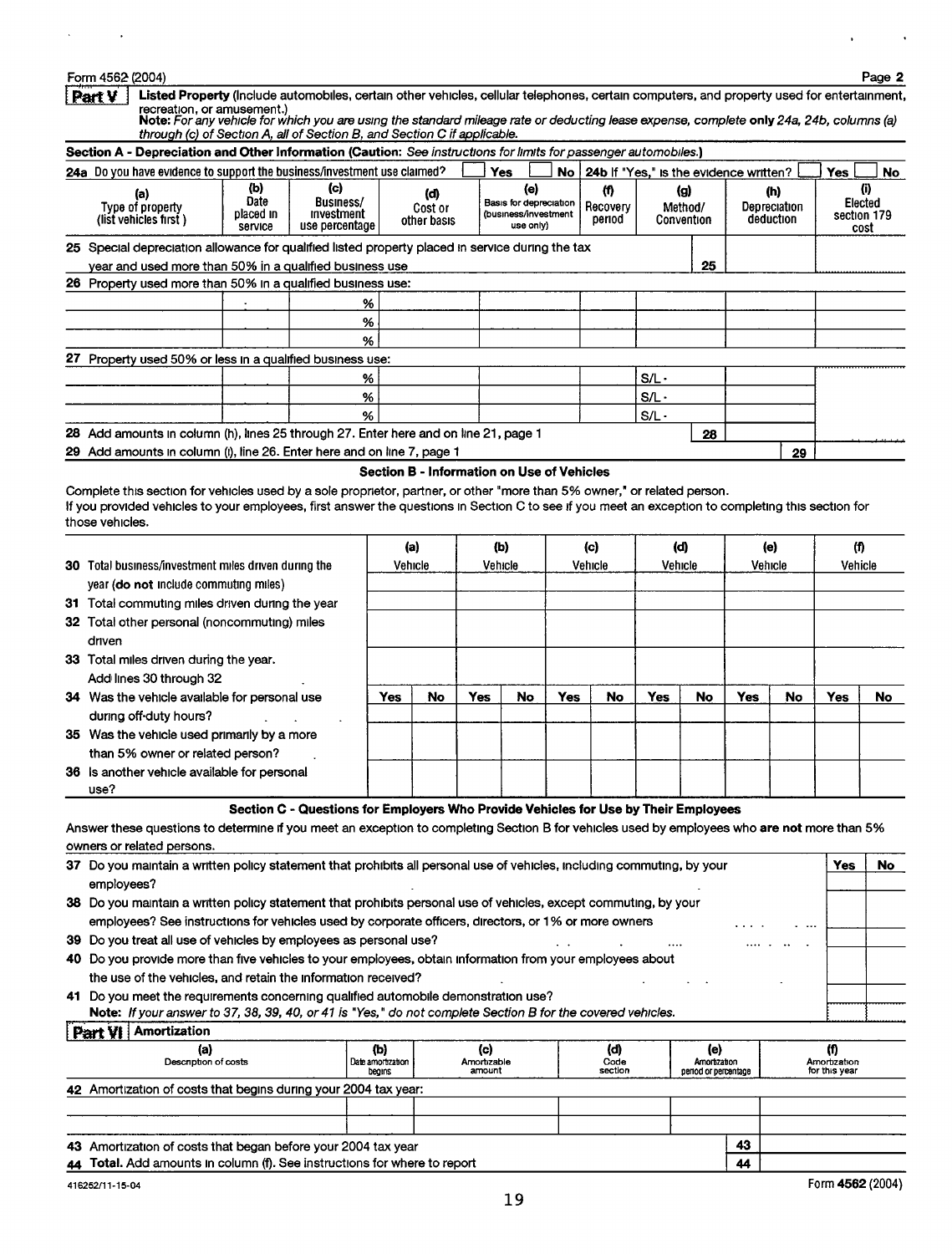#### Form 4562 (2004) Page 2

 $\sim 10^{11}$ 

 $\mathcal{A}^{\pm}$ 

l,

 $\ddot{\phantom{0}}$ 

| Listed Property (Include automobiles, certain other vehicles, cellular telephones, certain computers, and property used for entertainment,<br><u>Part V</u><br>recreation, or amusement.)<br>Note: For any vehicle for which you are using the standard mileage rate or deducting lease expense, complete only 24a, 24b, columns (a)<br>through (c) of Section A, all of Section B, and Section C if applicable. |                                     |                                                                                     |                                            |                                      |            |                                                                    |     |                         |                                        |                      |     |                                  |                                |      |
|------------------------------------------------------------------------------------------------------------------------------------------------------------------------------------------------------------------------------------------------------------------------------------------------------------------------------------------------------------------------------------------------------------------|-------------------------------------|-------------------------------------------------------------------------------------|--------------------------------------------|--------------------------------------|------------|--------------------------------------------------------------------|-----|-------------------------|----------------------------------------|----------------------|-----|----------------------------------|--------------------------------|------|
| Section A - Depreciation and Other Information (Caution: See instructions for limits for passenger automobiles.)                                                                                                                                                                                                                                                                                                 |                                     |                                                                                     |                                            |                                      |            |                                                                    |     |                         |                                        |                      |     |                                  |                                |      |
| 24a Do you have evidence to support the business/investment use claimed?                                                                                                                                                                                                                                                                                                                                         |                                     |                                                                                     |                                            |                                      |            | <b>Yes</b>                                                         | No  |                         | 24b If "Yes," is the evidence written? |                      |     |                                  | <b>Yes</b>                     | No l |
| (a)<br>Type of property<br>(list vehicles first)                                                                                                                                                                                                                                                                                                                                                                 | (b)<br>Date<br>placed in<br>service | $\left( \circ \right)$<br>Business/<br>mvestment<br>use percentage                  |                                            | (d)<br>Cost or<br>other basis        |            | (e)<br>Basis for depreciation<br>(business/investment<br>use only) |     | m<br>Recovery<br>period | (g)<br>Method/<br>Convention           |                      |     | (h)<br>Depreciation<br>deduction | Elected<br>section 179<br>cost | (i)  |
| 25 Special depreciation allowance for qualified listed property placed in service during the tax                                                                                                                                                                                                                                                                                                                 |                                     |                                                                                     |                                            |                                      |            |                                                                    |     |                         |                                        |                      |     |                                  |                                |      |
| year and used more than 50% in a qualified business use                                                                                                                                                                                                                                                                                                                                                          |                                     |                                                                                     |                                            |                                      |            |                                                                    |     |                         |                                        | 25                   |     |                                  |                                |      |
| 26 Property used more than 50% in a qualified business use:                                                                                                                                                                                                                                                                                                                                                      |                                     |                                                                                     |                                            |                                      |            |                                                                    |     |                         |                                        |                      |     |                                  |                                |      |
|                                                                                                                                                                                                                                                                                                                                                                                                                  |                                     |                                                                                     | %                                          |                                      |            |                                                                    |     |                         |                                        |                      |     |                                  |                                |      |
|                                                                                                                                                                                                                                                                                                                                                                                                                  |                                     |                                                                                     | %                                          |                                      |            |                                                                    |     |                         |                                        |                      |     |                                  |                                |      |
|                                                                                                                                                                                                                                                                                                                                                                                                                  |                                     |                                                                                     | %                                          |                                      |            |                                                                    |     |                         |                                        |                      |     |                                  |                                |      |
| 27 Property used 50% or less in a qualified business use:                                                                                                                                                                                                                                                                                                                                                        |                                     |                                                                                     |                                            |                                      |            |                                                                    |     |                         |                                        |                      |     |                                  |                                |      |
|                                                                                                                                                                                                                                                                                                                                                                                                                  |                                     |                                                                                     | %                                          |                                      |            |                                                                    |     |                         | $S/L -$                                |                      |     |                                  |                                |      |
|                                                                                                                                                                                                                                                                                                                                                                                                                  |                                     |                                                                                     | %                                          |                                      |            |                                                                    |     |                         | S/L -                                  |                      |     |                                  |                                |      |
|                                                                                                                                                                                                                                                                                                                                                                                                                  |                                     |                                                                                     | %                                          |                                      |            |                                                                    |     |                         | S/L -                                  |                      |     |                                  |                                |      |
| 28 Add amounts in column (h), lines 25 through 27. Enter here and on line 21, page 1                                                                                                                                                                                                                                                                                                                             |                                     |                                                                                     |                                            |                                      |            |                                                                    |     |                         |                                        | 28                   |     |                                  |                                |      |
| 29 Add amounts in column (i), line 26. Enter here and on line 7, page 1                                                                                                                                                                                                                                                                                                                                          |                                     |                                                                                     |                                            |                                      |            |                                                                    |     |                         |                                        |                      |     | 29                               |                                |      |
| Complete this section for vehicles used by a sole proprietor, partner, or other "more than 5% owner," or related person.<br>If you provided vehicles to your employees, first answer the questions in Section C to see if you meet an exception to completing this section for<br>those vehicles.                                                                                                                |                                     |                                                                                     | Section B - Information on Use of Vehicles |                                      |            |                                                                    |     |                         |                                        |                      |     |                                  |                                |      |
|                                                                                                                                                                                                                                                                                                                                                                                                                  |                                     |                                                                                     |                                            | (a)                                  |            | (b)                                                                |     | (c)                     | (d)                                    |                      |     | (e)                              | (f)                            |      |
| 30 Total business/investment miles driven during the                                                                                                                                                                                                                                                                                                                                                             |                                     |                                                                                     |                                            | Vehicle                              |            | Vehicle                                                            |     | Vehicle                 | Vehicle                                |                      |     | Vehicle                          | Vehicle                        |      |
| year (do not include commuting miles)                                                                                                                                                                                                                                                                                                                                                                            |                                     |                                                                                     |                                            |                                      |            |                                                                    |     |                         |                                        |                      |     |                                  |                                |      |
| 31 Total commuting miles driven during the year                                                                                                                                                                                                                                                                                                                                                                  |                                     |                                                                                     |                                            |                                      |            |                                                                    |     |                         |                                        |                      |     |                                  |                                |      |
| 32 Total other personal (noncommuting) miles                                                                                                                                                                                                                                                                                                                                                                     |                                     |                                                                                     |                                            |                                      |            |                                                                    |     |                         |                                        |                      |     |                                  |                                |      |
| driven                                                                                                                                                                                                                                                                                                                                                                                                           |                                     |                                                                                     |                                            |                                      |            |                                                                    |     |                         |                                        |                      |     |                                  |                                |      |
| 33 Total miles driven during the year.                                                                                                                                                                                                                                                                                                                                                                           |                                     |                                                                                     |                                            |                                      |            |                                                                    |     |                         |                                        |                      |     |                                  |                                |      |
| Add lines 30 through 32                                                                                                                                                                                                                                                                                                                                                                                          |                                     |                                                                                     |                                            |                                      |            |                                                                    |     |                         |                                        |                      |     |                                  |                                |      |
| 34 Was the vehicle available for personal use                                                                                                                                                                                                                                                                                                                                                                    |                                     |                                                                                     | Yes                                        | No                                   | <b>Yes</b> | No                                                                 | Yes | No                      | Yes                                    | No                   | Yes | No                               | Yes                            | No   |
| during off-duty hours?                                                                                                                                                                                                                                                                                                                                                                                           |                                     |                                                                                     |                                            |                                      |            |                                                                    |     |                         |                                        |                      |     |                                  |                                |      |
| 35 Was the vehicle used primarily by a more                                                                                                                                                                                                                                                                                                                                                                      |                                     |                                                                                     |                                            |                                      |            |                                                                    |     |                         |                                        |                      |     |                                  |                                |      |
| than 5% owner or related person?                                                                                                                                                                                                                                                                                                                                                                                 |                                     |                                                                                     |                                            |                                      |            |                                                                    |     |                         |                                        |                      |     |                                  |                                |      |
| 36 Is another vehicle available for personal<br>use?                                                                                                                                                                                                                                                                                                                                                             |                                     |                                                                                     |                                            |                                      |            |                                                                    |     |                         |                                        |                      |     |                                  |                                |      |
|                                                                                                                                                                                                                                                                                                                                                                                                                  |                                     | Section C - Questions for Employers Who Provide Vehicles for Use by Their Employees |                                            |                                      |            |                                                                    |     |                         |                                        |                      |     |                                  |                                |      |
| Answer these questions to determine if you meet an exception to completing Section B for vehicles used by employees who are not more than 5%                                                                                                                                                                                                                                                                     |                                     |                                                                                     |                                            |                                      |            |                                                                    |     |                         |                                        |                      |     |                                  |                                |      |
| owners or related persons.                                                                                                                                                                                                                                                                                                                                                                                       |                                     |                                                                                     |                                            |                                      |            |                                                                    |     |                         |                                        |                      |     |                                  |                                |      |
| 37 Do you maintain a written policy statement that prohibits all personal use of vehicles, including commuting, by your                                                                                                                                                                                                                                                                                          |                                     |                                                                                     |                                            |                                      |            |                                                                    |     |                         |                                        |                      |     |                                  | <b>Yes</b>                     | No   |
| employees?                                                                                                                                                                                                                                                                                                                                                                                                       |                                     |                                                                                     |                                            |                                      |            |                                                                    |     |                         |                                        |                      |     |                                  |                                |      |
| 38 Do you maintain a written policy statement that prohibits personal use of vehicles, except commuting, by your<br>employees? See instructions for vehicles used by corporate officers, directors, or 1% or more owners                                                                                                                                                                                         |                                     |                                                                                     |                                            |                                      |            |                                                                    |     |                         |                                        |                      |     |                                  |                                |      |
| 39 Do you treat all use of vehicles by employees as personal use?                                                                                                                                                                                                                                                                                                                                                |                                     |                                                                                     |                                            |                                      |            |                                                                    |     |                         |                                        |                      |     |                                  |                                |      |
| 40 Do you provide more than five vehicles to your employees, obtain information from your employees about                                                                                                                                                                                                                                                                                                        |                                     |                                                                                     |                                            |                                      |            |                                                                    |     |                         |                                        |                      |     |                                  |                                |      |
| the use of the vehicles, and retain the information received?                                                                                                                                                                                                                                                                                                                                                    |                                     |                                                                                     |                                            |                                      |            |                                                                    |     |                         |                                        |                      |     |                                  |                                |      |
| 41 Do you meet the requirements concerning qualified automobile demonstration use?                                                                                                                                                                                                                                                                                                                               |                                     |                                                                                     |                                            |                                      |            |                                                                    |     |                         |                                        |                      |     |                                  |                                |      |
| Note: If your answer to 37, 38, 39, 40, or 41 is "Yes," do not complete Section B for the covered vehicles.                                                                                                                                                                                                                                                                                                      |                                     |                                                                                     |                                            |                                      |            |                                                                    |     |                         |                                        |                      |     |                                  |                                |      |
| <b>Amortization</b><br>i Part VI                                                                                                                                                                                                                                                                                                                                                                                 |                                     |                                                                                     |                                            |                                      |            |                                                                    |     |                         |                                        |                      |     |                                  |                                |      |
| (d)<br>(b)<br>(c)<br>(e)<br>(a)<br>Description of costs<br>Amortizable<br>Code<br>Date amortization<br>Amortization                                                                                                                                                                                                                                                                                              |                                     |                                                                                     |                                            | (f)<br>Amortization<br>for this year |            |                                                                    |     |                         |                                        |                      |     |                                  |                                |      |
| 42 Amortization of costs that begins during your 2004 tax year:                                                                                                                                                                                                                                                                                                                                                  |                                     |                                                                                     | begins                                     |                                      | amount     |                                                                    |     | section                 |                                        | period or percentage |     |                                  |                                |      |
|                                                                                                                                                                                                                                                                                                                                                                                                                  |                                     |                                                                                     |                                            |                                      |            |                                                                    |     |                         |                                        |                      |     |                                  |                                |      |
|                                                                                                                                                                                                                                                                                                                                                                                                                  |                                     |                                                                                     |                                            |                                      |            |                                                                    |     |                         |                                        |                      |     |                                  |                                |      |
| 43 Amortization of costs that began before your 2004 tax year                                                                                                                                                                                                                                                                                                                                                    |                                     |                                                                                     |                                            |                                      |            |                                                                    |     |                         |                                        |                      | 43  |                                  |                                |      |
| Total. Add amounts in column (f). See instructions for where to report                                                                                                                                                                                                                                                                                                                                           |                                     |                                                                                     |                                            |                                      |            |                                                                    |     |                         |                                        |                      | 44  |                                  |                                |      |
| 416252/11-15-04                                                                                                                                                                                                                                                                                                                                                                                                  |                                     |                                                                                     |                                            |                                      |            |                                                                    |     |                         |                                        |                      |     |                                  | Form 4562 (2004)               |      |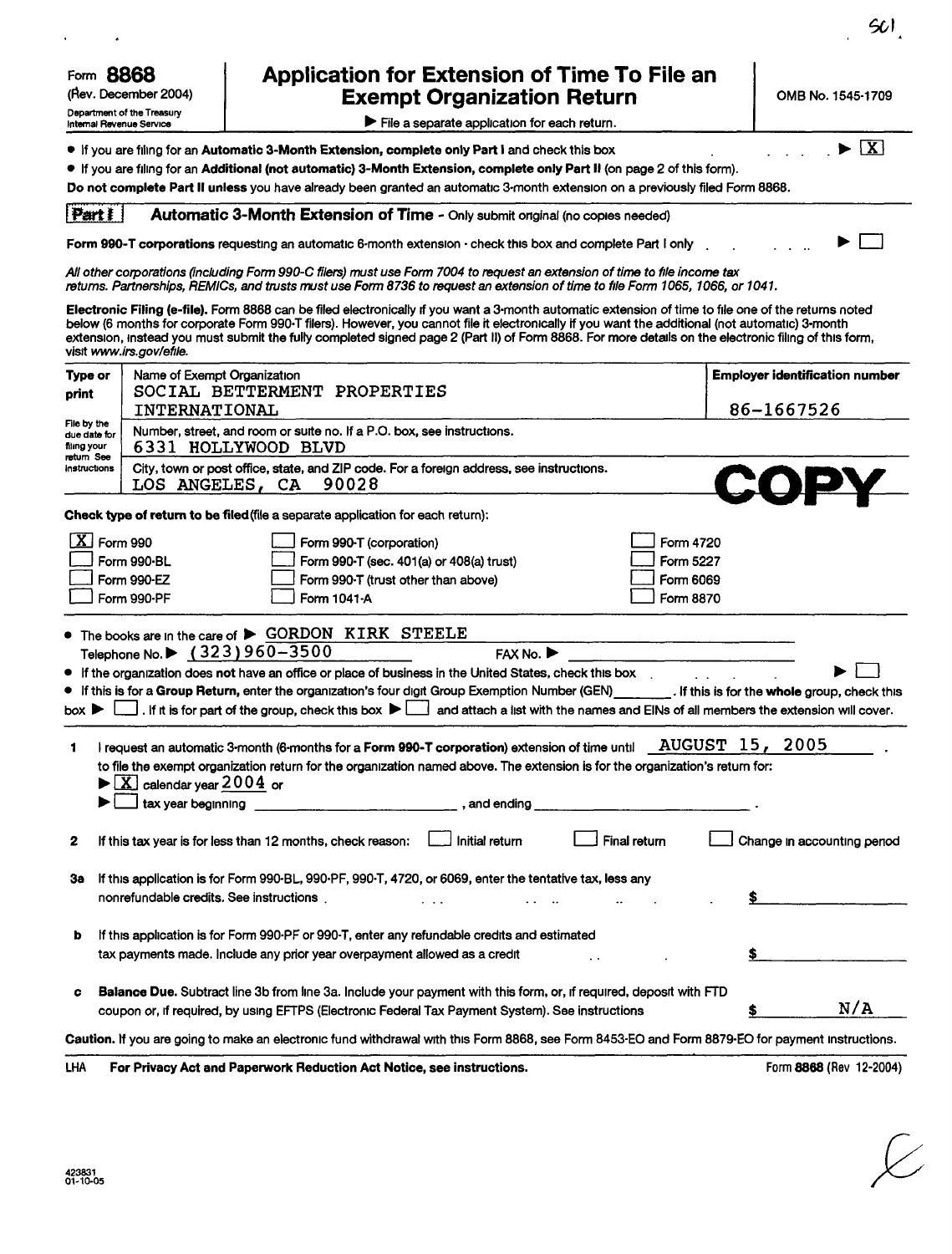| Form 8868<br>(Rev. December 2004)<br>Department of the Treasury |                                                                | Application for Extension of Time To File an<br><b>Exempt Organization Return</b>                                                                                                                                                                                                                                                                                                                                                                               | OMB No. 1545-1709                     |
|-----------------------------------------------------------------|----------------------------------------------------------------|-----------------------------------------------------------------------------------------------------------------------------------------------------------------------------------------------------------------------------------------------------------------------------------------------------------------------------------------------------------------------------------------------------------------------------------------------------------------|---------------------------------------|
|                                                                 | Internal Revenue Service                                       | File a separate application for each return.                                                                                                                                                                                                                                                                                                                                                                                                                    |                                       |
|                                                                 |                                                                | $\bullet$ If you are filing for an Automatic 3-Month Extension, complete only Part I and check this box<br>$\bullet$ If you are filing for an Additional (not automatic) 3-Month Extension, complete only Part II (on page 2 of this form).<br>Do not complete Part II unless you have already been granted an automatic 3-month extension on a previously filed Form 8868.                                                                                     | $\overline{\mathbf{X}}$               |
| Part 1                                                          |                                                                | Automatic 3-Month Extension of Time - Only submit original (no copies needed)                                                                                                                                                                                                                                                                                                                                                                                   |                                       |
|                                                                 |                                                                | Form 990-T corporations requesting an automatic 6-month extension - check this box and complete Part I only                                                                                                                                                                                                                                                                                                                                                     |                                       |
|                                                                 |                                                                | All other corporations (including Form 990-C filers) must use Form 7004 to request an extension of time to file income tax<br>returns. Partnerships, REMICs, and trusts must use Form 8736 to request an extension of time to file Form 1065, 1066, or 1041.                                                                                                                                                                                                    |                                       |
|                                                                 | visit www.irs.gov/efile.                                       | Electronic Filing (e-file). Form 8868 can be filed electronically if you want a 3-month automatic extension of time to file one of the returns noted<br>below (6 months for corporate Form 990-T filers). However, you cannot file it electronically if you want the additional (not automatic) 3-month<br>extension, instead you must submit the fully completed signed page 2 (Part II) of Form 8868. For more details on the electronic filing of this form, |                                       |
| Type or                                                         | Name of Exempt Organization                                    |                                                                                                                                                                                                                                                                                                                                                                                                                                                                 | <b>Employer identification number</b> |
| print                                                           | <b>INTERNATIONAL</b>                                           | SOCIAL BETTERMENT PROPERTIES                                                                                                                                                                                                                                                                                                                                                                                                                                    | 86-1667526                            |
| File by the<br>due date for<br>filing your                      |                                                                | Number, street, and room or suite no. If a P.O. box, see instructions.<br>6331 HOLLYWOOD BLVD                                                                                                                                                                                                                                                                                                                                                                   |                                       |
| return See<br>instructions                                      | LOS ANGELES, CA                                                | City, town or post office, state, and ZIP code. For a foreign address, see instructions.<br>90028                                                                                                                                                                                                                                                                                                                                                               |                                       |
|                                                                 |                                                                | Check type of return to be filed (file a separate application for each return):                                                                                                                                                                                                                                                                                                                                                                                 |                                       |
|                                                                 |                                                                |                                                                                                                                                                                                                                                                                                                                                                                                                                                                 |                                       |
|                                                                 | $\overline{\textbf{X}}$ Form 990<br>Form 990-BL                | Form 4720<br>Form 990-T (corporation)<br>Form 990-T (sec. 401(a) or 408(a) trust)<br>Form 5227                                                                                                                                                                                                                                                                                                                                                                  |                                       |
|                                                                 | Form 990-EZ                                                    | Form 990-T (trust other than above)<br>Form 6069                                                                                                                                                                                                                                                                                                                                                                                                                |                                       |
|                                                                 | Form 990-PF                                                    | Form 1041-A<br>Form 8870                                                                                                                                                                                                                                                                                                                                                                                                                                        |                                       |
|                                                                 |                                                                | • The books are in the care of $\triangleright$ GORDON KIRK STEELE                                                                                                                                                                                                                                                                                                                                                                                              |                                       |
|                                                                 | Telephone No.▶ (323)960-3500                                   | FAX No.                                                                                                                                                                                                                                                                                                                                                                                                                                                         |                                       |
|                                                                 |                                                                | If the organization does not have an office or place of business in the United States, check this box<br>If this is for a Group Return, enter the organization's four digit Group Exemption Number (GEN) [16] If this is for the whole group, check this                                                                                                                                                                                                        |                                       |
| box ▶                                                           |                                                                | . If it is for part of the group, check this box $\blacktriangleright \Box$ and attach a list with the names and EINs of all members the extension will cover.                                                                                                                                                                                                                                                                                                  |                                       |
|                                                                 |                                                                |                                                                                                                                                                                                                                                                                                                                                                                                                                                                 |                                       |
| 1                                                               |                                                                | AUGUST 15,<br>I request an automatic 3-month (6-months for a Form 990-T corporation) extension of time until<br>to file the exempt organization return for the organization named above. The extension is for the organization's return for:                                                                                                                                                                                                                    | 2005                                  |
|                                                                 | $\blacktriangleright$ $\boxed{\text{X}}$ calendar year 2004 or |                                                                                                                                                                                                                                                                                                                                                                                                                                                                 |                                       |
|                                                                 | tax year beginning                                             | , and ending                                                                                                                                                                                                                                                                                                                                                                                                                                                    |                                       |
| 2                                                               |                                                                | Final return<br>If this tax year is for less than 12 months, check reason:                                                                                                                                                                                                                                                                                                                                                                                      | Change in accounting period           |
|                                                                 |                                                                |                                                                                                                                                                                                                                                                                                                                                                                                                                                                 |                                       |
| За                                                              | nonrefundable credits. See instructions.                       | If this application is for Form 990-BL, 990-PF, 990-T, 4720, or 6069, enter the tentative tax, less any                                                                                                                                                                                                                                                                                                                                                         |                                       |
| b                                                               |                                                                | If this application is for Form 990-PF or 990-T, enter any refundable credits and estimated                                                                                                                                                                                                                                                                                                                                                                     |                                       |
|                                                                 |                                                                | tax payments made. Include any prior year overpayment allowed as a credit                                                                                                                                                                                                                                                                                                                                                                                       |                                       |
| c                                                               |                                                                | Balance Due. Subtract line 3b from line 3a. Include your payment with this form, or, if required, deposit with FTD<br>coupon or, if required, by using EFTPS (Electronic Federal Tax Payment System). See instructions                                                                                                                                                                                                                                          | N/A                                   |
|                                                                 |                                                                | Caution. If you are going to make an electronic fund withdrawal with this Form 8868, see Form 8453-EO and Form 8879-EO for payment instructions.                                                                                                                                                                                                                                                                                                                |                                       |

661

 $\overline{\mathcal{L}}$ 

LHA For Privacy Act and Paperwork Reduction Act Notice, see instructions. Form 8868 (Rev 12-2004)